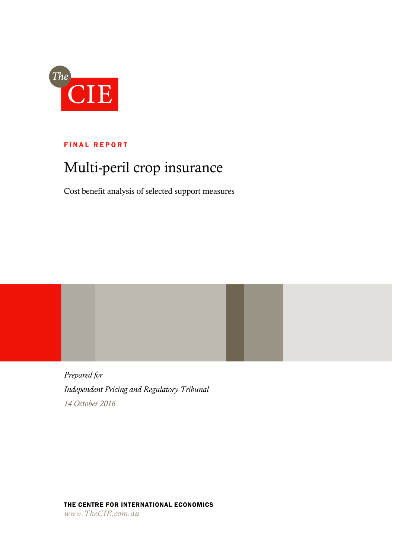

FINAL REPORT

# Multi-peril crop insurance

Cost benefit analysis of selected support measures

*Prepared for Independent Pricing and Regulatory Tribunal 14 October 2016*

THE CENTRE FOR INTERNATIONAL ECONOMICS *www.TheCIE.com.au*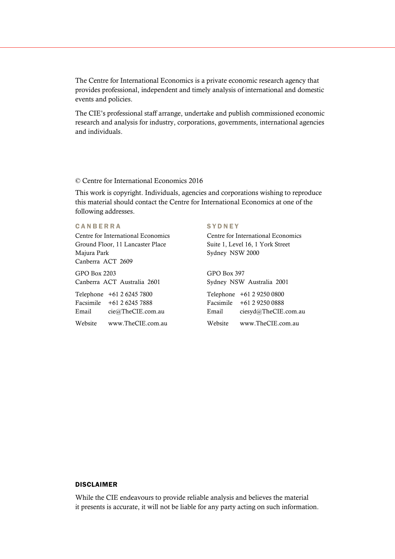The Centre for International Economics is a private economic research agency that provides professional, independent and timely analysis of international and domestic events and policies.

The CIE's professional staff arrange, undertake and publish commissioned economic research and analysis for industry, corporations, governments, international agencies and individuals.

## © Centre for International Economics 2016

This work is copyright. Individuals, agencies and corporations wishing to reproduce this material should contact the Centre for International Economics at one of the following addresses.

## C A N B E R R A

Centre for International Economics Ground Floor, 11 Lancaster Place Majura Park Canberra ACT 2609

GPO Box 2203 Canberra ACT Australia 2601

Telephone +61 2 6245 7800 Facsimile +61 2 6245 7888 Email cie@TheCIE.com.au Website www.TheCIE.com.au

## **SYDNEY**

Centre for International Economics Suite 1, Level 16, 1 York Street Sydney NSW 2000

GPO Box 397 Sydney NSW Australia 2001

Telephone +61 2 9250 0800 Facsimile +61 2 9250 0888 Email [ciesyd@TheCIE.com.au](mailto:ciesyd@TheCIE.com.au) Website [www.TheCIE.com.au](http://www.thecie.com.au/)

## DISCLAIMER

While the CIE endeavours to provide reliable analysis and believes the material it presents is accurate, it will not be liable for any party acting on such information.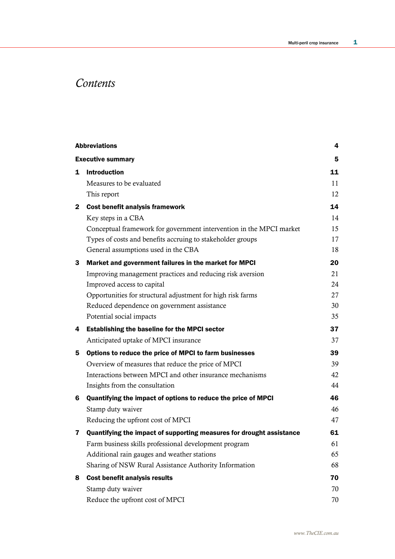# *Contents*

|   | <b>Abbreviations</b>                                                 | $\overline{4}$ |
|---|----------------------------------------------------------------------|----------------|
|   | <b>Executive summary</b>                                             | 5              |
| 1 | <b>Introduction</b>                                                  | 11             |
|   | Measures to be evaluated                                             | 11             |
|   | This report                                                          | 12             |
| 2 | Cost benefit analysis framework                                      | 14             |
|   | Key steps in a CBA                                                   | 14             |
|   | Conceptual framework for government intervention in the MPCI market  | 15             |
|   | Types of costs and benefits accruing to stakeholder groups           | 17             |
|   | General assumptions used in the CBA                                  | 18             |
| 3 | Market and government failures in the market for MPCI                | 20             |
|   | Improving management practices and reducing risk aversion            | 21             |
|   | Improved access to capital                                           | 24             |
|   | Opportunities for structural adjustment for high risk farms          | 27             |
|   | Reduced dependence on government assistance                          | 30             |
|   | Potential social impacts                                             | 35             |
| 4 | Establishing the baseline for the MPCI sector                        | 37             |
|   | Anticipated uptake of MPCI insurance                                 | 37             |
| 5 | Options to reduce the price of MPCI to farm businesses               | 39             |
|   | Overview of measures that reduce the price of MPCI                   | 39             |
|   | Interactions between MPCI and other insurance mechanisms             | 42             |
|   | Insights from the consultation                                       | 44             |
| 6 | Quantifying the impact of options to reduce the price of MPCI        | 46             |
|   | Stamp duty waiver                                                    | 46             |
|   | Reducing the upfront cost of MPCI                                    | 47             |
| 7 | Quantifying the impact of supporting measures for drought assistance | 61             |
|   | Farm business skills professional development program                | 61             |
|   | Additional rain gauges and weather stations                          | 65             |
|   | Sharing of NSW Rural Assistance Authority Information                | 68             |
| 8 | <b>Cost benefit analysis results</b>                                 | 70             |
|   | Stamp duty waiver                                                    | 70             |
|   | Reduce the upfront cost of MPCI                                      | 70             |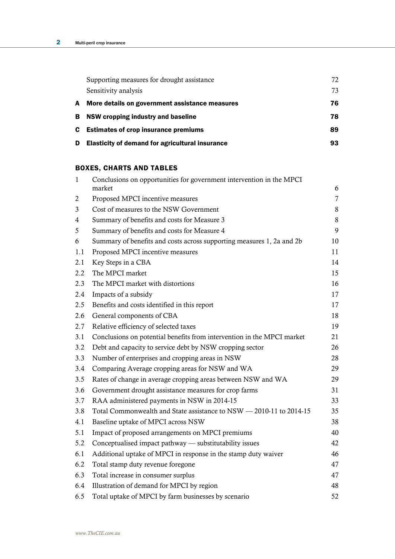|   | Supporting measures for drought assistance      | 72 |
|---|-------------------------------------------------|----|
|   | Sensitivity analysis                            | 73 |
| A | More details on government assistance measures  | 76 |
|   | <b>B</b> NSW cropping industry and baseline     | 78 |
|   | <b>C</b> Estimates of crop insurance premiums   | 89 |
| D | Elasticity of demand for agricultural insurance | 93 |

## BOXES, CHARTS AND TABLES

| $\mathbf{1}$ | Conclusions on opportunities for government intervention in the MPCI   |                |
|--------------|------------------------------------------------------------------------|----------------|
|              | market                                                                 | 6              |
| 2            | Proposed MPCI incentive measures                                       | $\overline{7}$ |
| 3            | Cost of measures to the NSW Government                                 | $8\,$          |
| 4            | Summary of benefits and costs for Measure 3                            | $8\,$          |
| 5            | Summary of benefits and costs for Measure 4                            | 9              |
| 6            | Summary of benefits and costs across supporting measures 1, 2a and 2b  | 10             |
| 1.1          | Proposed MPCI incentive measures                                       | 11             |
| 2.1          | Key Steps in a CBA                                                     | 14             |
| 2.2          | The MPCI market                                                        | 15             |
| 2.3          | The MPCI market with distortions                                       | 16             |
| 2.4          | Impacts of a subsidy                                                   | 17             |
| 2.5          | Benefits and costs identified in this report                           | 17             |
| 2.6          | General components of CBA                                              | 18             |
| 2.7          | Relative efficiency of selected taxes                                  | 19             |
| 3.1          | Conclusions on potential benefits from intervention in the MPCI market | 21             |
| 3.2          | Debt and capacity to service debt by NSW cropping sector               | 26             |
| 3.3          | Number of enterprises and cropping areas in NSW                        | 28             |
| 3.4          | Comparing Average cropping areas for NSW and WA                        | 29             |
| 3.5          | Rates of change in average cropping areas between NSW and WA           | 29             |
| 3.6          | Government drought assistance measures for crop farms                  | 31             |
| 3.7          | RAA administered payments in NSW in 2014-15                            | 33             |
| 3.8          | Total Commonwealth and State assistance to NSW - 2010-11 to 2014-15    | 35             |
| 4.1          | Baseline uptake of MPCI across NSW                                     | 38             |
| 5.1          | Impact of proposed arrangements on MPCI premiums                       | 40             |
| 5.2          | Conceptualised impact pathway — substitutability issues                | 42             |
| 6.1          | Additional uptake of MPCI in response in the stamp duty waiver         | 46             |
| 6.2          | Total stamp duty revenue foregone                                      | 47             |
| 6.3          | Total increase in consumer surplus                                     | 47             |
| 6.4          | Illustration of demand for MPCI by region                              | 48             |
| 6.5          | Total uptake of MPCI by farm businesses by scenario                    | 52             |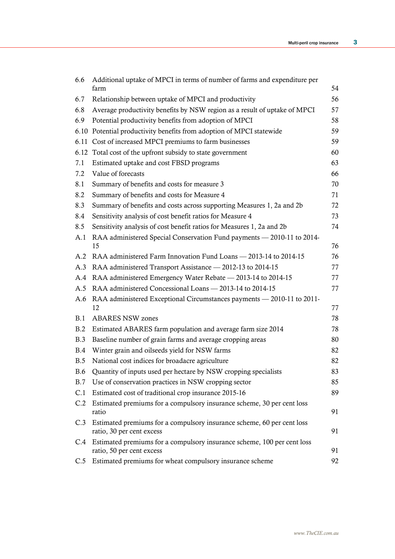| 6.6        | Additional uptake of MPCI in terms of number of farms and expenditure per<br>farm                   | 54 |
|------------|-----------------------------------------------------------------------------------------------------|----|
| 6.7        | Relationship between uptake of MPCI and productivity                                                | 56 |
| 6.8        | Average productivity benefits by NSW region as a result of uptake of MPCI                           | 57 |
| 6.9        | Potential productivity benefits from adoption of MPCI                                               | 58 |
| 6.10       | Potential productivity benefits from adoption of MPCI statewide                                     | 59 |
| 6.11       | Cost of increased MPCI premiums to farm businesses                                                  | 59 |
| 6.12       | Total cost of the upfront subsidy to state government                                               | 60 |
| 7.1        | Estimated uptake and cost FBSD programs                                                             | 63 |
| 7.2        | Value of forecasts                                                                                  | 66 |
| 8.1        | Summary of benefits and costs for measure 3                                                         | 70 |
| 8.2        | Summary of benefits and costs for Measure 4                                                         | 71 |
| 8.3        | Summary of benefits and costs across supporting Measures 1, 2a and 2b                               | 72 |
| 8.4        | Sensitivity analysis of cost benefit ratios for Measure 4                                           | 73 |
| 8.5        | Sensitivity analysis of cost benefit ratios for Measures 1, 2a and 2b                               | 74 |
| A.1        | RAA administered Special Conservation Fund payments - 2010-11 to 2014-                              |    |
|            | 15                                                                                                  | 76 |
| A.2        | RAA administered Farm Innovation Fund Loans – 2013-14 to 2014-15                                    | 76 |
| A.3        | RAA administered Transport Assistance - 2012-13 to 2014-15                                          | 77 |
| A.4        | RAA administered Emergency Water Rebate - 2013-14 to 2014-15                                        | 77 |
| A.5        | RAA administered Concessional Loans – 2013-14 to 2014-15                                            | 77 |
| A.6        | RAA administered Exceptional Circumstances payments - 2010-11 to 2011-<br>12                        | 77 |
| B.1        | <b>ABARES NSW zones</b>                                                                             | 78 |
| B.2        | Estimated ABARES farm population and average farm size 2014                                         | 78 |
| B.3        | Baseline number of grain farms and average cropping areas                                           | 80 |
| B.4        | Winter grain and oilseeds yield for NSW farms                                                       | 82 |
| B.5        | National cost indices for broadacre agriculture                                                     | 82 |
| <b>B.6</b> | Quantity of inputs used per hectare by NSW cropping specialists                                     | 83 |
| B.7        | Use of conservation practices in NSW cropping sector                                                | 85 |
| C.1        | Estimated cost of traditional crop insurance 2015-16                                                | 89 |
| C.2        | Estimated premiums for a compulsory insurance scheme, 30 per cent loss<br>ratio                     | 91 |
| C.3        | Estimated premiums for a compulsory insurance scheme, 60 per cent loss<br>ratio, 30 per cent excess | 91 |
|            | C.4 Estimated premiums for a compulsory insurance scheme, 100 per cent loss                         |    |
|            | ratio, 50 per cent excess                                                                           | 91 |
| C.5        | Estimated premiums for wheat compulsory insurance scheme                                            | 92 |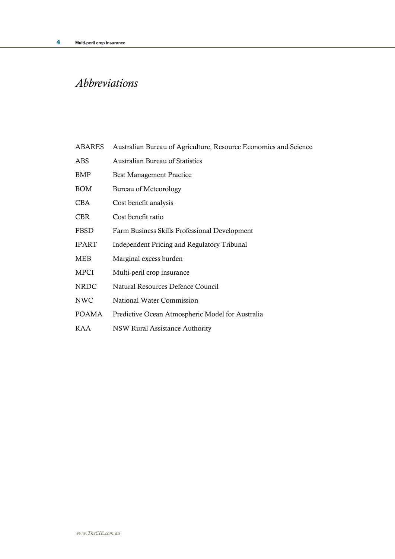# *Abbreviations*

- ABARES Australian Bureau of Agriculture, Resource Economics and Science
- ABS Australian Bureau of Statistics
- BMP Best Management Practice
- BOM Bureau of Meteorology
- CBA Cost benefit analysis
- CBR Cost benefit ratio
- FBSD Farm Business Skills Professional Development
- IPART Independent Pricing and Regulatory Tribunal
- MEB Marginal excess burden
- MPCI Multi-peril crop insurance
- NRDC Natural Resources Defence Council
- NWC National Water Commission
- POAMA Predictive Ocean Atmospheric Model for Australia
- RAA NSW Rural Assistance Authority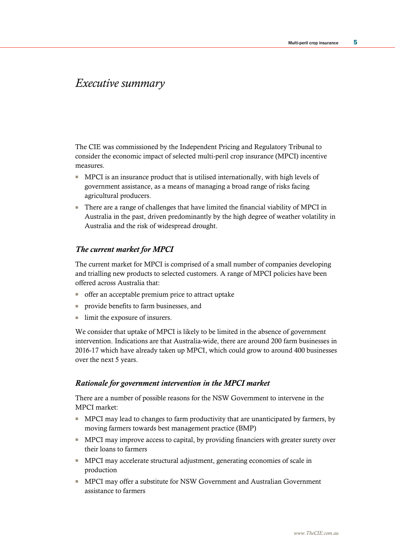## *Executive summary*

The CIE was commissioned by the Independent Pricing and Regulatory Tribunal to consider the economic impact of selected multi-peril crop insurance (MPCI) incentive measures.

- MPCI is an insurance product that is utilised internationally, with high levels of government assistance, as a means of managing a broad range of risks facing agricultural producers.
- There are a range of challenges that have limited the financial viability of MPCI in Australia in the past, driven predominantly by the high degree of weather volatility in Australia and the risk of widespread drought.

## *The current market for MPCI*

The current market for MPCI is comprised of a small number of companies developing and trialling new products to selected customers. A range of MPCI policies have been offered across Australia that:

- offer an acceptable premium price to attract uptake
- provide benefits to farm businesses, and
- limit the exposure of insurers.

We consider that uptake of MPCI is likely to be limited in the absence of government intervention. Indications are that Australia-wide, there are around 200 farm businesses in 2016-17 which have already taken up MPCI, which could grow to around 400 businesses over the next 5 years.

## *Rationale for government intervention in the MPCI market*

There are a number of possible reasons for the NSW Government to intervene in the MPCI market:

- MPCI may lead to changes to farm productivity that are unanticipated by farmers, by moving farmers towards best management practice (BMP)
- MPCI may improve access to capital, by providing financiers with greater surety over their loans to farmers
- MPCI may accelerate structural adjustment, generating economies of scale in production
- MPCI may offer a substitute for NSW Government and Australian Government assistance to farmers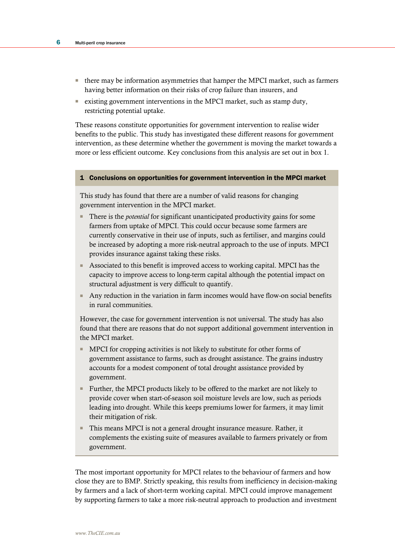- there may be information asymmetries that hamper the MPCI market, such as farmers having better information on their risks of crop failure than insurers, and
- existing government interventions in the MPCI market, such as stamp duty, restricting potential uptake.

These reasons constitute opportunities for government intervention to realise wider benefits to the public. This study has investigated these different reasons for government intervention, as these determine whether the government is moving the market towards a more or less efficient outcome. Key conclusions from this analysis are set out in box 1.

## 1 Conclusions on opportunities for government intervention in the MPCI market

This study has found that there are a number of valid reasons for changing government intervention in the MPCI market.

- There is the *potential* for significant unanticipated productivity gains for some farmers from uptake of MPCI. This could occur because some farmers are currently conservative in their use of inputs, such as fertiliser, and margins could be increased by adopting a more risk-neutral approach to the use of inputs. MPCI provides insurance against taking these risks.
- Associated to this benefit is improved access to working capital. MPCI has the capacity to improve access to long-term capital although the potential impact on structural adjustment is very difficult to quantify.
- Any reduction in the variation in farm incomes would have flow-on social benefits in rural communities.

However, the case for government intervention is not universal. The study has also found that there are reasons that do not support additional government intervention in the MPCI market.

- MPCI for cropping activities is not likely to substitute for other forms of government assistance to farms, such as drought assistance. The grains industry accounts for a modest component of total drought assistance provided by government.
- Further, the MPCI products likely to be offered to the market are not likely to provide cover when start-of-season soil moisture levels are low, such as periods leading into drought. While this keeps premiums lower for farmers, it may limit their mitigation of risk.
- This means MPCI is not a general drought insurance measure. Rather, it complements the existing suite of measures available to farmers privately or from government.

The most important opportunity for MPCI relates to the behaviour of farmers and how close they are to BMP. Strictly speaking, this results from inefficiency in decision-making by farmers and a lack of short-term working capital. MPCI could improve management by supporting farmers to take a more risk-neutral approach to production and investment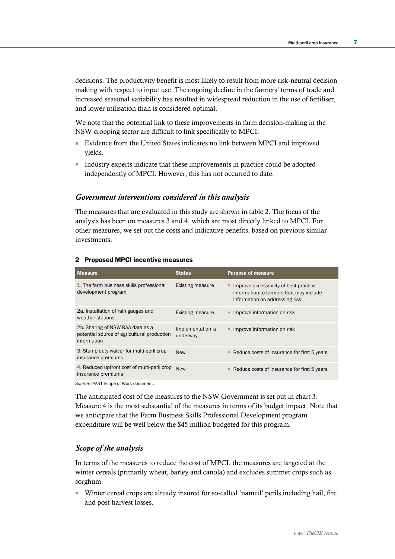decisions. The productivity benefit is most likely to result from more risk-neutral decision making with respect to input use. The ongoing decline in the farmers' terms of trade and increased seasonal variability has resulted in widespread reduction in the use of fertiliser, and lower utilisation than is considered optimal.

We note that the potential link to these improvements in farm decision-making in the NSW cropping sector are difficult to link specifically to MPCI.

- Evidence from the United States indicates no link between MPCI and improved yields.
- Industry experts indicate that these improvements in practice could be adopted independently of MPCI. However, this has not occurred to date.

## *Government interventions considered in this analysis*

The measures that are evaluated in this study are shown in table 2. The focus of the analysis has been on measures 3 and 4, which are most directly linked to MPCI. For other measures, we set out the costs and indicative benefits, based on previous similar investments.

## 2 Proposed MPCI incentive measures

| <b>Measure</b>                                                                                 | <b>Status</b>                 | <b>Purpose of measure</b>                                                                                           |
|------------------------------------------------------------------------------------------------|-------------------------------|---------------------------------------------------------------------------------------------------------------------|
| 1. The farm business skills professional<br>development program                                | <b>Existing measure</b>       | Improve accessibility of best practice<br>information to farmers that may include<br>information on addressing risk |
| 2a. Installation of rain gauges and<br>weather stations                                        | Existing measure              | Improve information on risk                                                                                         |
| 2b. Sharing of NSW RAA data as a<br>potential source of agricultural production<br>information | Implementation is<br>underway | Improve information on risk<br>ш                                                                                    |
| 3. Stamp duty waiver for multi-peril crop<br>insurance premiums                                | <b>New</b>                    | Reduce costs of insurance for first 5 years<br>ш                                                                    |
| 4. Reduced upfront cost of multi-peril crop<br>insurance premiums                              | <b>New</b>                    | Reduce costs of insurance for first 5 years<br>ш                                                                    |

*Source:* IPART Scope of Work document.

The anticipated cost of the measures to the NSW Government is set out in chart 3. Measure 4 is the most substantial of the measures in terms of its budget impact. Note that we anticipate that the Farm Business Skills Professional Development program expenditure will be well below the \$45 million budgeted for this program.

## *Scope of the analysis*

In terms of the measures to reduce the cost of MPCI, the measures are targeted at the winter cereals (primarily wheat, barley and canola) and excludes summer crops such as sorghum.

■ Winter cereal crops are already insured for so-called 'named' perils including hail, fire and post-harvest losses.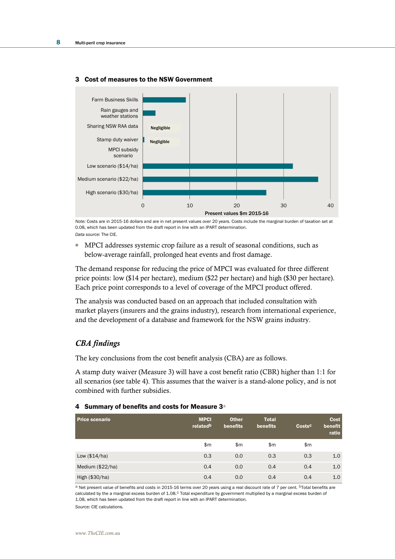

#### 3 Cost of measures to the NSW Government

*Note:* Costs are in 2015-16 dollars and are in net present values over 20 years. Costs include the marginal burden of taxation set at 0.08, which has been updated from the draft report in line with an IPART determination. *Data source:* The CIE.

MPCI addresses systemic crop failure as a result of seasonal conditions, such as below-average rainfall, prolonged heat events and frost damage.

The demand response for reducing the price of MPCI was evaluated for three different price points: low (\$14 per hectare), medium (\$22 per hectare) and high (\$30 per hectare). Each price point corresponds to a level of coverage of the MPCI product offered.

The analysis was conducted based on an approach that included consultation with market players (insurers and the grains industry), research from international experience, and the development of a database and framework for the NSW grains industry.

## *CBA findings*

The key conclusions from the cost benefit analysis (CBA) are as follows.

A stamp duty waiver (Measure 3) will have a cost benefit ratio (CBR) higher than 1:1 for all scenarios (see table 4). This assumes that the waiver is a stand-alone policy, and is not combined with further subsidies.

#### 4 Summary of benefits and costs for Measure 3<sup>a</sup>

| <b>Price scenario</b> | <b>MPCI</b><br>related <sup>b</sup> | <b>Other</b><br>benefits | <b>Total</b><br>benefits | Costsc | Cost<br>benefit<br>ratio |
|-----------------------|-------------------------------------|--------------------------|--------------------------|--------|--------------------------|
|                       | \$m                                 | \$m                      | \$m                      | \$m    |                          |
| Low $($14/ha)$        | 0.3                                 | 0.0                      | 0.3                      | 0.3    | 1.0                      |
| Medium (\$22/ha)      | 0.4                                 | 0.0                      | 0.4                      | 0.4    | 1.0                      |
| High (\$30/ha)        | 0.4                                 | 0.0                      | 0.4                      | 0.4    | 1.0                      |

a Net present value of benefits and costs in 2015-16 terms over 20 years using a real discount rate of 7 per cent. <sup>b</sup>Total benefits are calculated by the a marginal excess burden of 1.08.<sup>C</sup> Total expenditure by government multiplied by a marginal excess burden of 1.08, which has been updated from the draft report in line with an IPART determination. *Source:* CIE calculations.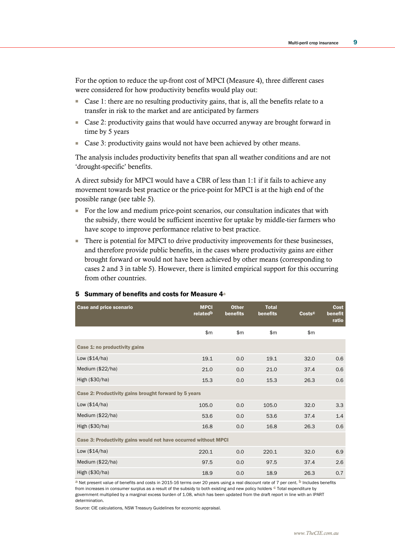For the option to reduce the up-front cost of MPCI (Measure 4), three different cases were considered for how productivity benefits would play out:

- Case 1: there are no resulting productivity gains, that is, all the benefits relate to a transfer in risk to the market and are anticipated by farmers
- Case 2: productivity gains that would have occurred anyway are brought forward in time by 5 years
- Case 3: productivity gains would not have been achieved by other means.

The analysis includes productivity benefits that span all weather conditions and are not 'drought-specific' benefits.

A direct subsidy for MPCI would have a CBR of less than 1:1 if it fails to achieve any movement towards best practice or the price-point for MPCI is at the high end of the possible range (see table 5).

- For the low and medium price-point scenarios, our consultation indicates that with the subsidy, there would be sufficient incentive for uptake by middle-tier farmers who have scope to improve performance relative to best practice.
- There is potential for MPCI to drive productivity improvements for these businesses, and therefore provide public benefits, in the cases where productivity gains are either brought forward or would not have been achieved by other means (corresponding to cases 2 and 3 in table 5). However, there is limited empirical support for this occurring from other countries.

| Case and price scenario                                         | <b>MPCI</b><br>related <sup>b</sup> | <b>Other</b><br>benefits | <b>Total</b><br>benefits | Costsc | <b>Cost</b><br>benefit<br>ratio |  |  |
|-----------------------------------------------------------------|-------------------------------------|--------------------------|--------------------------|--------|---------------------------------|--|--|
|                                                                 | \$m\$                               | \$m                      | \$m                      | \$m    |                                 |  |  |
| Case 1: no productivity gains                                   |                                     |                          |                          |        |                                 |  |  |
| Low $(\$14/ha)$                                                 | 19.1                                | 0.0                      | 19.1                     | 32.0   | 0.6                             |  |  |
| Medium (\$22/ha)                                                | 21.0                                | 0.0                      | 21.0                     | 37.4   | 0.6                             |  |  |
| High (\$30/ha)                                                  | 15.3                                | 0.0                      | 15.3                     | 26.3   | 0.6                             |  |  |
| Case 2: Productivity gains brought forward by 5 years           |                                     |                          |                          |        |                                 |  |  |
| Low $(\$14/ha)$                                                 | 105.0                               | 0.0                      | 105.0                    | 32.0   | 3.3                             |  |  |
| Medium (\$22/ha)                                                | 53.6                                | 0.0                      | 53.6                     | 37.4   | 1.4                             |  |  |
| High $(\$30/ha)$                                                | 16.8                                | 0.0                      | 16.8                     | 26.3   | 0.6                             |  |  |
| Case 3: Productivity gains would not have occurred without MPCI |                                     |                          |                          |        |                                 |  |  |
| Low $(\$14/ha)$                                                 | 220.1                               | 0.0                      | 220.1                    | 32.0   | 6.9                             |  |  |
| Medium (\$22/ha)                                                | 97.5                                | 0.0                      | 97.5                     | 37.4   | 2.6                             |  |  |
| High (\$30/ha)                                                  | 18.9                                | 0.0                      | 18.9                     | 26.3   | 0.7                             |  |  |

#### 5 Summary of benefits and costs for Measure 4<sup>a</sup>

a Net present value of benefits and costs in 2015-16 terms over 20 years using a real discount rate of 7 per cent. <sup>b</sup> Includes benefits from increases in consumer surplus as a result of the subsidy to both existing and new policy holders  $\degree$  Total expenditure by government multiplied by a marginal excess burden of 1.08, which has been updated from the draft report in line with an IPART determination.

*Source:* CIE calculations, NSW Treasury Guidelines for economic appraisal.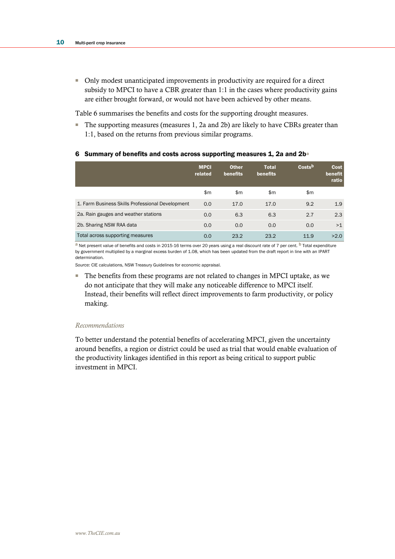■ Only modest unanticipated improvements in productivity are required for a direct subsidy to MPCI to have a CBR greater than 1:1 in the cases where productivity gains are either brought forward, or would not have been achieved by other means.

Table 6 summarises the benefits and costs for the supporting drought measures.

■ The supporting measures (measures 1, 2a and 2b) are likely to have CBRs greater than 1:1, based on the returns from previous similar programs.

#### 6 Summary of benefits and costs across supporting measures 1, 2a and 2b<sup>a</sup>

|                                                  | <b>MPCI</b><br>related | <b>Other</b><br>benefits | <b>Total</b><br>benefits | Costs <sup>b</sup> | <b>Cost</b><br>benefit<br>ratio |
|--------------------------------------------------|------------------------|--------------------------|--------------------------|--------------------|---------------------------------|
|                                                  | \$m                    | \$m                      | \$m                      | \$m                |                                 |
| 1. Farm Business Skills Professional Development | 0.0                    | 17.0                     | 17.0                     | 9.2                | 1.9                             |
| 2a. Rain gauges and weather stations             | 0.0                    | 6.3                      | 6.3                      | 2.7                | 2.3                             |
| 2b. Sharing NSW RAA data                         | 0.0                    | 0.0                      | 0.0                      | 0.0                | >1                              |
| Total across supporting measures                 | 0.0                    | 23.2                     | 23.2                     | 11.9               | >2.0                            |

a Net present value of benefits and costs in 2015-16 terms over 20 years using a real discount rate of 7 per cent. <sup>b</sup> Total expenditure by government multiplied by a marginal excess burden of 1.08, which has been updated from the draft report in line with an IPART determination.

*Source:* CIE calculations, NSW Treasury Guidelines for economic appraisal.

■ The benefits from these programs are not related to changes in MPCI uptake, as we do not anticipate that they will make any noticeable difference to MPCI itself. Instead, their benefits will reflect direct improvements to farm productivity, or policy making.

#### *Recommendations*

To better understand the potential benefits of accelerating MPCI, given the uncertainty around benefits, a region or district could be used as trial that would enable evaluation of the productivity linkages identified in this report as being critical to support public investment in MPCI.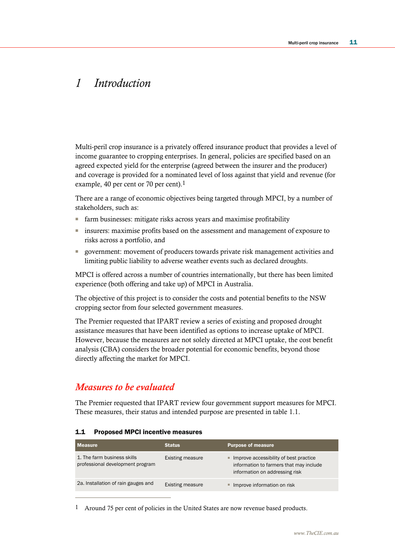# *1 Introduction*

Multi-peril crop insurance is a privately offered insurance product that provides a level of income guarantee to cropping enterprises. In general, policies are specified based on an agreed expected yield for the enterprise (agreed between the insurer and the producer) and coverage is provided for a nominated level of loss against that yield and revenue (for example, 40 per cent or 70 per cent).1

There are a range of economic objectives being targeted through MPCI, by a number of stakeholders, such as:

- farm businesses: mitigate risks across years and maximise profitability
- insurers: maximise profits based on the assessment and management of exposure to risks across a portfolio, and
- government: movement of producers towards private risk management activities and limiting public liability to adverse weather events such as declared droughts.

MPCI is offered across a number of countries internationally, but there has been limited experience (both offering and take up) of MPCI in Australia.

The objective of this project is to consider the costs and potential benefits to the NSW cropping sector from four selected government measures.

The Premier requested that IPART review a series of existing and proposed drought assistance measures that have been identified as options to increase uptake of MPCI. However, because the measures are not solely directed at MPCI uptake, the cost benefit analysis (CBA) considers the broader potential for economic benefits, beyond those directly affecting the market for MPCI.

## *Measures to be evaluated*

 $\overline{a}$ 

The Premier requested that IPART review four government support measures for MPCI. These measures, their status and intended purpose are presented in table 1.1.

## 1.1 Proposed MPCI incentive measures

| <b>Measure</b>                                                  | <b>Status</b>           | <b>Purpose of measure</b>                                                                                           |
|-----------------------------------------------------------------|-------------------------|---------------------------------------------------------------------------------------------------------------------|
| 1. The farm business skills<br>professional development program | Existing measure        | Improve accessibility of best practice<br>information to farmers that may include<br>information on addressing risk |
| 2a. Installation of rain gauges and                             | <b>Existing measure</b> | Improve information on risk                                                                                         |

1 Around 75 per cent of policies in the United States are now revenue based products.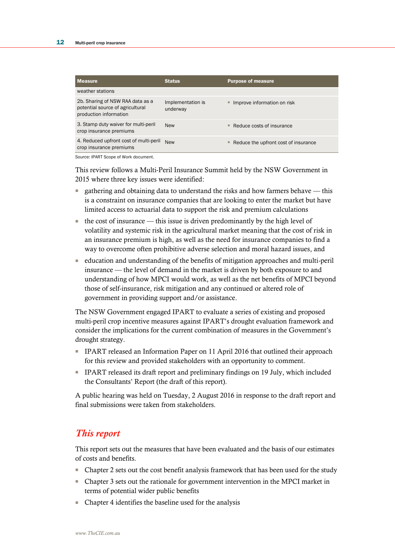| <b>Measure</b>                                                                                 | <b>Status</b>                 | <b>Purpose of measure</b>                 |
|------------------------------------------------------------------------------------------------|-------------------------------|-------------------------------------------|
| weather stations                                                                               |                               |                                           |
| 2b. Sharing of NSW RAA data as a<br>potential source of agricultural<br>production information | Implementation is<br>underway | Improve information on risk<br>ш          |
| 3. Stamp duty waiver for multi-peril<br>crop insurance premiums                                | <b>New</b>                    | Reduce costs of insurance<br>٠            |
| 4. Reduced upfront cost of multi-peril<br>crop insurance premiums                              | <b>New</b>                    | Reduce the upfront cost of insurance<br>ш |

*Source:* IPART Scope of Work document.

This review follows a Multi-Peril Insurance Summit held by the NSW Government in 2015 where three key issues were identified:

- gathering and obtaining data to understand the risks and how farmers behave this is a constraint on insurance companies that are looking to enter the market but have limited access to actuarial data to support the risk and premium calculations
- the cost of insurance this issue is driven predominantly by the high level of volatility and systemic risk in the agricultural market meaning that the cost of risk in an insurance premium is high, as well as the need for insurance companies to find a way to overcome often prohibitive adverse selection and moral hazard issues, and
- education and understanding of the benefits of mitigation approaches and multi-peril insurance — the level of demand in the market is driven by both exposure to and understanding of how MPCI would work, as well as the net benefits of MPCI beyond those of self-insurance, risk mitigation and any continued or altered role of government in providing support and/or assistance.

The NSW Government engaged IPART to evaluate a series of existing and proposed multi-peril crop incentive measures against IPART's drought evaluation framework and consider the implications for the current combination of measures in the Government's drought strategy.

- IPART released an Information Paper on 11 April 2016 that outlined their approach for this review and provided stakeholders with an opportunity to comment.
- IPART released its draft report and preliminary findings on 19 July, which included the Consultants' Report (the draft of this report).

A public hearing was held on Tuesday, 2 August 2016 in response to the draft report and final submissions were taken from stakeholders.

## *This report*

This report sets out the measures that have been evaluated and the basis of our estimates of costs and benefits.

- Chapter 2 sets out the cost benefit analysis framework that has been used for the study
- Chapter 3 sets out the rationale for government intervention in the MPCI market in terms of potential wider public benefits
- Chapter 4 identifies the baseline used for the analysis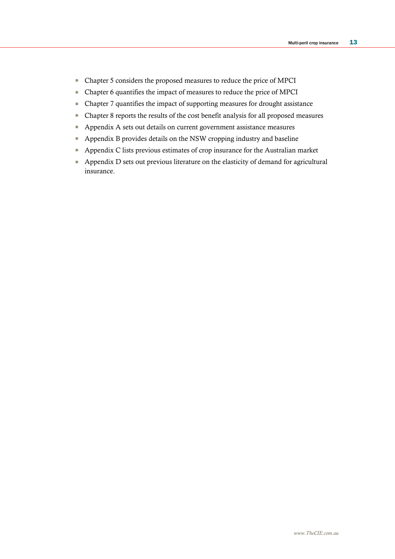- Chapter 5 considers the proposed measures to reduce the price of MPCI
- Chapter 6 quantifies the impact of measures to reduce the price of MPCI
- Chapter 7 quantifies the impact of supporting measures for drought assistance
- Chapter 8 reports the results of the cost benefit analysis for all proposed measures
- Appendix A sets out details on current government assistance measures
- Appendix B provides details on the NSW cropping industry and baseline
- Appendix C lists previous estimates of crop insurance for the Australian market
- Appendix D sets out previous literature on the elasticity of demand for agricultural insurance.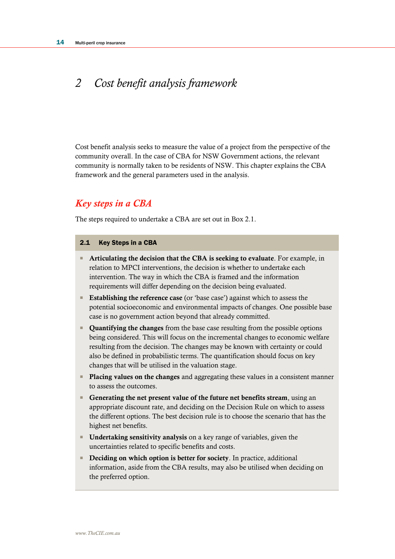# *2 Cost benefit analysis framework* -period in the crop in the crop in the crop in the crop in the crop in the crop in the crop in the crop in the crop in the crop in the crop in the crop in the crop in the crop in the c

Cost benefit analysis seeks to measure the value of a project from the perspective of the community overall. In the case of CBA for NSW Government actions, the relevant community is normally taken to be residents of NSW. This chapter explains the CBA framework and the general parameters used in the analysis.

## *Key steps in a CBA*

The steps required to undertake a CBA are set out in Box 2.1.

## 2.1 Key Steps in a CBA

- **Articulating the decision that the CBA is seeking to evaluate**. For example, in relation to MPCI interventions, the decision is whether to undertake each intervention. The way in which the CBA is framed and the information requirements will differ depending on the decision being evaluated.
- **Establishing the reference case** (or 'base case') against which to assess the potential socioeconomic and environmental impacts of changes. One possible base case is no government action beyond that already committed.
- **Quantifying the changes** from the base case resulting from the possible options being considered. This will focus on the incremental changes to economic welfare resulting from the decision. The changes may be known with certainty or could also be defined in probabilistic terms. The quantification should focus on key changes that will be utilised in the valuation stage.
- **Placing values on the changes** and aggregating these values in a consistent manner to assess the outcomes.
- **Generating the net present value of the future net benefits stream**, using an appropriate discount rate, and deciding on the Decision Rule on which to assess the different options. The best decision rule is to choose the scenario that has the highest net benefits.
- **Undertaking sensitivity analysis** on a key range of variables, given the uncertainties related to specific benefits and costs.
- **Deciding on which option is better for society**. In practice, additional information, aside from the CBA results, may also be utilised when deciding on the preferred option.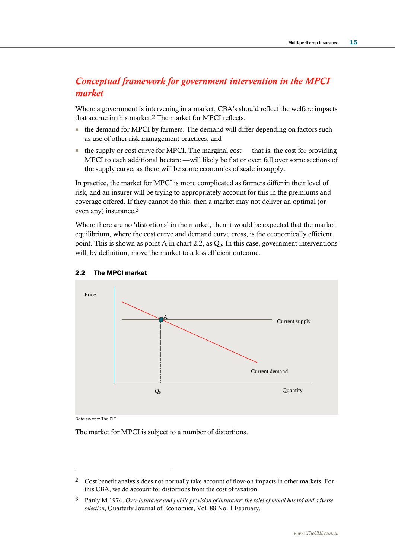## *Conceptual framework for government intervention in the MPCI market*

Where a government is intervening in a market, CBA's should reflect the welfare impacts that accrue in this market.2 The market for MPCI reflects:

- the demand for MPCI by farmers. The demand will differ depending on factors such as use of other risk management practices, and
- $\blacksquare$  the supply or cost curve for MPCI. The marginal cost that is, the cost for providing MPCI to each additional hectare —will likely be flat or even fall over some sections of the supply curve, as there will be some economies of scale in supply.

In practice, the market for MPCI is more complicated as farmers differ in their level of risk, and an insurer will be trying to appropriately account for this in the premiums and coverage offered. If they cannot do this, then a market may not deliver an optimal (or even any) insurance.3

Where there are no 'distortions' in the market, then it would be expected that the market equilibrium, where the cost curve and demand curve cross, is the economically efficient point. This is shown as point A in chart 2.2, as  $O_0$ . In this case, government interventions will, by definition, move the market to a less efficient outcome.



## 2.2 The MPCI market

*Data source:* The CIE.

 $\overline{a}$ 

The market for MPCI is subject to a number of distortions.

<sup>2</sup> Cost benefit analysis does not normally take account of flow-on impacts in other markets. For this CBA, we do account for distortions from the cost of taxation.

<sup>3</sup> Pauly M 1974, *Over-insurance and public provision of insurance: the roles of moral hazard and adverse selection*, Quarterly Journal of Economics, Vol. 88 No. 1 February.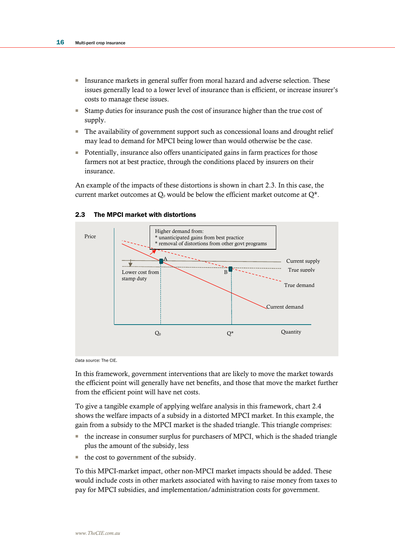- Insurance markets in general suffer from moral hazard and adverse selection. These issues generally lead to a lower level of insurance than is efficient, or increase insurer's costs to manage these issues.
- Stamp duties for insurance push the cost of insurance higher than the true cost of supply.
- The availability of government support such as concessional loans and drought relief may lead to demand for MPCI being lower than would otherwise be the case.
- Potentially, insurance also offers unanticipated gains in farm practices for those farmers not at best practice, through the conditions placed by insurers on their insurance.

An example of the impacts of these distortions is shown in chart 2.3. In this case, the current market outcomes at  $Q_0$  would be below the efficient market outcome at  $Q^*$ .



## 2.3 The MPCI market with distortions

*Data source:* The CIE.

In this framework, government interventions that are likely to move the market towards the efficient point will generally have net benefits, and those that move the market further from the efficient point will have net costs.

To give a tangible example of applying welfare analysis in this framework, chart 2.4 shows the welfare impacts of a subsidy in a distorted MPCI market. In this example, the gain from a subsidy to the MPCI market is the shaded triangle. This triangle comprises:

- the increase in consumer surplus for purchasers of MPCI, which is the shaded triangle plus the amount of the subsidy, less
- the cost to government of the subsidy.

To this MPCI-market impact, other non-MPCI market impacts should be added. These would include costs in other markets associated with having to raise money from taxes to pay for MPCI subsidies, and implementation/administration costs for government.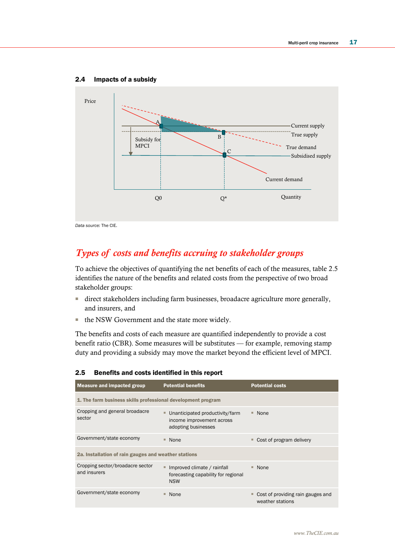## 2.4 Impacts of a subsidy



## *Types of costs and benefits accruing to stakeholder groups*

To achieve the objectives of quantifying the net benefits of each of the measures, table 2.5 identifies the nature of the benefits and related costs from the perspective of two broad stakeholder groups:

- direct stakeholders including farm businesses, broadacre agriculture more generally, and insurers, and
- the NSW Government and the state more widely.

The benefits and costs of each measure are quantified independently to provide a cost benefit ratio (CBR). Some measures will be substitutes — for example, removing stamp duty and providing a subsidy may move the market beyond the efficient level of MPCI.

| Measure and impacted group                                   | <b>Potential benefits</b>                                                                             | <b>Potential costs</b>                                |
|--------------------------------------------------------------|-------------------------------------------------------------------------------------------------------|-------------------------------------------------------|
| 1. The farm business skills professional development program |                                                                                                       |                                                       |
| Cropping and general broadacre<br>sector                     | Unanticipated productivity/farm<br>$\blacksquare$<br>income improvement across<br>adopting businesses | $\blacksquare$ None                                   |
| Government/state economy                                     | ٠<br>None                                                                                             | Cost of program delivery<br>ш                         |
| 2a. Installation of rain gauges and weather stations         |                                                                                                       |                                                       |
| Cropping sector/broadacre sector<br>and insurers             | Improved climate / rainfall<br>٠<br>forecasting capability for regional<br><b>NSW</b>                 | $\blacksquare$ None                                   |
| Government/state economy                                     | ٠<br>None                                                                                             | Cost of providing rain gauges and<br>weather stations |

| 2.5 |  |  |  | Benefits and costs identified in this report |  |  |  |
|-----|--|--|--|----------------------------------------------|--|--|--|
|-----|--|--|--|----------------------------------------------|--|--|--|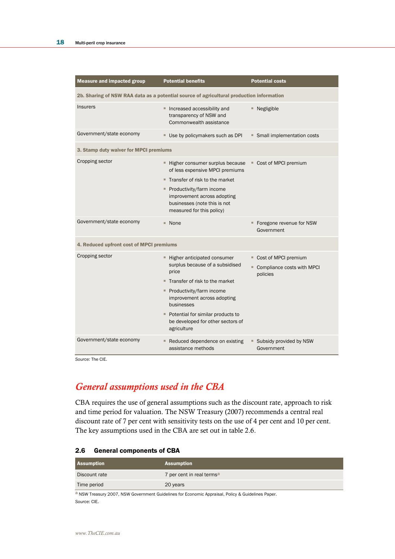| <b>Measure and impacted group</b>                                                        | <b>Potential benefits</b>                                                                                                 | <b>Potential costs</b>                                         |  |  |  |
|------------------------------------------------------------------------------------------|---------------------------------------------------------------------------------------------------------------------------|----------------------------------------------------------------|--|--|--|
| 2b. Sharing of NSW RAA data as a potential source of agricultural production information |                                                                                                                           |                                                                |  |  |  |
| <b>Insurers</b>                                                                          | Increased accessibility and<br>ш<br>transparency of NSW and<br>Commonwealth assistance                                    | Negligible<br>٠                                                |  |  |  |
| Government/state economy                                                                 | Use by policymakers such as DPI                                                                                           | • Small implementation costs                                   |  |  |  |
| 3. Stamp duty waiver for MPCI premiums                                                   |                                                                                                                           |                                                                |  |  |  |
| Cropping sector                                                                          | - Higher consumer surplus because<br>of less expensive MPCI premiums                                                      | Cost of MPCI premium                                           |  |  |  |
|                                                                                          | Transfer of risk to the market<br>$\blacksquare$                                                                          |                                                                |  |  |  |
|                                                                                          | Productivity/farm income<br>ш<br>improvement across adopting<br>businesses (note this is not<br>measured for this policy) |                                                                |  |  |  |
| Government/state economy                                                                 | None                                                                                                                      | Foregone revenue for NSW<br>Government                         |  |  |  |
| 4. Reduced upfront cost of MPCI premiums                                                 |                                                                                                                           |                                                                |  |  |  |
| Cropping sector                                                                          | Higher anticipated consumer<br>٠<br>surplus because of a subsidised<br>price                                              | Cost of MPCI premium<br>Compliance costs with MPCI<br>policies |  |  |  |
|                                                                                          | Transfer of risk to the market                                                                                            |                                                                |  |  |  |
|                                                                                          | ■ Productivity/farm income<br>improvement across adopting<br>businesses                                                   |                                                                |  |  |  |
|                                                                                          | Potential for similar products to<br>be developed for other sectors of<br>agriculture                                     |                                                                |  |  |  |
| Government/state economy                                                                 | Reduced dependence on existing<br>ш<br>assistance methods                                                                 | ■ Subsidy provided by NSW<br>Government                        |  |  |  |

*Source:* The CIE.

## *General assumptions used in the CBA*

CBA requires the use of general assumptions such as the discount rate, approach to risk and time period for valuation. The NSW Treasury (2007) recommends a central real discount rate of 7 per cent with sensitivity tests on the use of 4 per cent and 10 per cent. The key assumptions used in the CBA are set out in table 2.6.

### 2.6 General components of CBA

| <b>Assumption</b> | <b>Assumption</b>                     |
|-------------------|---------------------------------------|
| Discount rate     | 7 per cent in real terms <sup>a</sup> |
| Time period       | 20 years                              |

a NSW Treasury 2007, NSW Government Guidelines for Economic Appraisal, Policy & Guidelines Paper. *Source:* CIE.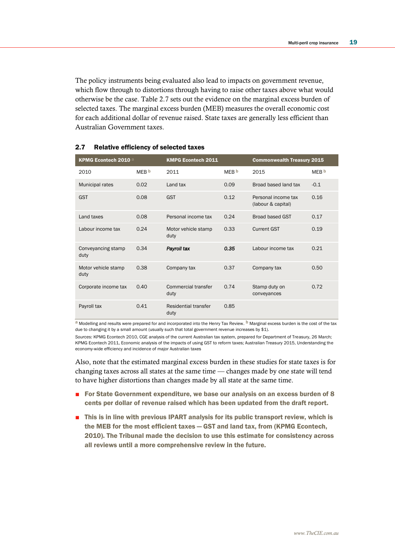The policy instruments being evaluated also lead to impacts on government revenue, which flow through to distortions through having to raise other taxes above what would otherwise be the case. Table 2.7 sets out the evidence on the marginal excess burden of selected taxes. The marginal excess burden (MEB) measures the overall economic cost for each additional dollar of revenue raised. State taxes are generally less efficient than Australian Government taxes.

| <b>KPMG Econtech 2010 a</b> |                  | <b>KMPG Econtech 2011</b>    |                  | <b>Commonwealth Treasury 2015</b>         |                  |
|-----------------------------|------------------|------------------------------|------------------|-------------------------------------------|------------------|
| 2010                        | MEB <sup>b</sup> | 2011                         | MEB <sup>b</sup> | 2015                                      | MEB <sup>b</sup> |
| Municipal rates             | 0.02             | Land tax                     | 0.09             | Broad based land tax                      | $-0.1$           |
| <b>GST</b>                  | 0.08             | <b>GST</b>                   | 0.12             | Personal income tax<br>(labour & capital) | 0.16             |
| Land taxes                  | 0.08             | Personal income tax          | 0.24             | <b>Broad based GST</b>                    | 0.17             |
| Labour income tax           | 0.24             | Motor vehicle stamp<br>duty  | 0.33             | <b>Current GST</b>                        | 0.19             |
| Conveyancing stamp<br>duty  | 0.34             | Payroll tax                  | 0.35             | Labour income tax                         | 0.21             |
| Motor vehicle stamp<br>duty | 0.38             | Company tax                  | 0.37             | Company tax                               | 0.50             |
| Corporate income tax        | 0.40             | Commercial transfer<br>duty  | 0.74             | Stamp duty on<br>conveyances              | 0.72             |
| Payroll tax                 | 0.41             | Residential transfer<br>duty | 0.85             |                                           |                  |

## 2.7 Relative efficiency of selected taxes

a Modelling and results were prepared for and incorporated into the Henry Tax Review. <sup>b</sup> Marginal excess burden is the cost of the tax due to changing it by a small amount (usually such that total government revenue increases by \$1).

*Sources:* KPMG Econtech 2010, CGE analysis of the current Australian tax system, prepared for Department of Treasury, 26 March; KPMG Econtech 2011, Economic analysis of the impacts of using GST to reform taxes; Australian Treasury 2015, Understanding the economy-wide efficiency and incidence of major Australian taxes

Also, note that the estimated marginal excess burden in these studies for state taxes is for changing taxes across all states at the same time — changes made by one state will tend to have higher distortions than changes made by all state at the same time.

- For State Government expenditure, we base our analysis on an excess burden of 8 cents per dollar of revenue raised which has been updated from the draft report.
- This is in line with previous IPART analysis for its public transport review, which is the MEB for the most efficient taxes — GST and land tax, from (KPMG Econtech, 2010). The Tribunal made the decision to use this estimate for consistency across all reviews until a more comprehensive review in the future.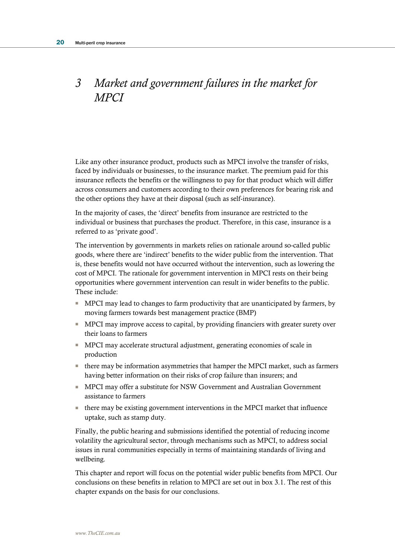# *3 Market and government failures in the market for MPCI*

Like any other insurance product, products such as MPCI involve the transfer of risks, faced by individuals or businesses, to the insurance market. The premium paid for this insurance reflects the benefits or the willingness to pay for that product which will differ across consumers and customers according to their own preferences for bearing risk and the other options they have at their disposal (such as self-insurance).

In the majority of cases, the 'direct' benefits from insurance are restricted to the individual or business that purchases the product. Therefore, in this case, insurance is a referred to as 'private good'.

The intervention by governments in markets relies on rationale around so-called public goods, where there are 'indirect' benefits to the wider public from the intervention. That is, these benefits would not have occurred without the intervention, such as lowering the cost of MPCI. The rationale for government intervention in MPCI rests on their being opportunities where government intervention can result in wider benefits to the public. These include:

- MPCI may lead to changes to farm productivity that are unanticipated by farmers, by moving farmers towards best management practice (BMP)
- MPCI may improve access to capital, by providing financiers with greater surety over their loans to farmers
- MPCI may accelerate structural adjustment, generating economies of scale in production
- there may be information asymmetries that hamper the MPCI market, such as farmers having better information on their risks of crop failure than insurers; and
- MPCI may offer a substitute for NSW Government and Australian Government assistance to farmers
- there may be existing government interventions in the MPCI market that influence uptake, such as stamp duty.

Finally, the public hearing and submissions identified the potential of reducing income volatility the agricultural sector, through mechanisms such as MPCI, to address social issues in rural communities especially in terms of maintaining standards of living and wellbeing.

This chapter and report will focus on the potential wider public benefits from MPCI. Our conclusions on these benefits in relation to MPCI are set out in box 3.1. The rest of this chapter expands on the basis for our conclusions.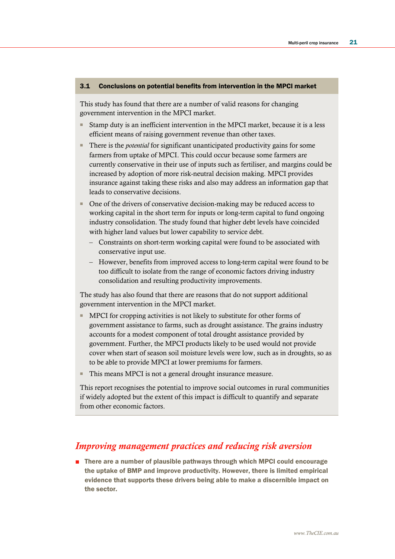#### 3.1 Conclusions on potential benefits from intervention in the MPCI market

This study has found that there are a number of valid reasons for changing government intervention in the MPCI market.

- Stamp duty is an inefficient intervention in the MPCI market, because it is a less efficient means of raising government revenue than other taxes.
- There is the *potential* for significant unanticipated productivity gains for some farmers from uptake of MPCI. This could occur because some farmers are currently conservative in their use of inputs such as fertiliser, and margins could be increased by adoption of more risk-neutral decision making. MPCI provides insurance against taking these risks and also may address an information gap that leads to conservative decisions.
- One of the drivers of conservative decision-making may be reduced access to working capital in the short term for inputs or long-term capital to fund ongoing industry consolidation. The study found that higher debt levels have coincided with higher land values but lower capability to service debt.
	- Constraints on short-term working capital were found to be associated with conservative input use.
	- However, benefits from improved access to long-term capital were found to be too difficult to isolate from the range of economic factors driving industry consolidation and resulting productivity improvements.

The study has also found that there are reasons that do not support additional government intervention in the MPCI market.

- MPCI for cropping activities is not likely to substitute for other forms of government assistance to farms, such as drought assistance. The grains industry accounts for a modest component of total drought assistance provided by government. Further, the MPCI products likely to be used would not provide cover when start of season soil moisture levels were low, such as in droughts, so as to be able to provide MPCI at lower premiums for farmers.
- This means MPCI is not a general drought insurance measure.

This report recognises the potential to improve social outcomes in rural communities if widely adopted but the extent of this impact is difficult to quantify and separate from other economic factors.

## *Improving management practices and reducing risk aversion*

■ There are a number of plausible pathways through which MPCI could encourage the uptake of BMP and improve productivity. However, there is limited empirical evidence that supports these drivers being able to make a discernible impact on the sector.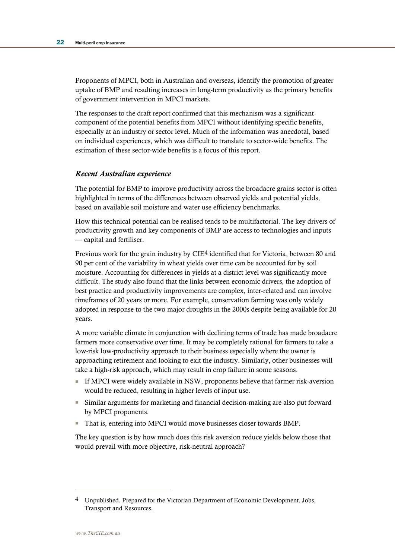Proponents of MPCI, both in Australian and overseas, identify the promotion of greater uptake of BMP and resulting increases in long-term productivity as the primary benefits of government intervention in MPCI markets.

The responses to the draft report confirmed that this mechanism was a significant component of the potential benefits from MPCI without identifying specific benefits, especially at an industry or sector level. Much of the information was anecdotal, based on individual experiences, which was difficult to translate to sector-wide benefits. The estimation of these sector-wide benefits is a focus of this report.

## *Recent Australian experience*

The potential for BMP to improve productivity across the broadacre grains sector is often highlighted in terms of the differences between observed yields and potential yields, based on available soil moisture and water use efficiency benchmarks.

How this technical potential can be realised tends to be multifactorial. The key drivers of productivity growth and key components of BMP are access to technologies and inputs — capital and fertiliser.

Previous work for the grain industry by CIE4 identified that for Victoria, between 80 and 90 per cent of the variability in wheat yields over time can be accounted for by soil moisture. Accounting for differences in yields at a district level was significantly more difficult. The study also found that the links between economic drivers, the adoption of best practice and productivity improvements are complex, inter-related and can involve timeframes of 20 years or more. For example, conservation farming was only widely adopted in response to the two major droughts in the 2000s despite being available for 20 years.

A more variable climate in conjunction with declining terms of trade has made broadacre farmers more conservative over time. It may be completely rational for farmers to take a low-risk low-productivity approach to their business especially where the owner is approaching retirement and looking to exit the industry. Similarly, other businesses will take a high-risk approach, which may result in crop failure in some seasons.

- If MPCI were widely available in NSW, proponents believe that farmer risk-aversion would be reduced, resulting in higher levels of input use.
- Similar arguments for marketing and financial decision-making are also put forward by MPCI proponents.
- That is, entering into MPCI would move businesses closer towards BMP.

The key question is by how much does this risk aversion reduce yields below those that would prevail with more objective, risk-neutral approach?

 $\overline{a}$ 

<sup>4</sup> Unpublished. Prepared for the Victorian Department of Economic Development. Jobs, Transport and Resources.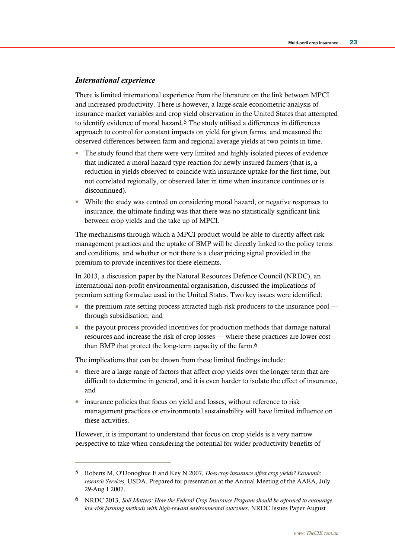## *International experience*

 $\overline{a}$ 

There is limited international experience from the literature on the link between MPCI and increased productivity. There is however, a large-scale econometric analysis of insurance market variables and crop yield observation in the United States that attempted to identify evidence of moral hazard.5 The study utilised a differences in differences approach to control for constant impacts on yield for given farms, and measured the observed differences between farm and regional average yields at two points in time.

- The study found that there were very limited and highly isolated pieces of evidence that indicated a moral hazard type reaction for newly insured farmers (that is, a reduction in yields observed to coincide with insurance uptake for the first time, but not correlated regionally, or observed later in time when insurance continues or is discontinued).
- While the study was centred on considering moral hazard, or negative responses to insurance, the ultimate finding was that there was no statistically significant link between crop yields and the take up of MPCI.

The mechanisms through which a MPCI product would be able to directly affect risk management practices and the uptake of BMP will be directly linked to the policy terms and conditions, and whether or not there is a clear pricing signal provided in the premium to provide incentives for these elements.

In 2013, a discussion paper by the Natural Resources Defence Council (NRDC), an international non-profit environmental organisation, discussed the implications of premium setting formulae used in the United States. Two key issues were identified:

- $\blacksquare$  the premium rate setting process attracted high-risk producers to the insurance pool through subsidisation, and
- the payout process provided incentives for production methods that damage natural resources and increase the risk of crop losses — where these practices are lower cost than BMP that protect the long-term capacity of the farm.6

The implications that can be drawn from these limited findings include:

- there are a large range of factors that affect crop yields over the longer term that are difficult to determine in general, and it is even harder to isolate the effect of insurance, and
- insurance policies that focus on yield and losses, without reference to risk management practices or environmental sustainability will have limited influence on these activities.

However, it is important to understand that focus on crop yields is a very narrow perspective to take when considering the potential for wider productivity benefits of

<sup>5</sup> Roberts M, O'Donoghue E and Key N 2007, *Does crop insurance affect crop yields? Economic research Services*, USDA. Prepared for presentation at the Annual Meeting of the AAEA, July 29-Aug 1 2007.

<sup>6</sup> NRDC 2013, *Soil Matters: How the Federal Crop Insurance Program should be reformed to encourage low-risk farming methods with high-reward environmental outcomes*. NRDC Issues Paper August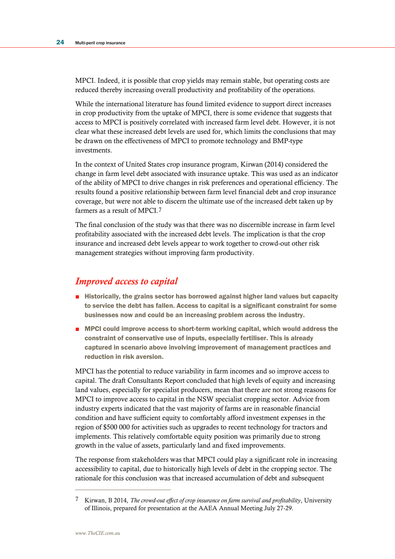MPCI. Indeed, it is possible that crop yields may remain stable, but operating costs are reduced thereby increasing overall productivity and profitability of the operations.

While the international literature has found limited evidence to support direct increases in crop productivity from the uptake of MPCI, there is some evidence that suggests that access to MPCI is positively correlated with increased farm level debt. However, it is not clear what these increased debt levels are used for, which limits the conclusions that may be drawn on the effectiveness of MPCI to promote technology and BMP-type investments.

In the context of United States crop insurance program, Kirwan (2014) considered the change in farm level debt associated with insurance uptake. This was used as an indicator of the ability of MPCI to drive changes in risk preferences and operational efficiency. The results found a positive relationship between farm level financial debt and crop insurance coverage, but were not able to discern the ultimate use of the increased debt taken up by farmers as a result of MPCI.7

The final conclusion of the study was that there was no discernible increase in farm level profitability associated with the increased debt levels. The implication is that the crop insurance and increased debt levels appear to work together to crowd-out other risk management strategies without improving farm productivity.

## *Improved access to capital*

- Historically, the grains sector has borrowed against higher land values but capacity to service the debt has fallen. Access to capital is a significant constraint for some businesses now and could be an increasing problem across the industry.
- MPCI could improve access to short-term working capital, which would address the constraint of conservative use of inputs, especially fertiliser. This is already captured in scenario above involving improvement of management practices and reduction in risk aversion.

MPCI has the potential to reduce variability in farm incomes and so improve access to capital. The draft Consultants Report concluded that high levels of equity and increasing land values, especially for specialist producers, mean that there are not strong reasons for MPCI to improve access to capital in the NSW specialist cropping sector. Advice from industry experts indicated that the vast majority of farms are in reasonable financial condition and have sufficient equity to comfortably afford investment expenses in the region of \$500 000 for activities such as upgrades to recent technology for tractors and implements. This relatively comfortable equity position was primarily due to strong growth in the value of assets, particularly land and fixed improvements.

The response from stakeholders was that MPCI could play a significant role in increasing accessibility to capital, due to historically high levels of debt in the cropping sector. The rationale for this conclusion was that increased accumulation of debt and subsequent

 $\overline{a}$ 

<sup>7</sup> Kirwan, B 2014, *The crowd-out effect of crop insurance on farm survival and profitability*, University of Illinois, prepared for presentation at the AAEA Annual Meeting July 27-29.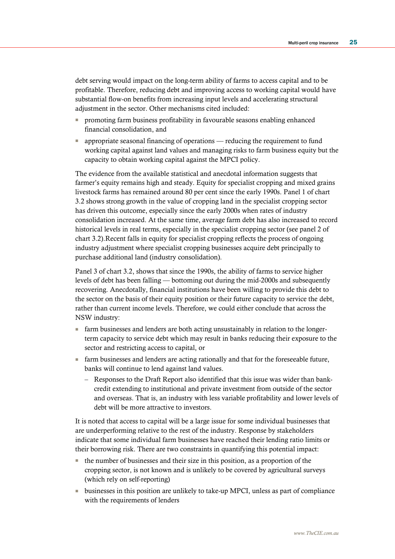debt serving would impact on the long-term ability of farms to access capital and to be profitable. Therefore, reducing debt and improving access to working capital would have substantial flow-on benefits from increasing input levels and accelerating structural adjustment in the sector. Other mechanisms cited included:

- promoting farm business profitability in favourable seasons enabling enhanced financial consolidation, and
- appropriate seasonal financing of operations reducing the requirement to fund working capital against land values and managing risks to farm business equity but the capacity to obtain working capital against the MPCI policy.

The evidence from the available statistical and anecdotal information suggests that farmer's equity remains high and steady. Equity for specialist cropping and mixed grains livestock farms has remained around 80 per cent since the early 1990s. Panel 1 of chart 3.2 shows strong growth in the value of cropping land in the specialist cropping sector has driven this outcome, especially since the early 2000s when rates of industry consolidation increased. At the same time, average farm debt has also increased to record historical levels in real terms, especially in the specialist cropping sector (see panel 2 of chart 3.2).Recent falls in equity for specialist cropping reflects the process of ongoing industry adjustment where specialist cropping businesses acquire debt principally to purchase additional land (industry consolidation).

Panel 3 of chart 3.2, shows that since the 1990s, the ability of farms to service higher levels of debt has been falling — bottoming out during the mid-2000s and subsequently recovering. Anecdotally, financial institutions have been willing to provide this debt to the sector on the basis of their equity position or their future capacity to service the debt, rather than current income levels. Therefore, we could either conclude that across the NSW industry:

- farm businesses and lenders are both acting unsustainably in relation to the longerterm capacity to service debt which may result in banks reducing their exposure to the sector and restricting access to capital, or
- farm businesses and lenders are acting rationally and that for the foreseeable future, banks will continue to lend against land values.
	- Responses to the Draft Report also identified that this issue was wider than bankcredit extending to institutional and private investment from outside of the sector and overseas. That is, an industry with less variable profitability and lower levels of debt will be more attractive to investors.

It is noted that access to capital will be a large issue for some individual businesses that are underperforming relative to the rest of the industry. Response by stakeholders indicate that some individual farm businesses have reached their lending ratio limits or their borrowing risk. There are two constraints in quantifying this potential impact:

- the number of businesses and their size in this position, as a proportion of the cropping sector, is not known and is unlikely to be covered by agricultural surveys (which rely on self-reporting)
- businesses in this position are unlikely to take-up MPCI, unless as part of compliance with the requirements of lenders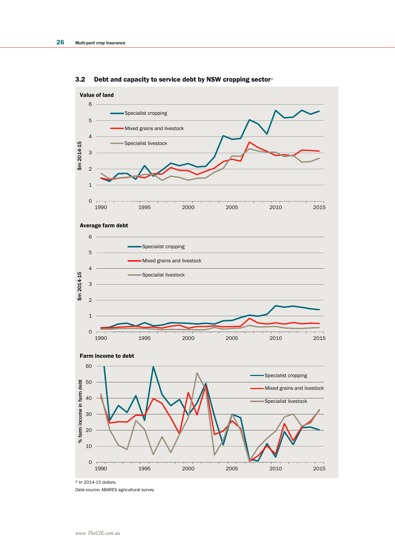

3.2 Debt and capacity to service debt by NSW cropping sectoral

*Data source:* ABARES agricultural survey

a In 2014-15 dollars.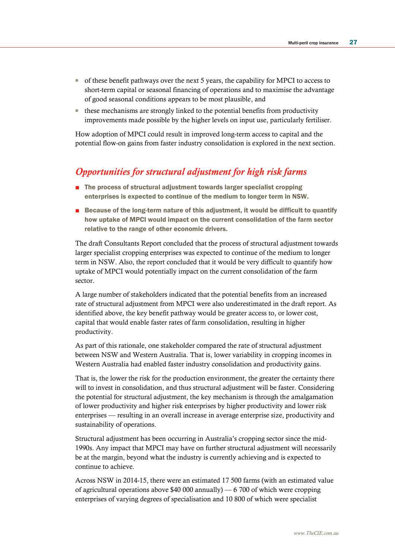- of these benefit pathways over the next 5 years, the capability for MPCI to access to short-term capital or seasonal financing of operations and to maximise the advantage of good seasonal conditions appears to be most plausible, and
- these mechanisms are strongly linked to the potential benefits from productivity improvements made possible by the higher levels on input use, particularly fertiliser.

How adoption of MPCI could result in improved long-term access to capital and the potential flow-on gains from faster industry consolidation is explored in the next section.

## *Opportunities for structural adjustment for high risk farms*

- The process of structural adjustment towards larger specialist cropping enterprises is expected to continue of the medium to longer term in NSW.
- Because of the long-term nature of this adjustment, it would be difficult to quantify how uptake of MPCI would impact on the current consolidation of the farm sector relative to the range of other economic drivers.

The draft Consultants Report concluded that the process of structural adjustment towards larger specialist cropping enterprises was expected to continue of the medium to longer term in NSW. Also, the report concluded that it would be very difficult to quantify how uptake of MPCI would potentially impact on the current consolidation of the farm sector.

A large number of stakeholders indicated that the potential benefits from an increased rate of structural adjustment from MPCI were also underestimated in the draft report. As identified above, the key benefit pathway would be greater access to, or lower cost, capital that would enable faster rates of farm consolidation, resulting in higher productivity.

As part of this rationale, one stakeholder compared the rate of structural adjustment between NSW and Western Australia. That is, lower variability in cropping incomes in Western Australia had enabled faster industry consolidation and productivity gains.

That is, the lower the risk for the production environment, the greater the certainty there will to invest in consolidation, and thus structural adjustment will be faster. Considering the potential for structural adjustment, the key mechanism is through the amalgamation of lower productivity and higher risk enterprises by higher productivity and lower risk enterprises — resulting in an overall increase in average enterprise size, productivity and sustainability of operations.

Structural adjustment has been occurring in Australia's cropping sector since the mid-1990s. Any impact that MPCI may have on further structural adjustment will necessarily be at the margin, beyond what the industry is currently achieving and is expected to continue to achieve.

Across NSW in 2014-15, there were an estimated 17 500 farms (with an estimated value of agricultural operations above  $$40,000$  annually) — 6 700 of which were cropping enterprises of varying degrees of specialisation and 10 800 of which were specialist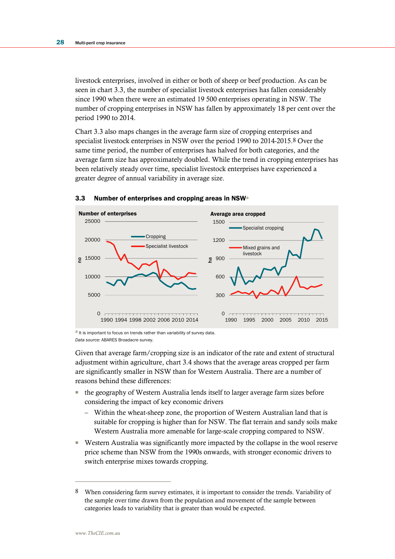livestock enterprises, involved in either or both of sheep or beef production. As can be seen in chart 3.3, the number of specialist livestock enterprises has fallen considerably since 1990 when there were an estimated 19 500 enterprises operating in NSW. The number of cropping enterprises in NSW has fallen by approximately 18 per cent over the period 1990 to 2014.

Chart 3.3 also maps changes in the average farm size of cropping enterprises and specialist livestock enterprises in NSW over the period 1990 to 2014-2015.8 Over the same time period, the number of enterprises has halved for both categories, and the average farm size has approximately doubled. While the trend in cropping enterprises has been relatively steady over time, specialist livestock enterprises have experienced a greater degree of annual variability in average size.



#### 3.3 Number of enterprises and cropping areas in NSW<sup>a</sup>

a It is important to focus on trends rather than variability of survey data. *Data source:* ABARES Broadacre survey.

Given that average farm/cropping size is an indicator of the rate and extent of structural adjustment within agriculture, chart 3.4 shows that the average areas cropped per farm are significantly smaller in NSW than for Western Australia. There are a number of reasons behind these differences:

- the geography of Western Australia lends itself to larger average farm sizes before considering the impact of key economic drivers
	- Within the wheat-sheep zone, the proportion of Western Australian land that is suitable for cropping is higher than for NSW. The flat terrain and sandy soils make Western Australia more amenable for large-scale cropping compared to NSW.
- Western Australia was significantly more impacted by the collapse in the wool reserve price scheme than NSW from the 1990s onwards, with stronger economic drivers to switch enterprise mixes towards cropping.

 $\overline{a}$ 

<sup>8</sup> When considering farm survey estimates, it is important to consider the trends. Variability of the sample over time drawn from the population and movement of the sample between categories leads to variability that is greater than would be expected.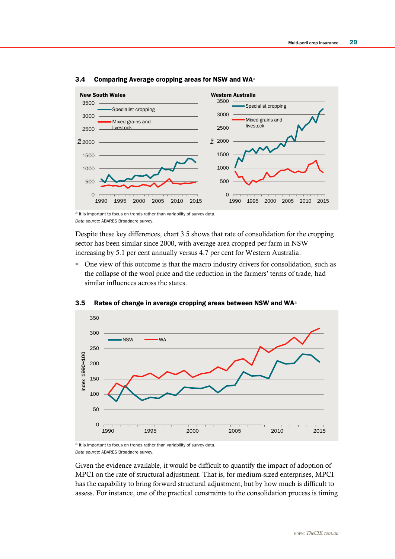

### 3.4 Comparing Average cropping areas for NSW and WA<sup>a</sup>

a It is important to focus on trends rather than variability of survey data. *Data source:* ABARES Broadacre survey.

Despite these key differences, chart 3.5 shows that rate of consolidation for the cropping sector has been similar since 2000, with average area cropped per farm in NSW increasing by 5.1 per cent annually versus 4.7 per cent for Western Australia.

■ One view of this outcome is that the macro industry drivers for consolidation, such as the collapse of the wool price and the reduction in the farmers' terms of trade, had similar influences across the states.



3.5 Rates of change in average cropping areas between NSW and WA<sup>a</sup>

a It is important to focus on trends rather than variability of survey data. *Data source:* ABARES Broadacre survey.

Given the evidence available, it would be difficult to quantify the impact of adoption of MPCI on the rate of structural adjustment. That is, for medium-sized enterprises, MPCI has the capability to bring forward structural adjustment, but by how much is difficult to assess. For instance, one of the practical constraints to the consolidation process is timing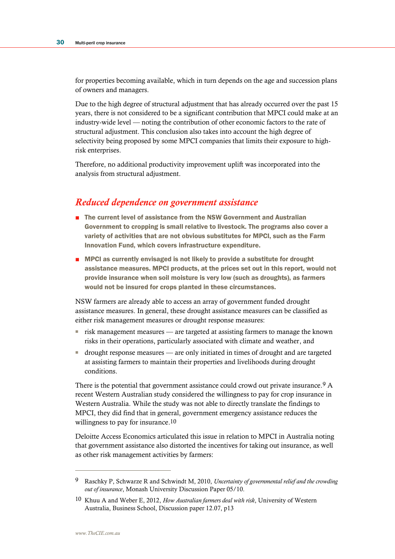for properties becoming available, which in turn depends on the age and succession plans of owners and managers.

Due to the high degree of structural adjustment that has already occurred over the past 15 years, there is not considered to be a significant contribution that MPCI could make at an industry-wide level — noting the contribution of other economic factors to the rate of structural adjustment. This conclusion also takes into account the high degree of selectivity being proposed by some MPCI companies that limits their exposure to highrisk enterprises.

Therefore, no additional productivity improvement uplift was incorporated into the analysis from structural adjustment.

## *Reduced dependence on government assistance*

- The current level of assistance from the NSW Government and Australian Government to cropping is small relative to livestock. The programs also cover a variety of activities that are not obvious substitutes for MPCI, such as the Farm Innovation Fund, which covers infrastructure expenditure.
- MPCI as currently envisaged is not likely to provide a substitute for drought assistance measures. MPCI products, at the prices set out in this report, would not provide insurance when soil moisture is very low (such as droughts), as farmers would not be insured for crops planted in these circumstances.

NSW farmers are already able to access an array of government funded drought assistance measures. In general, these drought assistance measures can be classified as either risk management measures or drought response measures:

- risk management measures are targeted at assisting farmers to manage the known risks in their operations, particularly associated with climate and weather, and
- drought response measures are only initiated in times of drought and are targeted at assisting farmers to maintain their properties and livelihoods during drought conditions.

There is the potential that government assistance could crowd out private insurance.9 A recent Western Australian study considered the willingness to pay for crop insurance in Western Australia. While the study was not able to directly translate the findings to MPCI, they did find that in general, government emergency assistance reduces the willingness to pay for insurance.<sup>10</sup>

Deloitte Access Economics articulated this issue in relation to MPCI in Australia noting that government assistance also distorted the incentives for taking out insurance, as well as other risk management activities by farmers:

 $\overline{a}$ 

<sup>9</sup> Raschky P, Schwarze R and Schwindt M, 2010, *Uncertainty of governmental relief and the crowding out of insurance*, Monash University Discussion Paper 05/10.

<sup>10</sup> Khuu A and Weber E, 2012, *How Australian farmers deal with risk*, University of Western Australia, Business School, Discussion paper 12.07, p13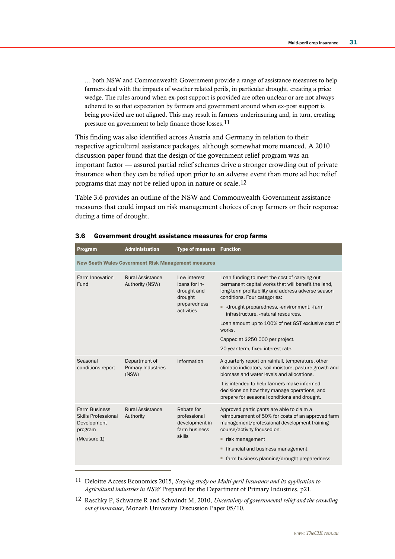… both NSW and Commonwealth Government provide a range of assistance measures to help farmers deal with the impacts of weather related perils, in particular drought, creating a price wedge. The rules around when ex-post support is provided are often unclear or are not always adhered to so that expectation by farmers and government around when ex-post support is being provided are not aligned. This may result in farmers underinsuring and, in turn, creating pressure on government to help finance those losses.11

This finding was also identified across Austria and Germany in relation to their respective agricultural assistance packages, although somewhat more nuanced. A 2010 discussion paper found that the design of the government relief program was an important factor — assured partial relief schemes drive a stronger crowding out of private insurance when they can be relied upon prior to an adverse event than more ad hoc relief programs that may not be relied upon in nature or scale.12

Table 3.6 provides an outline of the NSW and Commonwealth Government assistance measures that could impact on risk management choices of crop farmers or their response during a time of drought.

| Program                                                                                                                                                                                                        | <b>Administration</b>                                                                                                                                                                               | <b>Type of measure Function</b>                                                       |                                                                                                                                                                                            |  |
|----------------------------------------------------------------------------------------------------------------------------------------------------------------------------------------------------------------|-----------------------------------------------------------------------------------------------------------------------------------------------------------------------------------------------------|---------------------------------------------------------------------------------------|--------------------------------------------------------------------------------------------------------------------------------------------------------------------------------------------|--|
| <b>New South Wales Government Risk Management measures</b>                                                                                                                                                     |                                                                                                                                                                                                     |                                                                                       |                                                                                                                                                                                            |  |
| Farm Innovation<br>Fund                                                                                                                                                                                        | <b>Rural Assistance</b><br>Authority (NSW)                                                                                                                                                          | Low interest<br>loans for in-<br>drought and<br>drought<br>preparedness<br>activities | Loan funding to meet the cost of carrying out<br>permanent capital works that will benefit the land,<br>long-term profitability and address adverse season<br>conditions. Four categories: |  |
|                                                                                                                                                                                                                |                                                                                                                                                                                                     |                                                                                       | - - drought preparedness, -environment, -farm<br>infrastructure, -natural resources.                                                                                                       |  |
|                                                                                                                                                                                                                |                                                                                                                                                                                                     |                                                                                       | Loan amount up to 100% of net GST exclusive cost of<br>works.                                                                                                                              |  |
|                                                                                                                                                                                                                |                                                                                                                                                                                                     |                                                                                       | Capped at \$250 000 per project.                                                                                                                                                           |  |
|                                                                                                                                                                                                                |                                                                                                                                                                                                     |                                                                                       | 20 year term, fixed interest rate.                                                                                                                                                         |  |
| Seasonal<br>conditions report                                                                                                                                                                                  | Department of<br>Primary Industries<br>(NSW)                                                                                                                                                        | Information                                                                           | A quarterly report on rainfall, temperature, other<br>climatic indicators, soil moisture, pasture growth and<br>biomass and water levels and allocations.                                  |  |
|                                                                                                                                                                                                                |                                                                                                                                                                                                     |                                                                                       | It is intended to help farmers make informed<br>decisions on how they manage operations, and<br>prepare for seasonal conditions and drought.                                               |  |
| <b>Farm Business</b><br><b>Rural Assistance</b><br>Rebate for<br><b>Skills Professional</b><br>Authority<br>professional<br>development in<br>Development<br>farm business<br>program<br>skills<br>(Measure 1) | Approved participants are able to claim a<br>reimbursement of 50% for costs of an approved farm<br>management/professional development training<br>course/activity focused on:<br>■ risk management |                                                                                       |                                                                                                                                                                                            |  |
|                                                                                                                                                                                                                |                                                                                                                                                                                                     |                                                                                       | " financial and business management                                                                                                                                                        |  |
|                                                                                                                                                                                                                |                                                                                                                                                                                                     |                                                                                       | • farm business planning/drought preparedness.                                                                                                                                             |  |
|                                                                                                                                                                                                                |                                                                                                                                                                                                     |                                                                                       |                                                                                                                                                                                            |  |

### 3.6 Government drought assistance measures for crop farms

11 Deloitte Access Economics 2015, *Scoping study on Multi-peril Insurance and its application to Agricultural industries in NSW* Prepared for the Department of Primary Industries, p21.

<sup>12</sup> Raschky P, Schwarze R and Schwindt M, 2010, *Uncertainty of governmental relief and the crowding out of insurance*, Monash University Discussion Paper 05/10.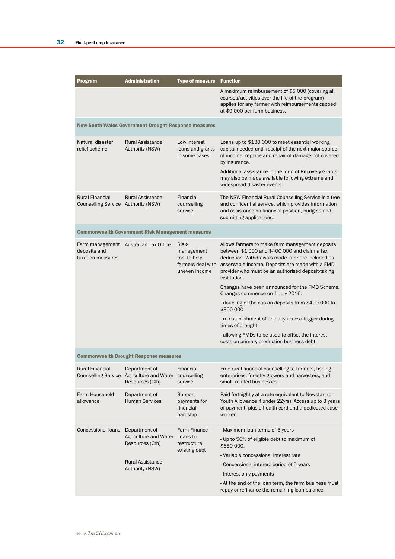| Program                                                       | <b>Administration</b>                                                                     | <b>Type of measure Function</b>                                           |                                                                                                                                                                                                                                                                               |
|---------------------------------------------------------------|-------------------------------------------------------------------------------------------|---------------------------------------------------------------------------|-------------------------------------------------------------------------------------------------------------------------------------------------------------------------------------------------------------------------------------------------------------------------------|
|                                                               |                                                                                           |                                                                           | A maximum reimbursement of \$5 000 (covering all<br>courses/activities over the life of the program)<br>applies for any farmer with reimbursements capped<br>at \$9 000 per farm business.                                                                                    |
|                                                               | <b>New South Wales Government Drought Response measures</b>                               |                                                                           |                                                                                                                                                                                                                                                                               |
| Natural disaster<br>relief scheme                             | Rural Assistance<br>Authority (NSW)                                                       | Low interest<br>loans and grants<br>in some cases                         | Loans up to \$130 000 to meet essential working<br>capital needed until receipt of the next major source<br>of income, replace and repair of damage not covered<br>by insurance.<br>Additional assistance in the form of Recovery Grants                                      |
|                                                               |                                                                                           |                                                                           | may also be made available following extreme and<br>widespread disaster events.                                                                                                                                                                                               |
| <b>Rural Financial</b><br>Counselling Service Authority (NSW) | <b>Rural Assistance</b>                                                                   | Financial<br>counselling<br>service                                       | The NSW Financial Rural Counselling Service is a free<br>and confidential service, which provides information<br>and assistance on financial position, budgets and<br>submitting applications.                                                                                |
|                                                               | <b>Commonwealth Government Risk Management measures</b>                                   |                                                                           |                                                                                                                                                                                                                                                                               |
| deposits and<br>taxation measures                             | Farm management Australian Tax Office                                                     | Risk-<br>management<br>tool to help<br>farmers deal with<br>uneven income | Allows farmers to make farm management deposits<br>between \$1,000 and \$400,000 and claim a tax<br>deduction. Withdrawals made later are included as<br>assessable income. Deposits are made with a FMD<br>provider who must be an authorised deposit-taking<br>institution. |
|                                                               |                                                                                           |                                                                           | Changes have been announced for the FMD Scheme.<br>Changes commence on 1 July 2016:                                                                                                                                                                                           |
|                                                               |                                                                                           |                                                                           | - doubling of the cap on deposits from \$400 000 to<br>\$800 000                                                                                                                                                                                                              |
|                                                               |                                                                                           |                                                                           | - re-establishment of an early access trigger during<br>times of drought                                                                                                                                                                                                      |
|                                                               |                                                                                           |                                                                           | - allowing FMDs to be used to offset the interest<br>costs on primary production business debt.                                                                                                                                                                               |
|                                                               | <b>Commonwealth Drought Response measures</b>                                             |                                                                           |                                                                                                                                                                                                                                                                               |
| <b>Rural Financial</b>                                        | Department of<br>Counselling Service Agriculture and Water counselling<br>Resources (Cth) | Financial<br>service                                                      | Free rural financial counselling to farmers, fishing<br>enterprises, forestry growers and harvesters, and<br>small, related businesses                                                                                                                                        |
| Farm Household<br>allowance                                   | Department of<br><b>Human Services</b>                                                    | Support<br>payments for<br>financial<br>hardship                          | Paid fortnightly at a rate equivalent to Newstart (or<br>Youth Allowance if under 22yrs). Access up to 3 years<br>of payment, plus a health card and a dedicated case<br>worker.                                                                                              |
| Concessional loans                                            | Department of                                                                             | Farm Finance -                                                            | - Maximum loan terms of 5 years                                                                                                                                                                                                                                               |
|                                                               | Agriculture and Water<br>Resources (Cth)<br><b>Rural Assistance</b><br>Authority (NSW)    | Loans to<br>restructure<br>existing debt                                  | - Up to 50% of eligible debt to maximum of<br>\$650 000.                                                                                                                                                                                                                      |
|                                                               |                                                                                           |                                                                           | - Variable concessional interest rate                                                                                                                                                                                                                                         |
|                                                               |                                                                                           |                                                                           | - Concessional interest period of 5 years                                                                                                                                                                                                                                     |
|                                                               |                                                                                           |                                                                           | - Interest only payments                                                                                                                                                                                                                                                      |
|                                                               |                                                                                           |                                                                           | - At the end of the loan term, the farm business must<br>repay or refinance the remaining loan balance.                                                                                                                                                                       |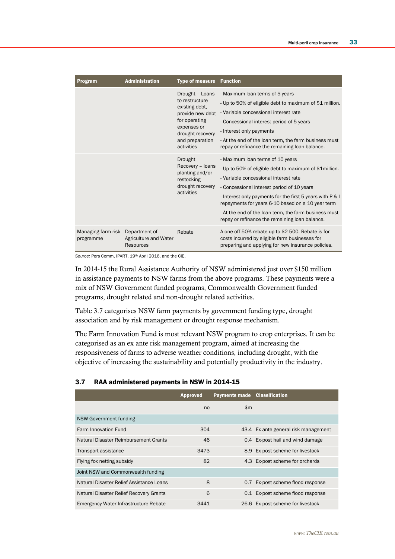| Program                         | <b>Administration</b>                                      | <b>Type of measure Function</b>                                                                                                                              |                                                                                                                                                                                                                                                                                                                                                                                                                 |
|---------------------------------|------------------------------------------------------------|--------------------------------------------------------------------------------------------------------------------------------------------------------------|-----------------------------------------------------------------------------------------------------------------------------------------------------------------------------------------------------------------------------------------------------------------------------------------------------------------------------------------------------------------------------------------------------------------|
|                                 |                                                            | Drought - Loans<br>to restructure<br>existing debt,<br>provide new debt<br>for operating<br>expenses or<br>drought recovery<br>and preparation<br>activities | - Maximum loan terms of 5 years<br>- Up to 50% of eligible debt to maximum of \$1 million.<br>- Variable concessional interest rate<br>- Concessional interest period of 5 years<br>- Interest only payments<br>- At the end of the loan term, the farm business must<br>repay or refinance the remaining loan balance.                                                                                         |
|                                 |                                                            | <b>Drought</b><br>Recovery - Ioans<br>planting and/or<br>restocking<br>drought recovery<br>activities                                                        | - Maximum loan terms of 10 years<br>- Up to 50% of eligible debt to maximum of \$1 million.<br>- Variable concessional interest rate<br>- Concessional interest period of 10 years<br>- Interest only payments for the first 5 years with P & I<br>repayments for years 6-10 based on a 10 year term<br>- At the end of the loan term, the farm business must<br>repay or refinance the remaining loan balance. |
| Managing farm risk<br>programme | Department of<br>Agriculture and Water<br><b>Resources</b> | Rebate                                                                                                                                                       | A one-off 50% rebate up to \$2 500. Rebate is for<br>costs incurred by eligible farm businesses for<br>preparing and applying for new insurance policies.                                                                                                                                                                                                                                                       |

*Source:* Pers Comm, IPART, 19th April 2016, and the CIE.

In 2014-15 the Rural Assistance Authority of NSW administered just over \$150 million in assistance payments to NSW farms from the above programs. These payments were a mix of NSW Government funded programs, Commonwealth Government funded programs, drought related and non-drought related activities.

Table 3.7 categorises NSW farm payments by government funding type, drought association and by risk management or drought response mechanism.

The Farm Innovation Fund is most relevant NSW program to crop enterprises. It can be categorised as an ex ante risk management program, aimed at increasing the responsiveness of farms to adverse weather conditions, including drought, with the objective of increasing the sustainability and potentially productivity in the industry.

## 3.7 RAA administered payments in NSW in 2014-15

|                                          | <b>Approved</b> | <b>Payments made Classification</b> |                                      |
|------------------------------------------|-----------------|-------------------------------------|--------------------------------------|
|                                          | no              | \$m                                 |                                      |
| NSW Government funding                   |                 |                                     |                                      |
| Farm Innovation Fund                     | 304             |                                     | 43.4 Ex-ante general risk management |
| Natural Disaster Reimbursement Grants    | 46              |                                     | 0.4 Ex-post hail and wind damage     |
| Transport assistance                     | 3473            | 8.9                                 | Ex-post scheme for livestock         |
| Flying fox netting subsidy               | 82              |                                     | 4.3 Ex-post scheme for orchards      |
| Joint NSW and Commonwealth funding       |                 |                                     |                                      |
| Natural Disaster Relief Assistance Loans | 8               | 0.7                                 | Ex-post scheme flood response        |
| Natural Disaster Relief Recovery Grants  | 6               |                                     | 0.1 Ex-post scheme flood response    |
| Emergency Water Infrastructure Rebate    | 3441            |                                     | 26.6 Ex-post scheme for livestock    |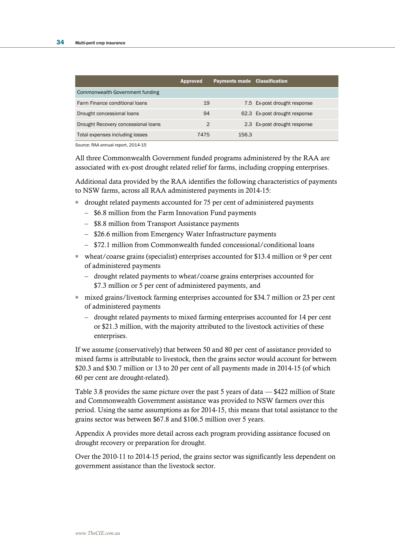|                                     | <b>Approved</b> | <b>Payments made Classification</b> |                               |
|-------------------------------------|-----------------|-------------------------------------|-------------------------------|
| Commonwealth Government funding     |                 |                                     |                               |
| Farm Finance conditional loans      | 19              |                                     | 7.5 Ex-post drought response  |
| Drought concessional loans          | 94              |                                     | 62.3 Ex-post drought response |
| Drought Recovery concessional loans | 2               |                                     | 2.3 Ex-post drought response  |
| Total expenses including losses     | 7475            | 156.3                               |                               |

*Source:* RAA annual report, 2014-15

All three Commonwealth Government funded programs administered by the RAA are associated with ex-post drought related relief for farms, including cropping enterprises.

Additional data provided by the RAA identifies the following characteristics of payments to NSW farms, across all RAA administered payments in 2014-15:

- drought related payments accounted for 75 per cent of administered payments
	- \$6.8 million from the Farm Innovation Fund payments
	- \$8.8 million from Transport Assistance payments
	- \$26.6 million from Emergency Water Infrastructure payments
	- \$72.1 million from Commonwealth funded concessional/conditional loans
- wheat/coarse grains (specialist) enterprises accounted for \$13.4 million or 9 per cent of administered payments
	- drought related payments to wheat/coarse grains enterprises accounted for \$7.3 million or 5 per cent of administered payments, and
- mixed grains/livestock farming enterprises accounted for \$34.7 million or 23 per cent of administered payments
	- drought related payments to mixed farming enterprises accounted for 14 per cent or \$21.3 million, with the majority attributed to the livestock activities of these enterprises.

If we assume (conservatively) that between 50 and 80 per cent of assistance provided to mixed farms is attributable to livestock, then the grains sector would account for between \$20.3 and \$30.7 million or 13 to 20 per cent of all payments made in 2014-15 (of which 60 per cent are drought-related).

Table 3.8 provides the same picture over the past 5 years of data — \$422 million of State and Commonwealth Government assistance was provided to NSW farmers over this period. Using the same assumptions as for 2014-15, this means that total assistance to the grains sector was between \$67.8 and \$106.5 million over 5 years.

Appendix A provides more detail across each program providing assistance focused on drought recovery or preparation for drought.

Over the 2010-11 to 2014-15 period, the grains sector was significantly less dependent on government assistance than the livestock sector.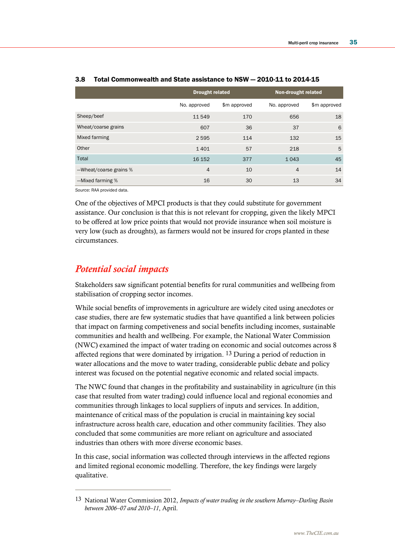|                        | <b>Drought related</b> |              | Non-drought related |              |  |
|------------------------|------------------------|--------------|---------------------|--------------|--|
|                        | No. approved           | \$m approved | No. approved        | \$m approved |  |
| Sheep/beef             | 11549                  | 170          | 656                 | 18           |  |
| Wheat/coarse grains    | 607                    | 36           | 37                  | 6            |  |
| Mixed farming          | 2595                   | 114          | 132                 | 15           |  |
| Other                  | 1401                   | 57           | 218                 | 5            |  |
| Total                  | 16 15 2                | 377          | 1043                | 45           |  |
| -Wheat/coarse grains % | $\overline{4}$         | 10           | $\overline{4}$      | 14           |  |
| -Mixed farming %       | 16                     | 30           | 13                  | 34           |  |

| 3.8 | Total Commonwealth and State assistance to NSW - 2010-11 to 2014-15 |
|-----|---------------------------------------------------------------------|
|     |                                                                     |

*Source:* RAA provided data.

 $\overline{a}$ 

One of the objectives of MPCI products is that they could substitute for government assistance. Our conclusion is that this is not relevant for cropping, given the likely MPCI to be offered at low price points that would not provide insurance when soil moisture is very low (such as droughts), as farmers would not be insured for crops planted in these circumstances.

## *Potential social impacts*

Stakeholders saw significant potential benefits for rural communities and wellbeing from stabilisation of cropping sector incomes.

While social benefits of improvements in agriculture are widely cited using anecdotes or case studies, there are few systematic studies that have quantified a link between policies that impact on farming competiveness and social benefits including incomes, sustainable communities and health and wellbeing. For example, the National Water Commission (NWC) examined the impact of water trading on economic and social outcomes across 8 affected regions that were dominated by irrigation. 13 During a period of reduction in water allocations and the move to water trading, considerable public debate and policy interest was focused on the potential negative economic and related social impacts.

The NWC found that changes in the profitability and sustainability in agriculture (in this case that resulted from water trading) could influence local and regional economies and communities through linkages to local suppliers of inputs and services. In addition, maintenance of critical mass of the population is crucial in maintaining key social infrastructure across health care, education and other community facilities. They also concluded that some communities are more reliant on agriculture and associated industries than others with more diverse economic bases.

In this case, social information was collected through interviews in the affected regions and limited regional economic modelling. Therefore, the key findings were largely qualitative.

<sup>13</sup> National Water Commission 2012, *Impacts of water trading in the southern Murray–Darling Basin between 2006–07 and 2010–11*, April.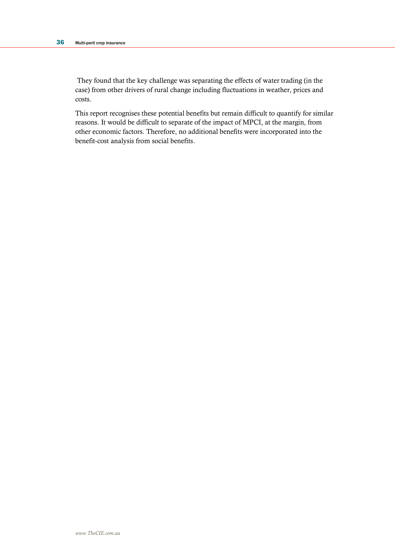They found that the key challenge was separating the effects of water trading (in the case) from other drivers of rural change including fluctuations in weather, prices and costs.

This report recognises these potential benefits but remain difficult to quantify for similar reasons. It would be difficult to separate of the impact of MPCI, at the margin, from other economic factors. Therefore, no additional benefits were incorporated into the benefit-cost analysis from social benefits.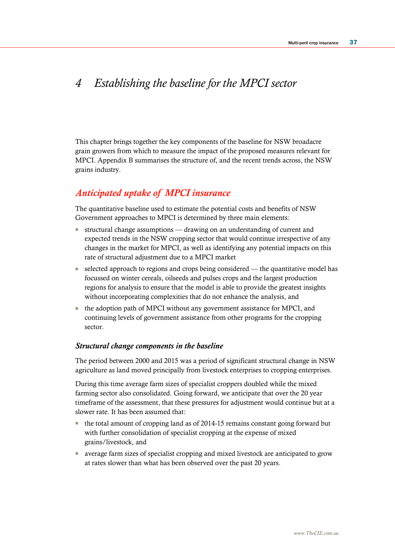# *4 Establishing the baseline for the MPCI sector*

This chapter brings together the key components of the baseline for NSW broadacre grain growers from which to measure the impact of the proposed measures relevant for MPCI. Appendix B summarises the structure of, and the recent trends across, the NSW grains industry.

## *Anticipated uptake of MPCI insurance*

The quantitative baseline used to estimate the potential costs and benefits of NSW Government approaches to MPCI is determined by three main elements:

- structural change assumptions drawing on an understanding of current and expected trends in the NSW cropping sector that would continue irrespective of any changes in the market for MPCI, as well as identifying any potential impacts on this rate of structural adjustment due to a MPCI market
- selected approach to regions and crops being considered the quantitative model has focussed on winter cereals, oilseeds and pulses crops and the largest production regions for analysis to ensure that the model is able to provide the greatest insights without incorporating complexities that do not enhance the analysis, and
- the adoption path of MPCI without any government assistance for MPCI, and continuing levels of government assistance from other programs for the cropping sector.

## *Structural change components in the baseline*

The period between 2000 and 2015 was a period of significant structural change in NSW agriculture as land moved principally from livestock enterprises to cropping enterprises.

During this time average farm sizes of specialist croppers doubled while the mixed farming sector also consolidated. Going forward, we anticipate that over the 20 year timeframe of the assessment, that these pressures for adjustment would continue but at a slower rate. It has been assumed that:

- the total amount of cropping land as of 2014-15 remains constant going forward but with further consolidation of specialist cropping at the expense of mixed grains/livestock, and
- average farm sizes of specialist cropping and mixed livestock are anticipated to grow at rates slower than what has been observed over the past 20 years.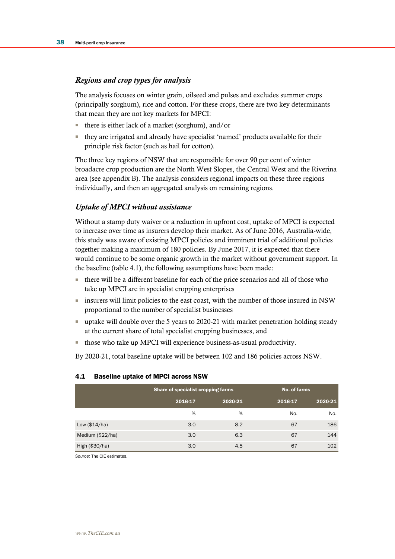## *Regions and crop types for analysis*

The analysis focuses on winter grain, oilseed and pulses and excludes summer crops (principally sorghum), rice and cotton. For these crops, there are two key determinants that mean they are not key markets for MPCI:

- there is either lack of a market (sorghum), and/or
- they are irrigated and already have specialist 'named' products available for their principle risk factor (such as hail for cotton).

The three key regions of NSW that are responsible for over 90 per cent of winter broadacre crop production are the North West Slopes, the Central West and the Riverina area (see appendix B). The analysis considers regional impacts on these three regions individually, and then an aggregated analysis on remaining regions.

## *Uptake of MPCI without assistance*

Without a stamp duty waiver or a reduction in upfront cost, uptake of MPCI is expected to increase over time as insurers develop their market. As of June 2016, Australia-wide, this study was aware of existing MPCI policies and imminent trial of additional policies together making a maximum of 180 policies. By June 2017, it is expected that there would continue to be some organic growth in the market without government support. In the baseline (table 4.1), the following assumptions have been made:

- there will be a different baseline for each of the price scenarios and all of those who take up MPCI are in specialist cropping enterprises
- insurers will limit policies to the east coast, with the number of those insured in NSW proportional to the number of specialist businesses
- uptake will double over the 5 years to 2020-21 with market penetration holding steady at the current share of total specialist cropping businesses, and
- those who take up MPCI will experience business-as-usual productivity.

By 2020-21, total baseline uptake will be between 102 and 186 policies across NSW.

|                  | Share of specialist cropping farms |         | No. of farms |         |
|------------------|------------------------------------|---------|--------------|---------|
|                  | 2016-17                            | 2020-21 | 2016-17      | 2020-21 |
|                  | %                                  | %       | No.          | No.     |
| Low $($14/ha)$   | 3.0                                | 8.2     | 67           | 186     |
| Medium (\$22/ha) | 3.0                                | 6.3     | 67           | 144     |
| High $(\$30/ha)$ | 3.0                                | 4.5     | 67           | 102     |

#### 4.1 Baseline uptake of MPCI across NSW

*Source:* The CIE estimates.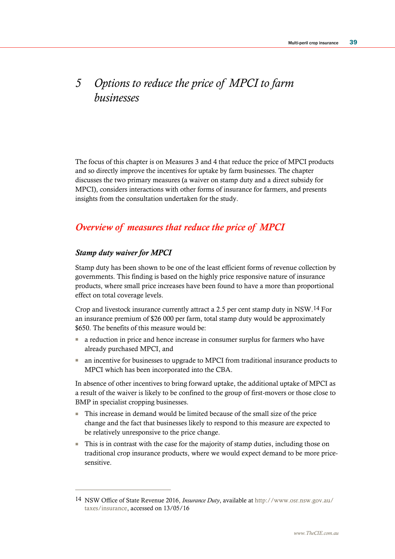# *5 Options to reduce the price of MPCI to farm businesses*

The focus of this chapter is on Measures 3 and 4 that reduce the price of MPCI products and so directly improve the incentives for uptake by farm businesses. The chapter discusses the two primary measures (a waiver on stamp duty and a direct subsidy for MPCI), considers interactions with other forms of insurance for farmers, and presents insights from the consultation undertaken for the study.

# *Overview of measures that reduce the price of MPCI*

## *Stamp duty waiver for MPCI*

 $\overline{a}$ 

Stamp duty has been shown to be one of the least efficient forms of revenue collection by governments. This finding is based on the highly price responsive nature of insurance products, where small price increases have been found to have a more than proportional effect on total coverage levels.

Crop and livestock insurance currently attract a 2.5 per cent stamp duty in NSW.14 For an insurance premium of \$26 000 per farm, total stamp duty would be approximately \$650. The benefits of this measure would be:

- a reduction in price and hence increase in consumer surplus for farmers who have already purchased MPCI, and
- an incentive for businesses to upgrade to MPCI from traditional insurance products to MPCI which has been incorporated into the CBA.

In absence of other incentives to bring forward uptake, the additional uptake of MPCI as a result of the waiver is likely to be confined to the group of first-movers or those close to BMP in specialist cropping businesses.

- This increase in demand would be limited because of the small size of the price change and the fact that businesses likely to respond to this measure are expected to be relatively unresponsive to the price change.
- This is in contrast with the case for the majority of stamp duties, including those on traditional crop insurance products, where we would expect demand to be more pricesensitive.

<sup>14</sup> NSW Office of State Revenue 2016, *Insurance Duty*, available at [http://www.osr.nsw.gov.au/](http://www.osr.nsw.gov.au/taxes/insurance) [taxes/insurance,](http://www.osr.nsw.gov.au/taxes/insurance) accessed on 13/05/16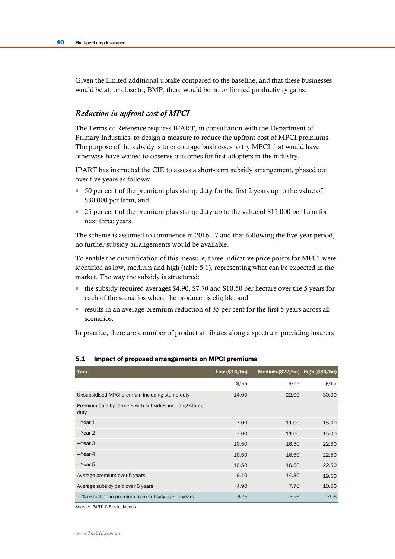Given the limited additional uptake compared to the baseline, and that these businesses would be at, or close to, BMP, there would be no or limited productivity gains.

## *Reduction in upfront cost of MPCI*

The Terms of Reference requires IPART, in consultation with the Department of Primary Industries, to design a measure to reduce the upfront cost of MPCI premiums. The purpose of the subsidy is to encourage businesses to try MPCI that would have otherwise have waited to observe outcomes for first-adopters in the industry.

IPART has instructed the CIE to assess a short-term subsidy arrangement, phased out over five years as follows:

- 50 per cent of the premium plus stamp duty for the first 2 years up to the value of \$30 000 per farm, and
- 25 per cent of the premium plus stamp duty up to the value of \$15 000 per farm for next three years.

The scheme is assumed to commence in 2016-17 and that following the five-year period, no further subsidy arrangements would be available.

To enable the quantification of this measure, three indicative price points for MPCI were identified as low, medium and high (table 5.1), representing what can be expected in the market. The way the subsidy is structured:

- the subsidy required averages \$4.90, \$7.70 and \$10.50 per hectare over the 5 years for each of the scenarios where the producer is eligible, and
- results in an average premium reduction of 35 per cent for the first 5 years across all scenarios.

In practice, there are a number of product attributes along a spectrum providing insurers

| Year                                                           | Low $(S14/ha)$              | Medium (\$22/ha) High (\$30/ha) |                      |
|----------------------------------------------------------------|-----------------------------|---------------------------------|----------------------|
|                                                                | $\frac{\text{A}}{\text{A}}$ | $\frac{\text{A}}{\text{A}}$     | $\frac{\sqrt{2}}{2}$ |
| Unsubsidised MPCI premium including stamp duty                 | 14.00                       | 22.00                           | 30.00                |
| Premium paid by farmers with subsidies including stamp<br>duty |                             |                                 |                      |
| $-$ Year 1                                                     | 7.00                        | 11.00                           | 15.00                |
| $-Year 2$                                                      | 7.00                        | 11.00                           | 15.00                |
| $-$ Year 3                                                     | 10.50                       | 16.50                           | 22.50                |
| $-Year$ 4                                                      | 10.50                       | 16.50                           | 22.50                |
| $-Year 5$                                                      | 10.50                       | 16.50                           | 22.50                |
| Average premium over 5 years                                   | 9.10                        | 14.30                           | 19.50                |
| Average subsidy paid over 5 years                              | 4.90                        | 7.70                            | 10.50                |
| $-$ % reduction in premium from subsidy over 5 years           | $-35%$                      | $-35%$                          | $-35%$               |

#### 5.1 Impact of proposed arrangements on MPCI premiums

*Source:* IPART; CIE calculations.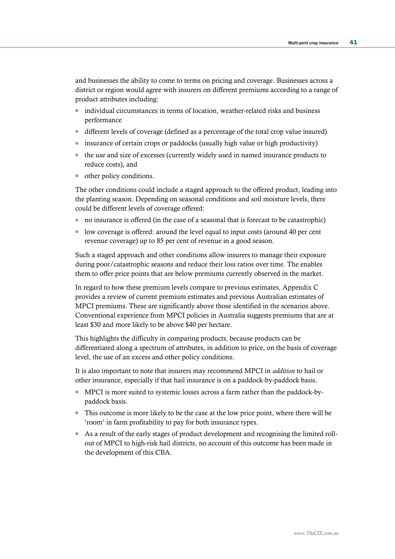and businesses the ability to come to terms on pricing and coverage. Businesses across a district or region would agree with insurers on different premiums according to a range of product attributes including:

- individual circumstances in terms of location, weather-related risks and business performance
- different levels of coverage (defined as a percentage of the total crop value insured)
- insurance of certain crops or paddocks (usually high value or high productivity)
- the use and size of excesses (currently widely used in named insurance products to reduce costs), and
- other policy conditions.

The other conditions could include a staged approach to the offered product, leading into the planting season. Depending on seasonal conditions and soil moisture levels, there could be different levels of coverage offered:

- no insurance is offered (in the case of a seasonal that is forecast to be catastrophic)
- low coverage is offered: around the level equal to input costs (around 40 per cent revenue coverage) up to 85 per cent of revenue in a good season.

Such a staged approach and other conditions allow insurers to manage their exposure during poor/catastrophic seasons and reduce their loss ratios over time. The enables them to offer price points that are below premiums currently observed in the market.

In regard to how these premium levels compare to previous estimates, Appendix C provides a review of current premium estimates and previous Australian estimates of MPCI premiums. These are significantly above those identified in the scenarios above. Conventional experience from MPCI policies in Australia suggests premiums that are at least \$30 and more likely to be above \$40 per hectare.

This highlights the difficulty in comparing products, because products can be differentiated along a spectrum of attributes, in addition to price, on the basis of coverage level, the use of an excess and other policy conditions.

It is also important to note that insurers may recommend MPCI in *addition* to hail or other insurance, especially if that hail insurance is on a paddock-by-paddock basis.

- MPCI is more suited to systemic losses across a farm rather than the paddock-bypaddock basis.
- This outcome is more likely to be the case at the low price point, where there will be 'room' in farm profitability to pay for both insurance types.
- As a result of the early stages of product development and recognising the limited rollout of MPCI to high-risk hail districts, no account of this outcome has been made in the development of this CBA.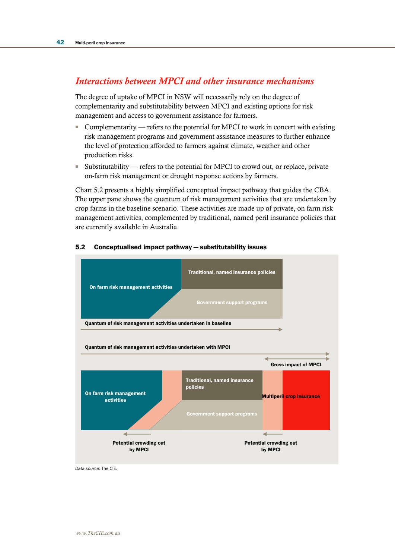## *Interactions between MPCI and other insurance mechanisms*

The degree of uptake of MPCI in NSW will necessarily rely on the degree of complementarity and substitutability between MPCI and existing options for risk management and access to government assistance for farmers.

- Complementarity refers to the potential for MPCI to work in concert with existing risk management programs and government assistance measures to further enhance the level of protection afforded to farmers against climate, weather and other production risks.
- Substitutability refers to the potential for MPCI to crowd out, or replace, private on-farm risk management or drought response actions by farmers.

Chart 5.2 presents a highly simplified conceptual impact pathway that guides the CBA. The upper pane shows the quantum of risk management activities that are undertaken by crop farms in the baseline scenario. These activities are made up of private, on farm risk management activities, complemented by traditional, named peril insurance policies that are currently available in Australia.



#### 5.2 Conceptualised impact pathway — substitutability issues

*Data source:* The CIE.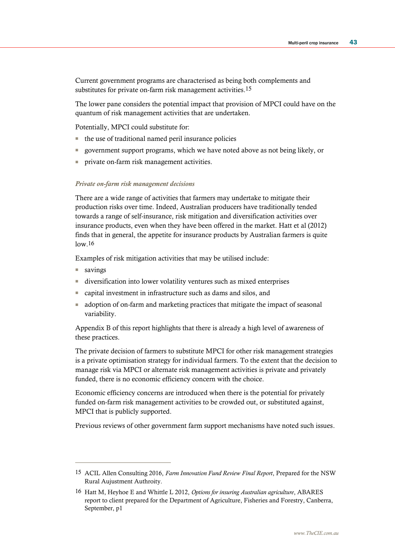Current government programs are characterised as being both complements and substitutes for private on-farm risk management activities.15

The lower pane considers the potential impact that provision of MPCI could have on the quantum of risk management activities that are undertaken.

Potentially, MPCI could substitute for:

- the use of traditional named peril insurance policies
- government support programs, which we have noted above as not being likely, or
- private on-farm risk management activities.

#### *Private on-farm risk management decisions*

There are a wide range of activities that farmers may undertake to mitigate their production risks over time. Indeed, Australian producers have traditionally tended towards a range of self-insurance, risk mitigation and diversification activities over insurance products, even when they have been offered in the market. Hatt et al (2012) finds that in general, the appetite for insurance products by Australian farmers is quite  $low.16$ 

Examples of risk mitigation activities that may be utilised include:

■ savings

 $\overline{a}$ 

- diversification into lower volatility ventures such as mixed enterprises
- capital investment in infrastructure such as dams and silos, and
- adoption of on-farm and marketing practices that mitigate the impact of seasonal variability.

Appendix B of this report highlights that there is already a high level of awareness of these practices.

The private decision of farmers to substitute MPCI for other risk management strategies is a private optimisation strategy for individual farmers. To the extent that the decision to manage risk via MPCI or alternate risk management activities is private and privately funded, there is no economic efficiency concern with the choice.

Economic efficiency concerns are introduced when there is the potential for privately funded on-farm risk management activities to be crowded out, or substituted against, MPCI that is publicly supported.

Previous reviews of other government farm support mechanisms have noted such issues.

<sup>15</sup> ACIL Allen Consulting 2016, *Farm Innovation Fund Review Final Report*, Prepared for the NSW Rural Aujustment Authroity.

<sup>16</sup> Hatt M, Heyhoe E and Whittle L 2012, *Options for insuring Australian agriculture*, ABARES report to client prepared for the Department of Agriculture, Fisheries and Forestry, Canberra, September, p1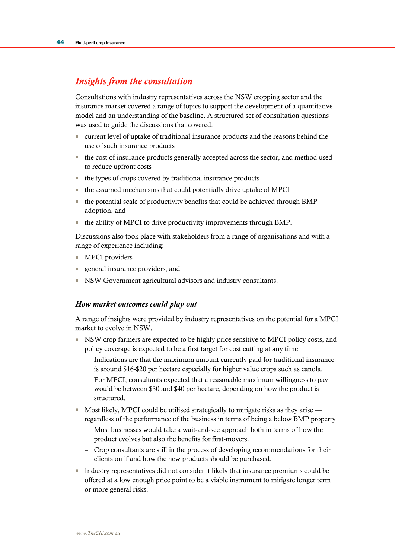## *Insights from the consultation*

Consultations with industry representatives across the NSW cropping sector and the insurance market covered a range of topics to support the development of a quantitative model and an understanding of the baseline. A structured set of consultation questions was used to guide the discussions that covered:

- current level of uptake of traditional insurance products and the reasons behind the use of such insurance products
- the cost of insurance products generally accepted across the sector, and method used to reduce upfront costs
- the types of crops covered by traditional insurance products
- the assumed mechanisms that could potentially drive uptake of MPCI
- the potential scale of productivity benefits that could be achieved through BMP adoption, and
- the ability of MPCI to drive productivity improvements through BMP.

Discussions also took place with stakeholders from a range of organisations and with a range of experience including:

- MPCI providers
- general insurance providers, and
- NSW Government agricultural advisors and industry consultants.

## *How market outcomes could play out*

A range of insights were provided by industry representatives on the potential for a MPCI market to evolve in NSW.

- NSW crop farmers are expected to be highly price sensitive to MPCI policy costs, and policy coverage is expected to be a first target for cost cutting at any time
	- Indications are that the maximum amount currently paid for traditional insurance is around \$16-\$20 per hectare especially for higher value crops such as canola.
	- For MPCI, consultants expected that a reasonable maximum willingness to pay would be between \$30 and \$40 per hectare, depending on how the product is structured.
- Most likely, MPCI could be utilised strategically to mitigate risks as they arise regardless of the performance of the business in terms of being a below BMP property
	- Most businesses would take a wait-and-see approach both in terms of how the product evolves but also the benefits for first-movers.
	- Crop consultants are still in the process of developing recommendations for their clients on if and how the new products should be purchased.
- Industry representatives did not consider it likely that insurance premiums could be offered at a low enough price point to be a viable instrument to mitigate longer term or more general risks.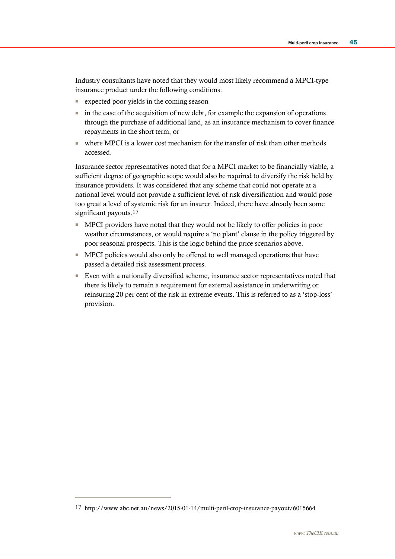Industry consultants have noted that they would most likely recommend a MPCI-type insurance product under the following conditions:

- expected poor yields in the coming season
- in the case of the acquisition of new debt, for example the expansion of operations through the purchase of additional land, as an insurance mechanism to cover finance repayments in the short term, or
- where MPCI is a lower cost mechanism for the transfer of risk than other methods accessed.

Insurance sector representatives noted that for a MPCI market to be financially viable, a sufficient degree of geographic scope would also be required to diversify the risk held by insurance providers. It was considered that any scheme that could not operate at a national level would not provide a sufficient level of risk diversification and would pose too great a level of systemic risk for an insurer. Indeed, there have already been some significant payouts.<sup>17</sup>

- MPCI providers have noted that they would not be likely to offer policies in poor weather circumstances, or would require a 'no plant' clause in the policy triggered by poor seasonal prospects. This is the logic behind the price scenarios above.
- MPCI policies would also only be offered to well managed operations that have passed a detailed risk assessment process.
- Even with a nationally diversified scheme, insurance sector representatives noted that there is likely to remain a requirement for external assistance in underwriting or reinsuring 20 per cent of the risk in extreme events. This is referred to as a 'stop-loss' provision.

 $\overline{a}$ 

<sup>17</sup> http://www.abc.net.au/news/2015-01-14/multi-peril-crop-insurance-payout/6015664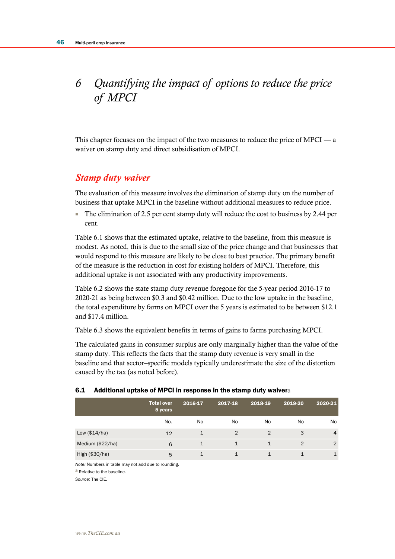# 6 *Quantifying the impact of options to reduce the price of MPCI*

This chapter focuses on the impact of the two measures to reduce the price of MPCI — a waiver on stamp duty and direct subsidisation of MPCI.

## *Stamp duty waiver*

The evaluation of this measure involves the elimination of stamp duty on the number of business that uptake MPCI in the baseline without additional measures to reduce price.

■ The elimination of 2.5 per cent stamp duty will reduce the cost to business by 2.44 per cent.

Table 6.1 shows that the estimated uptake, relative to the baseline, from this measure is modest. As noted, this is due to the small size of the price change and that businesses that would respond to this measure are likely to be close to best practice. The primary benefit of the measure is the reduction in cost for existing holders of MPCI. Therefore, this additional uptake is not associated with any productivity improvements.

Table 6.2 shows the state stamp duty revenue foregone for the 5-year period 2016-17 to 2020-21 as being between \$0.3 and \$0.42 million. Due to the low uptake in the baseline, the total expenditure by farms on MPCI over the 5 years is estimated to be between \$12.1 and \$17.4 million.

Table 6.3 shows the equivalent benefits in terms of gains to farms purchasing MPCI.

The calculated gains in consumer surplus are only marginally higher than the value of the stamp duty. This reflects the facts that the stamp duty revenue is very small in the baseline and that sector–specific models typically underestimate the size of the distortion caused by the tax (as noted before).

|                  | <b>Total over</b><br>5 years | 2016-17      | 2017-18        | 2018-19        | 2019-20 | 2020-21        |
|------------------|------------------------------|--------------|----------------|----------------|---------|----------------|
|                  | No.                          | No           | No             | <b>No</b>      | No      | No.            |
| Low $($14/ha)$   | 12                           |              | $\mathfrak{D}$ | $\mathcal{P}$  | 3       | $\overline{4}$ |
| Medium (\$22/ha) | 6                            | $\mathbf{1}$ | 1              | 1              | 2       | $\mathcal{P}$  |
| High (\$30/ha)   | 5                            | 1            | 1              | $\overline{1}$ |         |                |

## 6.1 Additional uptake of MPCI in response in the stamp duty waivera

*Note:* Numbers in table may not add due to rounding.

a Relative to the baseline.

*Source:* The CIE.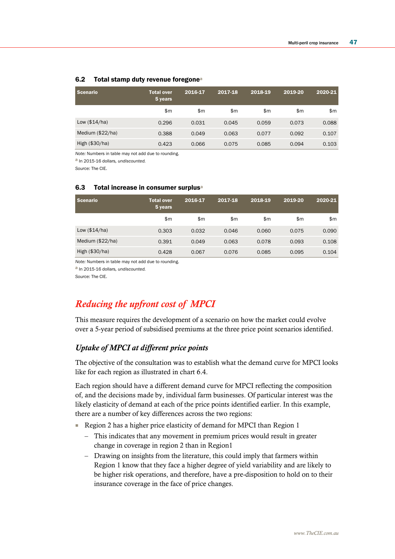## 6.2 Total stamp duty revenue foregone<sup>a</sup>

| <b>Scenario</b>  | <b>Total over</b><br>5 years | 2016-17 | 2017-18 | 2018-19 | 2019-20 | 2020-21 |
|------------------|------------------------------|---------|---------|---------|---------|---------|
|                  | \$m                          | \$m     | \$m     | \$m     | \$m     | \$m     |
| Low $($14/ha)$   | 0.296                        | 0.031   | 0.045   | 0.059   | 0.073   | 0.088   |
| Medium (\$22/ha) | 0.388                        | 0.049   | 0.063   | 0.077   | 0.092   | 0.107   |
| High (\$30/ha)   | 0.423                        | 0.066   | 0.075   | 0.085   | 0.094   | 0.103   |

*Note:* Numbers in table may not add due to rounding.

a In 2015-16 dollars*, undiscounted.*

*Source:* The CIE.

#### 6.3 Total increase in consumer surplus<sup>a</sup>

| Scenario           | <b>Total over</b><br>5 years | 2016-17 | 2017-18 | 2018-19 | 2019-20 | 2020-21 |
|--------------------|------------------------------|---------|---------|---------|---------|---------|
|                    | \$m                          | \$m     | \$m     | \$m     | \$m     | \$m     |
| Low $($14/ha)$     | 0.303                        | 0.032   | 0.046   | 0.060   | 0.075   | 0.090   |
| Medium $(\$22/ha)$ | 0.391                        | 0.049   | 0.063   | 0.078   | 0.093   | 0.108   |
| High $(\$30/ha)$   | 0.428                        | 0.067   | 0.076   | 0.085   | 0.095   | 0.104   |

*Note:* Numbers in table may not add due to rounding.

a In 2015-16 dollars*, undiscounted.*

*Source:* The CIE.

# *Reducing the upfront cost of MPCI*

This measure requires the development of a scenario on how the market could evolve over a 5-year period of subsidised premiums at the three price point scenarios identified.

## *Uptake of MPCI at different price points*

The objective of the consultation was to establish what the demand curve for MPCI looks like for each region as illustrated in chart 6.4.

Each region should have a different demand curve for MPCI reflecting the composition of, and the decisions made by, individual farm businesses. Of particular interest was the likely elasticity of demand at each of the price points identified earlier. In this example, there are a number of key differences across the two regions:

- Region 2 has a higher price elasticity of demand for MPCI than Region 1
	- This indicates that any movement in premium prices would result in greater change in coverage in region 2 than in Region1
	- Drawing on insights from the literature, this could imply that farmers within Region 1 know that they face a higher degree of yield variability and are likely to be higher risk operations, and therefore, have a pre-disposition to hold on to their insurance coverage in the face of price changes.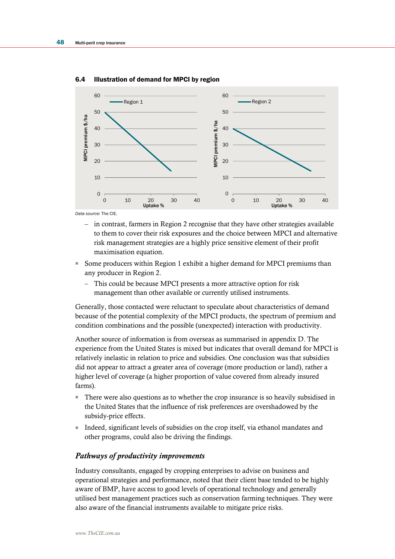

6.4 Illustration of demand for MPCI by region

*Data source:* The CIE.

- in contrast, farmers in Region 2 recognise that they have other strategies available to them to cover their risk exposures and the choice between MPCI and alternative risk management strategies are a highly price sensitive element of their profit maximisation equation.
- Some producers within Region 1 exhibit a higher demand for MPCI premiums than any producer in Region 2.
	- This could be because MPCI presents a more attractive option for risk management than other available or currently utilised instruments.

Generally, those contacted were reluctant to speculate about characteristics of demand because of the potential complexity of the MPCI products, the spectrum of premium and condition combinations and the possible (unexpected) interaction with productivity.

Another source of information is from overseas as summarised in appendix D. The experience from the United States is mixed but indicates that overall demand for MPCI is relatively inelastic in relation to price and subsidies. One conclusion was that subsidies did not appear to attract a greater area of coverage (more production or land), rather a higher level of coverage (a higher proportion of value covered from already insured farms).

- There were also questions as to whether the crop insurance is so heavily subsidised in the United States that the influence of risk preferences are overshadowed by the subsidy-price effects.
- Indeed, significant levels of subsidies on the crop itself, via ethanol mandates and other programs, could also be driving the findings.

## *Pathways of productivity improvements*

Industry consultants, engaged by cropping enterprises to advise on business and operational strategies and performance, noted that their client base tended to be highly aware of BMP, have access to good levels of operational technology and generally utilised best management practices such as conservation farming techniques. They were also aware of the financial instruments available to mitigate price risks.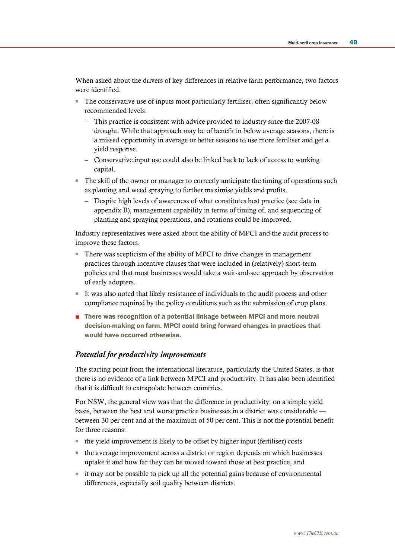When asked about the drivers of key differences in relative farm performance, two factors were identified.

- The conservative use of inputs most particularly fertiliser, often significantly below recommended levels.
	- This practice is consistent with advice provided to industry since the 2007-08 drought. While that approach may be of benefit in below average seasons, there is a missed opportunity in average or better seasons to use more fertiliser and get a yield response.
	- Conservative input use could also be linked back to lack of access to working capital.
- The skill of the owner or manager to correctly anticipate the timing of operations such as planting and weed spraying to further maximise yields and profits.
	- Despite high levels of awareness of what constitutes best practice (see data in appendix B), management capability in terms of timing of, and sequencing of planting and spraying operations, and rotations could be improved.

Industry representatives were asked about the ability of MPCI and the audit process to improve these factors.

- There was scepticism of the ability of MPCI to drive changes in management practices through incentive clauses that were included in (relatively) short-term policies and that most businesses would take a wait-and-see approach by observation of early adopters.
- It was also noted that likely resistance of individuals to the audit process and other compliance required by the policy conditions such as the submission of crop plans.
- There was recognition of a potential linkage between MPCI and more neutral decision-making on farm. MPCI could bring forward changes in practices that would have occurred otherwise.

## *Potential for productivity improvements*

The starting point from the international literature, particularly the United States, is that there is no evidence of a link between MPCI and productivity. It has also been identified that it is difficult to extrapolate between countries.

For NSW, the general view was that the difference in productivity, on a simple yield basis, between the best and worse practice businesses in a district was considerable between 30 per cent and at the maximum of 50 per cent. This is not the potential benefit for three reasons:

- the yield improvement is likely to be offset by higher input (fertiliser) costs
- the average improvement across a district or region depends on which businesses uptake it and how far they can be moved toward those at best practice, and
- it may not be possible to pick up all the potential gains because of environmental differences, especially soil quality between districts.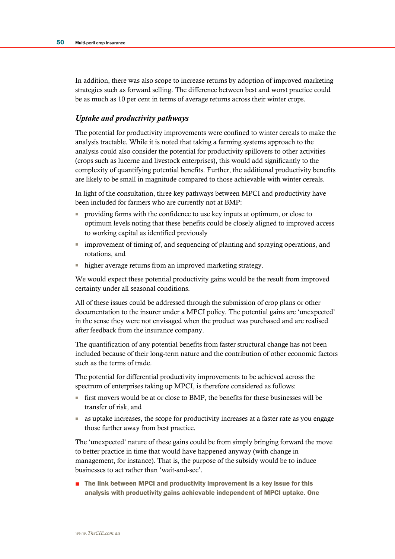In addition, there was also scope to increase returns by adoption of improved marketing strategies such as forward selling. The difference between best and worst practice could be as much as 10 per cent in terms of average returns across their winter crops.

## *Uptake and productivity pathways*

The potential for productivity improvements were confined to winter cereals to make the analysis tractable. While it is noted that taking a farming systems approach to the analysis could also consider the potential for productivity spillovers to other activities (crops such as lucerne and livestock enterprises), this would add significantly to the complexity of quantifying potential benefits. Further, the additional productivity benefits are likely to be small in magnitude compared to those achievable with winter cereals.

In light of the consultation, three key pathways between MPCI and productivity have been included for farmers who are currently not at BMP:

- providing farms with the confidence to use key inputs at optimum, or close to optimum levels noting that these benefits could be closely aligned to improved access to working capital as identified previously
- improvement of timing of, and sequencing of planting and spraying operations, and rotations, and
- higher average returns from an improved marketing strategy.

We would expect these potential productivity gains would be the result from improved certainty under all seasonal conditions.

All of these issues could be addressed through the submission of crop plans or other documentation to the insurer under a MPCI policy. The potential gains are 'unexpected' in the sense they were not envisaged when the product was purchased and are realised after feedback from the insurance company.

The quantification of any potential benefits from faster structural change has not been included because of their long-term nature and the contribution of other economic factors such as the terms of trade.

The potential for differential productivity improvements to be achieved across the spectrum of enterprises taking up MPCI, is therefore considered as follows:

- first movers would be at or close to BMP, the benefits for these businesses will be transfer of risk, and
- as uptake increases, the scope for productivity increases at a faster rate as you engage those further away from best practice.

The 'unexpected' nature of these gains could be from simply bringing forward the move to better practice in time that would have happened anyway (with change in management, for instance). That is, the purpose of the subsidy would be to induce businesses to act rather than 'wait-and-see'.

■ The link between MPCI and productivity improvement is a key issue for this analysis with productivity gains achievable independent of MPCI uptake. One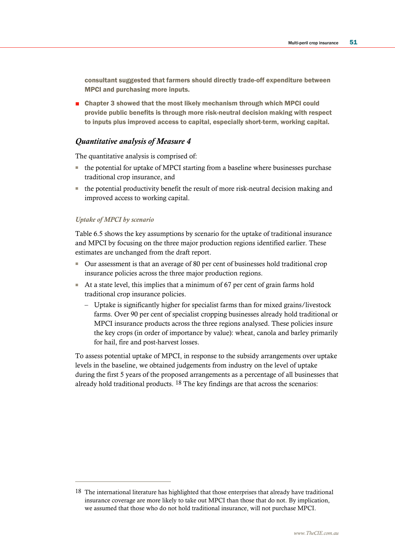consultant suggested that farmers should directly trade-off expenditure between MPCI and purchasing more inputs.

■ Chapter 3 showed that the most likely mechanism through which MPCI could provide public benefits is through more risk-neutral decision making with respect to inputs plus improved access to capital, especially short-term, working capital.

## *Quantitative analysis of Measure 4*

The quantitative analysis is comprised of:

- the potential for uptake of MPCI starting from a baseline where businesses purchase traditional crop insurance, and
- the potential productivity benefit the result of more risk-neutral decision making and improved access to working capital.

#### *Uptake of MPCI by scenario*

 $\overline{a}$ 

Table 6.5 shows the key assumptions by scenario for the uptake of traditional insurance and MPCI by focusing on the three major production regions identified earlier. These estimates are unchanged from the draft report.

- Our assessment is that an average of 80 per cent of businesses hold traditional crop insurance policies across the three major production regions.
- At a state level, this implies that a minimum of 67 per cent of grain farms hold traditional crop insurance policies.
	- Uptake is significantly higher for specialist farms than for mixed grains/livestock farms. Over 90 per cent of specialist cropping businesses already hold traditional or MPCI insurance products across the three regions analysed. These policies insure the key crops (in order of importance by value): wheat, canola and barley primarily for hail, fire and post-harvest losses.

To assess potential uptake of MPCI, in response to the subsidy arrangements over uptake levels in the baseline, we obtained judgements from industry on the level of uptake during the first 5 years of the proposed arrangements as a percentage of all businesses that already hold traditional products. 18 The key findings are that across the scenarios:

<sup>&</sup>lt;sup>18</sup> The international literature has highlighted that those enterprises that already have traditional insurance coverage are more likely to take out MPCI than those that do not. By implication, we assumed that those who do not hold traditional insurance, will not purchase MPCI.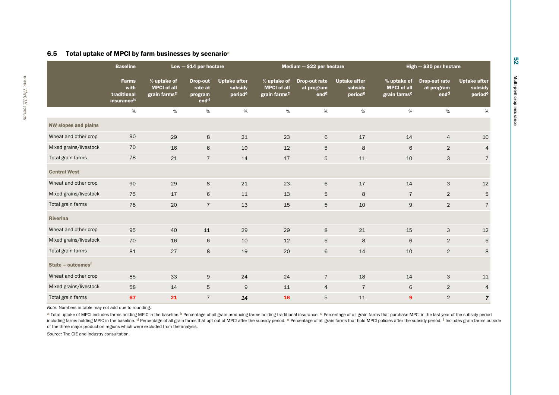### 6.5 Total uptake of MPCI by farm businesses by scenario<sup>a</sup>

|                               | <b>Baseline</b>                                   | $Low - $14$ per hectare                                       |                                                           |                                           |                                                               | Medium $-$ \$22 per hectare                            |                                           |                                                               | $High - $30$ per hectare                        |                                           |  |
|-------------------------------|---------------------------------------------------|---------------------------------------------------------------|-----------------------------------------------------------|-------------------------------------------|---------------------------------------------------------------|--------------------------------------------------------|-------------------------------------------|---------------------------------------------------------------|-------------------------------------------------|-------------------------------------------|--|
|                               | <b>Farms</b><br>with<br>traditional<br>insuranceb | % uptake of<br><b>MPCI of all</b><br>grain farms <sup>c</sup> | <b>Drop-out</b><br>rate at<br>program<br>end <sup>d</sup> | <b>Uptake after</b><br>subsidy<br>periode | % uptake of<br><b>MPCI of all</b><br>grain farms <sup>c</sup> | <b>Drop-out rate</b><br>at program<br>end <sup>d</sup> | <b>Uptake after</b><br>subsidy<br>periode | % uptake of<br><b>MPCI of all</b><br>grain farms <sup>c</sup> | Drop-out rate<br>at program<br>end <sup>d</sup> | <b>Uptake after</b><br>subsidy<br>periode |  |
|                               | $\%$                                              | %                                                             | $\%$                                                      | $\%$                                      | $\%$                                                          | %                                                      | $\%$                                      | $\%$                                                          | %                                               | %                                         |  |
| <b>NW slopes and plains</b>   |                                                   |                                                               |                                                           |                                           |                                                               |                                                        |                                           |                                                               |                                                 |                                           |  |
| Wheat and other crop          | 90                                                | 29                                                            | 8                                                         | 21                                        | 23                                                            | 6                                                      | 17                                        | 14                                                            | $\overline{4}$                                  | 10                                        |  |
| Mixed grains/livestock        | 70                                                | 16                                                            | 6                                                         | 10                                        | 12                                                            | 5                                                      | 8                                         | 6                                                             | $\overline{2}$                                  | $\overline{4}$                            |  |
| Total grain farms             | 78                                                | 21                                                            | $\overline{7}$                                            | 14                                        | 17                                                            | $\mathbf 5$                                            | 11                                        | 10                                                            | 3                                               | $\overline{7}$                            |  |
| <b>Central West</b>           |                                                   |                                                               |                                                           |                                           |                                                               |                                                        |                                           |                                                               |                                                 |                                           |  |
| Wheat and other crop          | 90                                                | 29                                                            | $\bf 8$                                                   | 21                                        | 23                                                            | 6                                                      | 17                                        | 14                                                            | 3                                               | $12\,$                                    |  |
| Mixed grains/livestock        | 75                                                | 17                                                            | 6                                                         | 11                                        | 13                                                            | 5                                                      | 8                                         | $\overline{7}$                                                | $\overline{2}$                                  | $\mathbf 5$                               |  |
| Total grain farms             | 78                                                | 20                                                            | $\overline{7}$                                            | 13                                        | 15                                                            | 5                                                      | 10                                        | 9                                                             | $\overline{2}$                                  | $\overline{7}$                            |  |
| <b>Riverina</b>               |                                                   |                                                               |                                                           |                                           |                                                               |                                                        |                                           |                                                               |                                                 |                                           |  |
| Wheat and other crop          | 95                                                | 40                                                            | 11                                                        | 29                                        | 29                                                            | 8                                                      | 21                                        | 15                                                            | 3                                               | $12\,$                                    |  |
| Mixed grains/livestock        | 70                                                | 16                                                            | 6                                                         | $10$                                      | 12                                                            | $\overline{5}$                                         | 8                                         | 6                                                             | $\overline{2}$                                  | $\mathbf 5$                               |  |
| Total grain farms             | 81                                                | 27                                                            | 8                                                         | 19                                        | 20                                                            | 6                                                      | 14                                        | 10                                                            | $\overline{2}$                                  | $\bf8$                                    |  |
| State - outcomes <sup>f</sup> |                                                   |                                                               |                                                           |                                           |                                                               |                                                        |                                           |                                                               |                                                 |                                           |  |
| Wheat and other crop          | 85                                                | 33                                                            | 9                                                         | 24                                        | 24                                                            | $\overline{7}$                                         | 18                                        | 14                                                            | 3                                               | 11                                        |  |
| Mixed grains/livestock        | 58                                                | 14                                                            | 5                                                         | 9                                         | 11                                                            | 4                                                      | $\overline{7}$                            | 6                                                             | $\overline{2}$                                  | $\overline{4}$                            |  |
| Total grain farms             | 67                                                | 21                                                            | $\overline{7}$                                            | 14                                        | 16                                                            | 5                                                      | 11                                        | 9                                                             | $\overline{2}$                                  | $\overline{7}$                            |  |

*Note:* Numbers in table may not add due to rounding.

a Total uptake of MPCI includes farms holding MPIC in the baseline.<sup>b</sup> Percentage of all grain producing farms holding traditional insurance. <sup>c</sup> Percentage of all grain farms that purchase MPCI in the last year of the sub including farms holding MPIC in the baseline. <sup>d</sup> Percentage of all grain farms that opt out of MPCI after the subsidy period. <sup>@</sup> Percentage of all grain farms that hold MPCI policies after the subsidy period. <sup>f</sup> Include of the three major production regions which were excluded from the analysis.

*Source:* The CIE and industry consultation.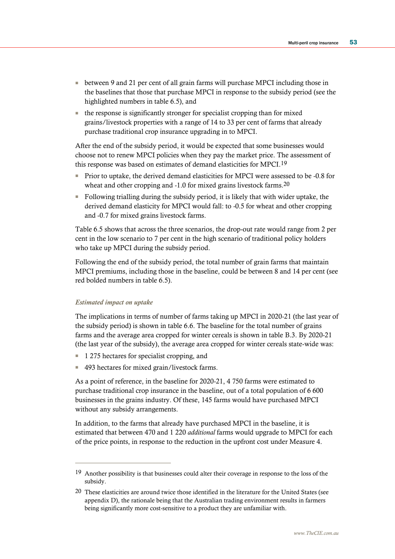- between 9 and 21 per cent of all grain farms will purchase MPCI including those in the baselines that those that purchase MPCI in response to the subsidy period (see the highlighted numbers in table 6.5), and
- the response is significantly stronger for specialist cropping than for mixed grains/livestock properties with a range of 14 to 33 per cent of farms that already purchase traditional crop insurance upgrading in to MPCI.

After the end of the subsidy period, it would be expected that some businesses would choose not to renew MPCI policies when they pay the market price. The assessment of this response was based on estimates of demand elasticities for MPCI.19

- Prior to uptake, the derived demand elasticities for MPCI were assessed to be -0.8 for wheat and other cropping and -1.0 for mixed grains livestock farms.20
- Following trialling during the subsidy period, it is likely that with wider uptake, the derived demand elasticity for MPCI would fall: to -0.5 for wheat and other cropping and -0.7 for mixed grains livestock farms.

Table 6.5 shows that across the three scenarios, the drop-out rate would range from 2 per cent in the low scenario to 7 per cent in the high scenario of traditional policy holders who take up MPCI during the subsidy period.

Following the end of the subsidy period, the total number of grain farms that maintain MPCI premiums, including those in the baseline, could be between 8 and 14 per cent (see red bolded numbers in table 6.5).

## *Estimated impact on uptake*

 $\overline{a}$ 

The implications in terms of number of farms taking up MPCI in 2020-21 (the last year of the subsidy period) is shown in table 6.6. The baseline for the total number of grains farms and the average area cropped for winter cereals is shown in table B.3. By 2020-21 (the last year of the subsidy), the average area cropped for winter cereals state-wide was:

- 1 275 hectares for specialist cropping, and
- 493 hectares for mixed grain/livestock farms.

As a point of reference, in the baseline for 2020-21, 4 750 farms were estimated to purchase traditional crop insurance in the baseline, out of a total population of 6 600 businesses in the grains industry. Of these, 145 farms would have purchased MPCI without any subsidy arrangements.

In addition, to the farms that already have purchased MPCI in the baseline, it is estimated that between 470 and 1 220 *additional* farms would upgrade to MPCI for each of the price points, in response to the reduction in the upfront cost under Measure 4.

<sup>19</sup> Another possibility is that businesses could alter their coverage in response to the loss of the subsidy.

<sup>20</sup> These elasticities are around twice those identified in the literature for the United States (see appendix D), the rationale being that the Australian trading environment results in farmers being significantly more cost-sensitive to a product they are unfamiliar with.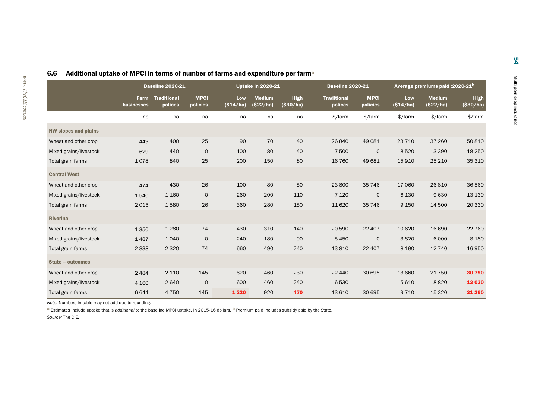|                             |                           | <b>Baseline 2020-21</b>       |                         |                 | <b>Uptake in 2020-21</b>           |                      | <b>Baseline 2020-21</b>       |                         |                 | Average premiums paid: 2020-21b    |                          |
|-----------------------------|---------------------------|-------------------------------|-------------------------|-----------------|------------------------------------|----------------------|-------------------------------|-------------------------|-----------------|------------------------------------|--------------------------|
|                             | <b>Farm</b><br>businesses | <b>Traditional</b><br>polices | <b>MPCI</b><br>policies | Low<br>(S14/ha) | <b>Medium</b><br>( <b>522/ha</b> ) | High<br>$($ \$30/ha) | <b>Traditional</b><br>polices | <b>MPCI</b><br>policies | Low<br>(S14/ha) | <b>Medium</b><br>( <b>522/ha</b> ) | <b>High</b><br>(\$30/ha) |
|                             | no                        | no                            | no                      | no              | no                                 | no                   | \$/farm                       | $\frac{4}{2}$ / farm    | \$/farm         | \$/farm                            | $\frac{4}{2}$ / farm     |
| <b>NW slopes and plains</b> |                           |                               |                         |                 |                                    |                      |                               |                         |                 |                                    |                          |
| Wheat and other crop        | 449                       | 400                           | 25                      | 90              | 70                                 | 40                   | 26 840                        | 49 681                  | 23 7 10         | 37 260                             | 50810                    |
| Mixed grains/livestock      | 629                       | 440                           | $\circ$                 | 100             | 80                                 | 40                   | 7500                          | $\mathsf{O}$            | 8520            | 13 3 9 0                           | 18 250                   |
| Total grain farms           | 1078                      | 840                           | 25                      | 200             | 150                                | 80                   | 16 760                        | 49 681                  | 15910           | 25 210                             | 35 310                   |
| <b>Central West</b>         |                           |                               |                         |                 |                                    |                      |                               |                         |                 |                                    |                          |
| Wheat and other crop        | 474                       | 430                           | 26                      | 100             | 80                                 | 50                   | 23 800                        | 35 746                  | 17 060          | 26 810                             | 36 560                   |
| Mixed grains/livestock      | 1540                      | 1 1 6 0                       | $\mathsf{O}$            | 260             | 200                                | 110                  | 7 1 2 0                       | $\mathsf{O}$            | 6 1 3 0         | 9630                               | 13 130                   |
| Total grain farms           | 2015                      | 1580                          | 26                      | 360             | 280                                | 150                  | 11 6 20                       | 35 746                  | 9 1 5 0         | 14 500                             | 20 330                   |
| <b>Riverina</b>             |                           |                               |                         |                 |                                    |                      |                               |                         |                 |                                    |                          |
| Wheat and other crop        | 1350                      | 1 2 8 0                       | 74                      | 430             | 310                                | 140                  | 20 590                        | 22 407                  | 10 6 20         | 16 690                             | 22 760                   |
| Mixed grains/livestock      | 1487                      | 1040                          | $\mathsf{O}$            | 240             | 180                                | 90                   | 5450                          | 0                       | 3820            | 6 0 0 0                            | 8 1 8 0                  |
| Total grain farms           | 2838                      | 2 3 2 0                       | 74                      | 660             | 490                                | 240                  | 13810                         | 22 407                  | 8 1 9 0         | 12 740                             | 16950                    |
| State - outcomes            |                           |                               |                         |                 |                                    |                      |                               |                         |                 |                                    |                          |
| Wheat and other crop        | 2484                      | 2 1 1 0                       | 145                     | 620             | 460                                | 230                  | 22 4 4 0                      | 30 695                  | 13 660          | 21750                              | 30790                    |
| Mixed grains/livestock      | 4 1 6 0                   | 2640                          | $\mathsf{O}$            | 600             | 460                                | 240                  | 6530                          |                         | 5 6 1 0         | 8820                               | 12 030                   |
| Total grain farms           | 6644                      | 4750                          | 145                     | 1 2 2 0         | 920                                | 470                  | 13 6 10                       | 30 695                  | 9710            | 15 3 20                            | 21 2 9 0                 |

## 6.6 Additional uptake of MPCI in terms of number of farms and expenditure per farm<sup>a</sup>

*Note:* Numbers in table may not add due to rounding.

a Estimates include uptake that is *additional* to the baseline MPCI uptake. In 2015-16 dollars. <sup>In</sup> Premium paid includes subsidy paid by the State.

*Source:* The CIE.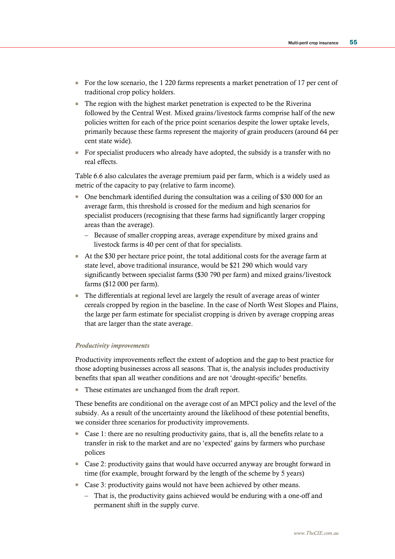- For the low scenario, the 1 220 farms represents a market penetration of 17 per cent of traditional crop policy holders.
- The region with the highest market penetration is expected to be the Riverina followed by the Central West. Mixed grains/livestock farms comprise half of the new policies written for each of the price point scenarios despite the lower uptake levels, primarily because these farms represent the majority of grain producers (around 64 per cent state wide).
- For specialist producers who already have adopted, the subsidy is a transfer with no real effects.

Table 6.6 also calculates the average premium paid per farm, which is a widely used as metric of the capacity to pay (relative to farm income).

- One benchmark identified during the consultation was a ceiling of \$30 000 for an average farm, this threshold is crossed for the medium and high scenarios for specialist producers (recognising that these farms had significantly larger cropping areas than the average).
	- Because of smaller cropping areas, average expenditure by mixed grains and livestock farms is 40 per cent of that for specialists.
- At the \$30 per hectare price point, the total additional costs for the average farm at state level, above traditional insurance, would be \$21 290 which would vary significantly between specialist farms (\$30 790 per farm) and mixed grains/livestock farms (\$12 000 per farm).
- The differentials at regional level are largely the result of average areas of winter cereals cropped by region in the baseline. In the case of North West Slopes and Plains, the large per farm estimate for specialist cropping is driven by average cropping areas that are larger than the state average.

## *Productivity improvements*

Productivity improvements reflect the extent of adoption and the gap to best practice for those adopting businesses across all seasons. That is, the analysis includes productivity benefits that span all weather conditions and are not 'drought-specific' benefits.

■ These estimates are unchanged from the draft report.

These benefits are conditional on the average cost of an MPCI policy and the level of the subsidy. As a result of the uncertainty around the likelihood of these potential benefits, we consider three scenarios for productivity improvements.

- Case 1: there are no resulting productivity gains, that is, all the benefits relate to a transfer in risk to the market and are no 'expected' gains by farmers who purchase polices
- Case 2: productivity gains that would have occurred anyway are brought forward in time (for example, brought forward by the length of the scheme by 5 years)
- Case 3: productivity gains would not have been achieved by other means.
	- That is, the productivity gains achieved would be enduring with a one-off and permanent shift in the supply curve.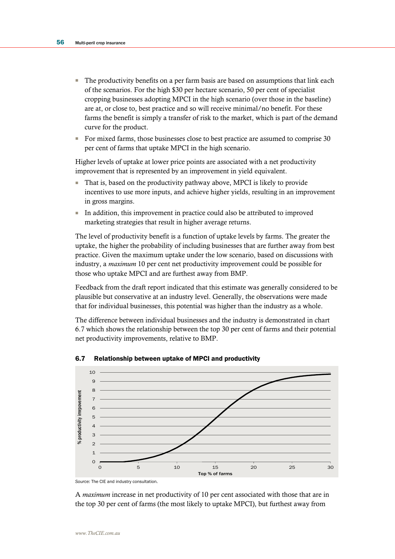- The productivity benefits on a per farm basis are based on assumptions that link each of the scenarios. For the high \$30 per hectare scenario, 50 per cent of specialist cropping businesses adopting MPCI in the high scenario (over those in the baseline) are at, or close to, best practice and so will receive minimal/no benefit. For these farms the benefit is simply a transfer of risk to the market, which is part of the demand curve for the product.
- For mixed farms, those businesses close to best practice are assumed to comprise 30 per cent of farms that uptake MPCI in the high scenario.

Higher levels of uptake at lower price points are associated with a net productivity improvement that is represented by an improvement in yield equivalent.

- That is, based on the productivity pathway above, MPCI is likely to provide incentives to use more inputs, and achieve higher yields, resulting in an improvement in gross margins.
- In addition, this improvement in practice could also be attributed to improved marketing strategies that result in higher average returns.

The level of productivity benefit is a function of uptake levels by farms. The greater the uptake, the higher the probability of including businesses that are further away from best practice. Given the maximum uptake under the low scenario, based on discussions with industry, a *maximum* 10 per cent net productivity improvement could be possible for those who uptake MPCI and are furthest away from BMP.

Feedback from the draft report indicated that this estimate was generally considered to be plausible but conservative at an industry level. Generally, the observations were made that for individual businesses, this potential was higher than the industry as a whole.

The difference between individual businesses and the industry is demonstrated in chart 6.7 which shows the relationship between the top 30 per cent of farms and their potential net productivity improvements, relative to BMP.



6.7 Relationship between uptake of MPCI and productivity

*Source:* The CIE and industry consultation.

A *maximum* increase in net productivity of 10 per cent associated with those that are in the top 30 per cent of farms (the most likely to uptake MPCI), but furthest away from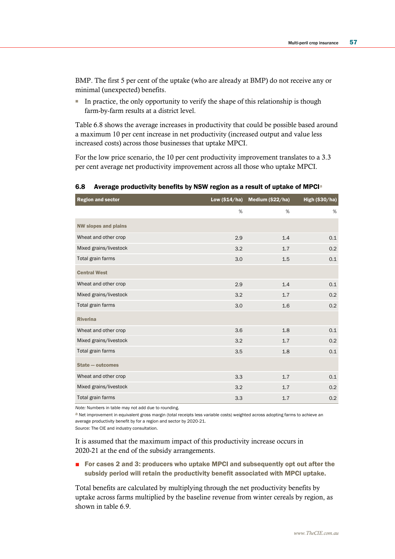BMP. The first 5 per cent of the uptake (who are already at BMP) do not receive any or minimal (unexpected) benefits.

■ In practice, the only opportunity to verify the shape of this relationship is though farm-by-farm results at a district level.

Table 6.8 shows the average increases in productivity that could be possible based around a maximum 10 per cent increase in net productivity (increased output and value less increased costs) across those businesses that uptake MPCI.

For the low price scenario, the 10 per cent productivity improvement translates to a 3.3 per cent average net productivity improvement across all those who uptake MPCI.

## 6.8 Average productivity benefits by NSW region as a result of uptake of MPCI<sup>a</sup>

| <b>Region and sector</b>    |     | Low $(\$14/ha)$ Medium $(\$22/ha)$ | High (\$30/ha) |
|-----------------------------|-----|------------------------------------|----------------|
|                             | %   | %                                  | %              |
| <b>NW slopes and plains</b> |     |                                    |                |
| Wheat and other crop        | 2.9 | 1.4                                | 0.1            |
| Mixed grains/livestock      | 3.2 | 1.7                                | 0.2            |
| Total grain farms           | 3.0 | 1.5                                | 0.1            |
| <b>Central West</b>         |     |                                    |                |
| Wheat and other crop        | 2.9 | 1.4                                | 0.1            |
| Mixed grains/livestock      | 3.2 | 1.7                                | 0.2            |
| Total grain farms           | 3.0 | 1.6                                | 0.2            |
| <b>Riverina</b>             |     |                                    |                |
| Wheat and other crop        | 3.6 | 1.8                                | 0.1            |
| Mixed grains/livestock      | 3.2 | 1.7                                | 0.2            |
| Total grain farms           | 3.5 | 1.8                                | 0.1            |
| State - outcomes            |     |                                    |                |
| Wheat and other crop        | 3.3 | 1.7                                | 0.1            |
| Mixed grains/livestock      | 3.2 | 1.7                                | 0.2            |
| Total grain farms           | 3.3 | 1.7                                | 0.2            |

*Note:* Numbers in table may not add due to rounding.

a Net improvement in equivalent gross margin (total receipts less variable costs) weighted across adopting farms to achieve an average productivity benefit by for a region and sector by 2020-21.

*Source:* The CIE and industry consultation.

It is assumed that the maximum impact of this productivity increase occurs in 2020-21 at the end of the subsidy arrangements.

■ For cases 2 and 3: producers who uptake MPCI and subsequently opt out after the subsidy period will retain the productivity benefit associated with MPCI uptake.

Total benefits are calculated by multiplying through the net productivity benefits by uptake across farms multiplied by the baseline revenue from winter cereals by region, as shown in table 6.9.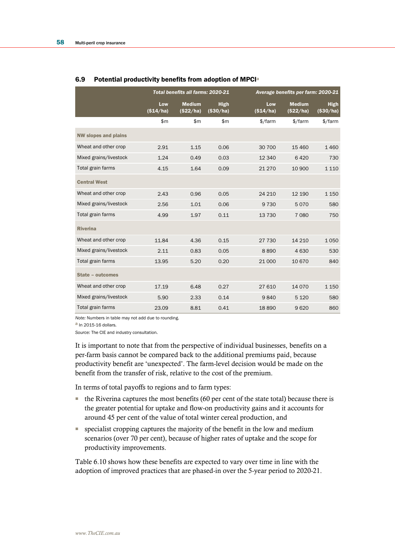|                             |                 | <b>Total benefits all farms: 2020-21</b> |                                            | Average benefits per farm: 2020-21 |                           |                         |
|-----------------------------|-----------------|------------------------------------------|--------------------------------------------|------------------------------------|---------------------------|-------------------------|
|                             | Low<br>(S14/ha) | <b>Medium</b><br>(S22/ha)                | <b>High</b><br>Low<br>(S30/ha)<br>(S14/ha) |                                    | <b>Medium</b><br>(S22/ha) | <b>High</b><br>(S30/ha) |
|                             | $\mathsf{m}$    | $\mathsf{m}$                             | $\mathsf{m}$                               | \$/farm                            | \$/farm                   | \$/farm                 |
| <b>NW slopes and plains</b> |                 |                                          |                                            |                                    |                           |                         |
| Wheat and other crop        | 2.91            | 1.15                                     | 0.06                                       | 30 700                             | 15 4 60                   | 1460                    |
| Mixed grains/livestock      | 1.24            | 0.49                                     | 0.03                                       | 12 340                             | 6420                      | 730                     |
| Total grain farms           | 4.15            | 1.64                                     | 0.09                                       | 21 270                             | 10 900                    | 1 1 1 0                 |
| <b>Central West</b>         |                 |                                          |                                            |                                    |                           |                         |
| Wheat and other crop        | 2.43            | 0.96                                     | 0.05                                       | 24 210                             | 12 190                    | 1 1 5 0                 |
| Mixed grains/livestock      | 2.56            | 1.01                                     | 0.06                                       | 9730                               | 5070                      | 580                     |
| Total grain farms           | 4.99            | 1.97                                     | 0.11                                       | 13730                              | 7 0 8 0                   | 750                     |
| <b>Riverina</b>             |                 |                                          |                                            |                                    |                           |                         |
| Wheat and other crop        | 11.84           | 4.36                                     | 0.15                                       | 27 730                             | 14 210                    | 1050                    |
| Mixed grains/livestock      | 2.11            | 0.83                                     | 0.05                                       | 8890                               | 4630                      | 530                     |
| Total grain farms           | 13.95           | 5.20                                     | 0.20                                       | 21 000                             | 10 670                    | 840                     |
| State - outcomes            |                 |                                          |                                            |                                    |                           |                         |
| Wheat and other crop        | 17.19           | 6.48                                     | 0.27                                       | 27 610                             | 14 0 70                   | 1 1 5 0                 |
| Mixed grains/livestock      | 5.90            | 2.33                                     | 0.14                                       | 9840                               | 5 1 2 0                   | 580                     |
| Total grain farms           | 23.09           | 8.81                                     | 0.41                                       | 18890                              | 9620                      | 860                     |

### 6.9 Potential productivity benefits from adoption of MPCI<sup>a</sup>

*Note:* Numbers in table may not add due to rounding.

a In 2015-16 dollars*.*

*Source:* The CIE and industry consultation.

It is important to note that from the perspective of individual businesses, benefits on a per-farm basis cannot be compared back to the additional premiums paid, because productivity benefit are 'unexpected'. The farm-level decision would be made on the benefit from the transfer of risk, relative to the cost of the premium.

In terms of total payoffs to regions and to farm types:

- the Riverina captures the most benefits (60 per cent of the state total) because there is the greater potential for uptake and flow-on productivity gains and it accounts for around 45 per cent of the value of total winter cereal production, and
- specialist cropping captures the majority of the benefit in the low and medium scenarios (over 70 per cent), because of higher rates of uptake and the scope for productivity improvements.

Table 6.10 shows how these benefits are expected to vary over time in line with the adoption of improved practices that are phased-in over the 5-year period to 2020-21.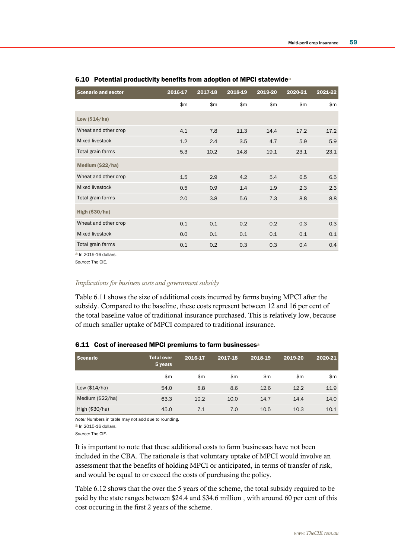| <b>Scenario and sector</b> | 2016-17 | 2017-18 | 2018-19 | 2019-20 | 2020-21 | 2021-22 |
|----------------------------|---------|---------|---------|---------|---------|---------|
|                            | \$m\$   | \$m\$   | \$m\$   | \$m\$   | \$m\$   | \$m     |
| Low $(S14/ha)$             |         |         |         |         |         |         |
| Wheat and other crop       | 4.1     | 7.8     | 11.3    | 14.4    | 17.2    | 17.2    |
| Mixed livestock            | 1.2     | 2.4     | 3.5     | 4.7     | 5.9     | 5.9     |
| Total grain farms          | 5.3     | 10.2    | 14.8    | 19.1    | 23.1    | 23.1    |
| Medium $(\$22/ha)$         |         |         |         |         |         |         |
| Wheat and other crop       | 1.5     | 2.9     | 4.2     | 5.4     | 6.5     | 6.5     |
| Mixed livestock            | 0.5     | 0.9     | 1.4     | 1.9     | 2.3     | 2.3     |
| Total grain farms          | 2.0     | 3.8     | 5.6     | 7.3     | 8.8     | 8.8     |
| High $(\$30/ha)$           |         |         |         |         |         |         |
| Wheat and other crop       | 0.1     | 0.1     | 0.2     | 0.2     | 0.3     | 0.3     |
| Mixed livestock            | 0.0     | 0.1     | 0.1     | 0.1     | 0.1     | 0.1     |
| Total grain farms          | 0.1     | 0.2     | 0.3     | 0.3     | 0.4     | 0.4     |

### 6.10 Potential productivity benefits from adoption of MPCI statewide<sup>a</sup>

a In 2015-16 dollars*.*

*Source:* The CIE.

#### *Implications for business costs and government subsidy*

Table 6.11 shows the size of additional costs incurred by farms buying MPCI after the subsidy. Compared to the baseline, these costs represent between 12 and 16 per cent of the total baseline value of traditional insurance purchased. This is relatively low, because of much smaller uptake of MPCI compared to traditional insurance.

| <b>Scenario</b>  | Total over<br>5 years | 2016-17 | 2017-18 | 2018-19 | 2019-20 | 2020-21 |
|------------------|-----------------------|---------|---------|---------|---------|---------|
|                  | \$m                   | \$m     | \$m     | \$m     | \$m     | \$m     |
| Low $(\$14/ha)$  | 54.0                  | 8.8     | 8.6     | 12.6    | 12.2    | 11.9    |
| Medium (\$22/ha) | 63.3                  | 10.2    | 10.0    | 14.7    | 14.4    | 14.0    |
| High (\$30/ha)   | 45.0                  | 7.1     | 7.0     | 10.5    | 10.3    | 10.1    |

#### 6.11 Cost of increased MPCI premiums to farm businesses<sup>a</sup>

*Note:* Numbers in table may not add due to rounding.

a In 2015-16 dollars*.*

*Source:* The CIE.

It is important to note that these additional costs to farm businesses have not been included in the CBA. The rationale is that voluntary uptake of MPCI would involve an assessment that the benefits of holding MPCI or anticipated, in terms of transfer of risk, and would be equal to or exceed the costs of purchasing the policy.

Table 6.12 shows that the over the 5 years of the scheme, the total subsidy required to be paid by the state ranges between \$24.4 and \$34.6 million , with around 60 per cent of this cost occuring in the first 2 years of the scheme.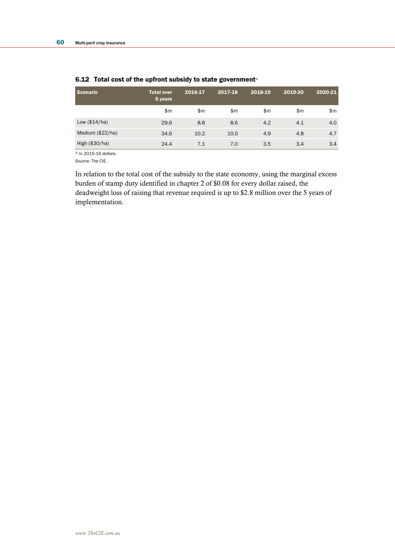| Scenario <sup>1</sup> | <b>Total over</b><br>5 years | 2016-17 | 2017-18 | 2018-19 | 2019-20 | 2020-21 |
|-----------------------|------------------------------|---------|---------|---------|---------|---------|
|                       | \$m                          | \$m     | \$m     | \$m     | \$m     | \$m     |
| Low $($14/ha)$        | 29.6                         | 8.8     | 8.6     | 4.2     | 4.1     | 4.0     |
| Medium (\$22/ha)      | 34.6                         | 10.2    | 10.0    | 4.9     | 4.8     | 4.7     |
| High (\$30/ha)        | 24.4                         | 7.1     | 7.0     | 3.5     | 3.4     | 3.4     |

## 6.12 Total cost of the upfront subsidy to state governmenta

a In 2015-16 dollars*.*

*Source:* The CIE.

In relation to the total cost of the subsidy to the state economy, using the marginal excess burden of stamp duty identified in chapter 2 of \$0.08 for every dollar raised, the deadweight loss of raising that revenue required is up to \$2.8 million over the 5 years of implementation.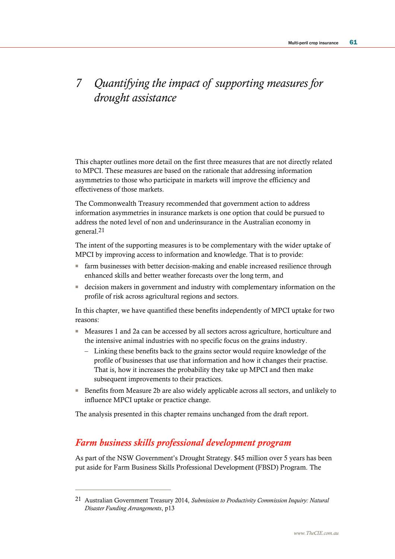# *7 Quantifying the impact of supporting measures for drought assistance*

This chapter outlines more detail on the first three measures that are not directly related to MPCI. These measures are based on the rationale that addressing information asymmetries to those who participate in markets will improve the efficiency and effectiveness of those markets.

The Commonwealth Treasury recommended that government action to address information asymmetries in insurance markets is one option that could be pursued to address the noted level of non and underinsurance in the Australian economy in general.21

The intent of the supporting measures is to be complementary with the wider uptake of MPCI by improving access to information and knowledge. That is to provide:

- farm businesses with better decision-making and enable increased resilience through enhanced skills and better weather forecasts over the long term, and
- decision makers in government and industry with complementary information on the profile of risk across agricultural regions and sectors.

In this chapter, we have quantified these benefits independently of MPCI uptake for two reasons:

- Measures 1 and 2a can be accessed by all sectors across agriculture, horticulture and the intensive animal industries with no specific focus on the grains industry.
	- Linking these benefits back to the grains sector would require knowledge of the profile of businesses that use that information and how it changes their practise. That is, how it increases the probability they take up MPCI and then make subsequent improvements to their practices.
- Benefits from Measure 2b are also widely applicable across all sectors, and unlikely to influence MPCI uptake or practice change.

The analysis presented in this chapter remains unchanged from the draft report.

## *Farm business skills professional development program*

 $\overline{a}$ 

As part of the NSW Government's Drought Strategy. \$45 million over 5 years has been put aside for Farm Business Skills Professional Development (FBSD) Program. The

<sup>21</sup> Australian Government Treasury 2014, *Submission to Productivity Commission Inquiry: Natural Disaster Funding Arrangements*, p13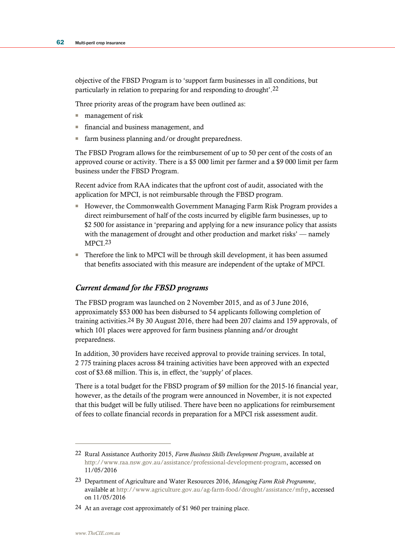objective of the FBSD Program is to 'support farm businesses in all conditions, but particularly in relation to preparing for and responding to drought'.22

Three priority areas of the program have been outlined as:

- management of risk
- financial and business management, and
- farm business planning and/or drought preparedness.

The FBSD Program allows for the reimbursement of up to 50 per cent of the costs of an approved course or activity. There is a \$5 000 limit per farmer and a \$9 000 limit per farm business under the FBSD Program.

Recent advice from RAA indicates that the upfront cost of audit, associated with the application for MPCI, is not reimbursable through the FBSD program.

- However, the Commonwealth Government Managing Farm Risk Program provides a direct reimbursement of half of the costs incurred by eligible farm businesses, up to \$2 500 for assistance in 'preparing and applying for a new insurance policy that assists with the management of drought and other production and market risks' — namely MPCI.23
- Therefore the link to MPCI will be through skill development, it has been assumed that benefits associated with this measure are independent of the uptake of MPCI.

## *Current demand for the FBSD programs*

The FBSD program was launched on 2 November 2015, and as of 3 June 2016, approximately \$53 000 has been disbursed to 54 applicants following completion of training activities.24 By 30 August 2016, there had been 207 claims and 159 approvals, of which 101 places were approved for farm business planning and/or drought preparedness.

In addition, 30 providers have received approval to provide training services. In total, 2 775 training places across 84 training activities have been approved with an expected cost of \$3.68 million. This is, in effect, the 'supply' of places.

There is a total budget for the FBSD program of \$9 million for the 2015-16 financial year, however, as the details of the program were announced in November, it is not expected that this budget will be fully utilised. There have been no applications for reimbursement of fees to collate financial records in preparation for a MPCI risk assessment audit.

 $\overline{a}$ 

<sup>22</sup> Rural Assistance Authority 2015, *Farm Business Skills Development Program*, available at [http://www.raa.nsw.gov.au/assistance/professional-development-program,](http://www.raa.nsw.gov.au/assistance/professional-development-program) accessed on 11/05/2016

<sup>23</sup> Department of Agriculture and Water Resources 2016, *Managing Farm Risk Programme*, available a[t http://www.agriculture.gov.au/ag-farm-food/drought/assistance/mfrp,](http://www.agriculture.gov.au/ag-farm-food/drought/assistance/mfrp) accessed on 11/05/2016

<sup>24</sup> At an average cost approximately of \$1 960 per training place.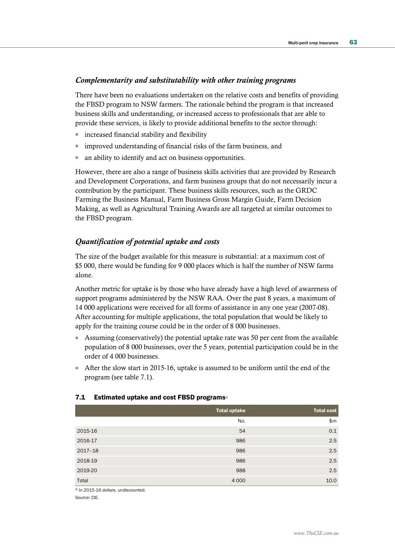## *Complementarity and substitutability with other training programs*

There have been no evaluations undertaken on the relative costs and benefits of providing the FBSD program to NSW farmers. The rationale behind the program is that increased business skills and understanding, or increased access to professionals that are able to provide these services, is likely to provide additional benefits to the sector through:

- increased financial stability and flexibility
- improved understanding of financial risks of the farm business, and
- an ability to identify and act on business opportunities.

However, there are also a range of business skills activities that are provided by Research and Development Corporations, and farm business groups that do not necessarily incur a contribution by the participant. These business skills resources, such as the GRDC Farming the Business Manual, Farm Business Gross Margin Guide, Farm Decision Making, as well as Agricultural Training Awards are all targeted at similar outcomes to the FBSD program.

## *Quantification of potential uptake and costs*

The size of the budget available for this measure is substantial: at a maximum cost of \$5 000, there would be funding for 9 000 places which is half the number of NSW farms alone.

Another metric for uptake is by those who have already have a high level of awareness of support programs administered by the NSW RAA. Over the past 8 years, a maximum of 14 000 applications were received for all forms of assistance in any one year (2007-08). After accounting for multiple applications, the total population that would be likely to apply for the training course could be in the order of 8 000 businesses.

- Assuming (conservatively) the potential uptake rate was 50 per cent from the available population of 8 000 businesses, over the 5 years, potential participation could be in the order of 4 000 businesses.
- After the slow start in 2015-16, uptake is assumed to be uniform until the end of the program (see table 7.1).

|             | <b>Total uptake</b> | <b>Total cost</b> |
|-------------|---------------------|-------------------|
|             | No.                 | \$m\$             |
| 2015-16     | 54                  | 0.1               |
| 2016-17     | 986                 | 2.5               |
| $2017 - 18$ | 986                 | 2.5               |
| 2018-19     | 986                 | 2.5               |
| 2019-20     | 988                 | 2.5               |
| Total       | 4 0 0 0             | 10.0              |

#### 7.1 Estimated uptake and cost FBSD programs<sup>a</sup>

a In 2015-16 dollars, undiscounted. *Source:* CIE.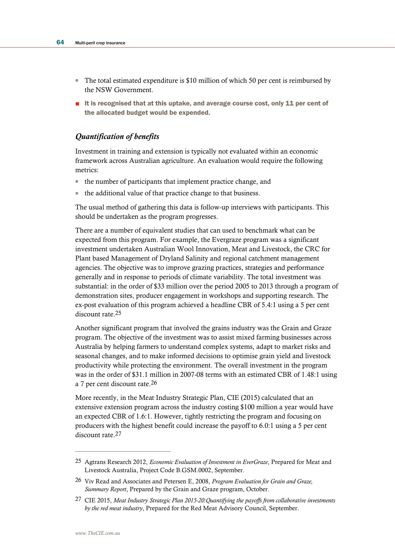- The total estimated expenditure is \$10 million of which 50 per cent is reimbursed by the NSW Government.
- It is recognised that at this uptake, and average course cost, only 11 per cent of the allocated budget would be expended.

## *Quantification of benefits*

Investment in training and extension is typically not evaluated within an economic framework across Australian agriculture. An evaluation would require the following metrics:

- the number of participants that implement practice change, and
- the additional value of that practice change to that business.

The usual method of gathering this data is follow-up interviews with participants. This should be undertaken as the program progresses.

There are a number of equivalent studies that can used to benchmark what can be expected from this program. For example, the Evergraze program was a significant investment undertaken Australian Wool Innovation, Meat and Livestock, the CRC for Plant based Management of Dryland Salinity and regional catchment management agencies. The objective was to improve grazing practices, strategies and performance generally and in response to periods of climate variability. The total investment was substantial: in the order of \$33 million over the period 2005 to 2013 through a program of demonstration sites, producer engagement in workshops and supporting research. The ex-post evaluation of this program achieved a headline CBR of 5.4:1 using a 5 per cent discount rate.25

Another significant program that involved the grains industry was the Grain and Graze program. The objective of the investment was to assist mixed farming businesses across Australia by helping farmers to understand complex systems, adapt to market risks and seasonal changes, and to make informed decisions to optimise grain yield and livestock productivity while protecting the environment. The overall investment in the program was in the order of \$31.1 million in 2007-08 terms with an estimated CBR of 1.48:1 using a 7 per cent discount rate.26

More recently, in the Meat Industry Strategic Plan, CIE (2015) calculated that an extensive extension program across the industry costing \$100 million a year would have an expected CBR of 1.6:1. However, tightly restricting the program and focusing on producers with the highest benefit could increase the payoff to 6.0:1 using a 5 per cent discount rate.27

 $\overline{a}$ 

<sup>25</sup> Agtrans Research 2012, *Economic Evaluation of Investment in EverGraze*, Prepared for Meat and Livestock Australia, Project Code B.GSM.0002, September.

<sup>26</sup> Viv Read and Associates and Petersen E, 2008, *Program Evaluation for Grain and Graze, Summary Report*, Prepared by the Grain and Graze program, October.

<sup>27</sup> CIE 2015, *Meat Industry Strategic Plan 2015-20:Quantifying the payoffs from collaborative investments by the red meat industry*, Prepared for the Red Meat Advisory Council, September.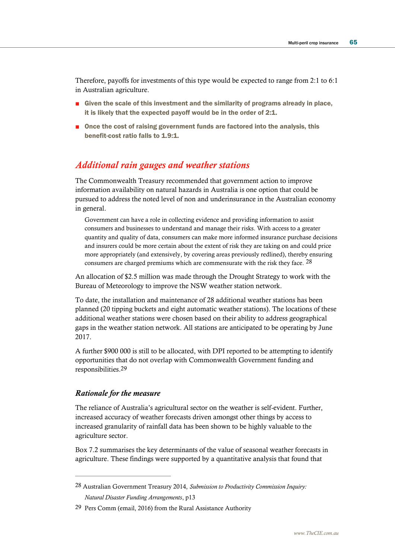Therefore, payoffs for investments of this type would be expected to range from 2:1 to 6:1 in Australian agriculture.

- Given the scale of this investment and the similarity of programs already in place, it is likely that the expected payoff would be in the order of 2:1.
- Once the cost of raising government funds are factored into the analysis, this benefit-cost ratio falls to 1.9:1.

## *Additional rain gauges and weather stations*

The Commonwealth Treasury recommended that government action to improve information availability on natural hazards in Australia is one option that could be pursued to address the noted level of non and underinsurance in the Australian economy in general.

Government can have a role in collecting evidence and providing information to assist consumers and businesses to understand and manage their risks. With access to a greater quantity and quality of data, consumers can make more informed insurance purchase decisions and insurers could be more certain about the extent of risk they are taking on and could price more appropriately (and extensively, by covering areas previously redlined), thereby ensuring consumers are charged premiums which are commensurate with the risk they face. <sup>28</sup>

An allocation of \$2.5 million was made through the Drought Strategy to work with the Bureau of Meteorology to improve the NSW weather station network.

To date, the installation and maintenance of 28 additional weather stations has been planned (20 tipping buckets and eight automatic weather stations). The locations of these additional weather stations were chosen based on their ability to address geographical gaps in the weather station network. All stations are anticipated to be operating by June 2017.

A further \$900 000 is still to be allocated, with DPI reported to be attempting to identify opportunities that do not overlap with Commonwealth Government funding and responsibilities.29

## *Rationale for the measure*

 $\overline{a}$ 

The reliance of Australia's agricultural sector on the weather is self-evident. Further, increased accuracy of weather forecasts driven amongst other things by access to increased granularity of rainfall data has been shown to be highly valuable to the agriculture sector.

Box 7.2 summarises the key determinants of the value of seasonal weather forecasts in agriculture. These findings were supported by a quantitative analysis that found that

<sup>28</sup> Australian Government Treasury 2014, *Submission to Productivity Commission Inquiry: Natural Disaster Funding Arrangements*, p13

<sup>29</sup> Pers Comm (email, 2016) from the Rural Assistance Authority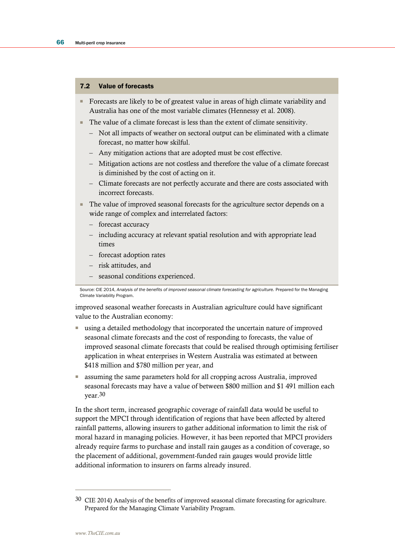## 7.2 Value of forecasts

- Forecasts are likely to be of greatest value in areas of high climate variability and Australia has one of the most variable climates (Hennessy et al. 2008).
- The value of a climate forecast is less than the extent of climate sensitivity.
	- Not all impacts of weather on sectoral output can be eliminated with a climate forecast, no matter how skilful.
	- Any mitigation actions that are adopted must be cost effective.
	- Mitigation actions are not costless and therefore the value of a climate forecast is diminished by the cost of acting on it.
	- Climate forecasts are not perfectly accurate and there are costs associated with incorrect forecasts.
- The value of improved seasonal forecasts for the agriculture sector depends on a wide range of complex and interrelated factors:
	- forecast accuracy
	- including accuracy at relevant spatial resolution and with appropriate lead times
	- forecast adoption rates
	- risk attitudes, and
	- seasonal conditions experienced.

Source: CIE 2014, *Analysis of the benefits of improved seasonal climate forecasting for agriculture.* Prepared for the Managing Climate Variability Program.

improved seasonal weather forecasts in Australian agriculture could have significant value to the Australian economy:

- using a detailed methodology that incorporated the uncertain nature of improved seasonal climate forecasts and the cost of responding to forecasts, the value of improved seasonal climate forecasts that could be realised through optimising fertiliser application in wheat enterprises in Western Australia was estimated at between \$418 million and \$780 million per year, and
- assuming the same parameters hold for all cropping across Australia, improved seasonal forecasts may have a value of between \$800 million and \$1 491 million each year.30

In the short term, increased geographic coverage of rainfall data would be useful to support the MPCI through identification of regions that have been affected by altered rainfall patterns, allowing insurers to gather additional information to limit the risk of moral hazard in managing policies. However, it has been reported that MPCI providers already require farms to purchase and install rain gauges as a condition of coverage, so the placement of additional, government-funded rain gauges would provide little additional information to insurers on farms already insured.

 $\overline{a}$ 

<sup>30</sup> CIE 2014) Analysis of the benefits of improved seasonal climate forecasting for agriculture. Prepared for the Managing Climate Variability Program.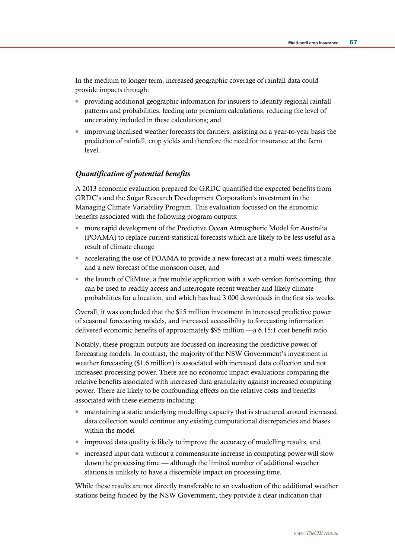In the medium to longer term, increased geographic coverage of rainfall data could provide impacts through:

- providing additional geographic information for insurers to identify regional rainfall patterns and probabilities, feeding into premium calculations, reducing the level of uncertainty included in these calculations; and
- improving localised weather forecasts for farmers, assisting on a year-to-year basis the prediction of rainfall, crop yields and therefore the need for insurance at the farm level.

## *Quantification of potential benefits*

A 2013 economic evaluation prepared for GRDC quantified the expected benefits from GRDC's and the Sugar Research Development Corporation's investment in the Managing Climate Variability Program. This evaluation focussed on the economic benefits associated with the following program outputs:

- more rapid development of the Predictive Ocean Atmospheric Model for Australia (POAMA) to replace current statistical forecasts which are likely to be less useful as a result of climate change
- accelerating the use of POAMA to provide a new forecast at a multi-week timescale and a new forecast of the monsoon onset, and
- the launch of CliMate, a free mobile application with a web version forthcoming, that can be used to readily access and interrogate recent weather and likely climate probabilities for a location, and which has had 3 000 downloads in the first six weeks.

Overall, it was concluded that the \$15 million investment in increased predictive power of seasonal forecasting models, and increased accessibility to forecasting information delivered economic benefits of approximately \$95 million —a 6.15:1 cost benefit ratio.

Notably, these program outputs are focussed on increasing the predictive power of forecasting models. In contrast, the majority of the NSW Government's investment in weather forecasting (\$1.6 million) is associated with increased data collection and not increased processing power. There are no economic impact evaluations comparing the relative benefits associated with increased data granularity against increased computing power. There are likely to be confounding effects on the relative costs and benefits associated with these elements including:

- maintaining a static underlying modelling capacity that is structured around increased data collection would continue any existing computational discrepancies and biases within the model
- improved data quality is likely to improve the accuracy of modelling results, and
- increased input data without a commensurate increase in computing power will slow down the processing time — although the limited number of additional weather stations is unlikely to have a discernible impact on processing time.

While these results are not directly transferable to an evaluation of the additional weather stations being funded by the NSW Government, they provide a clear indication that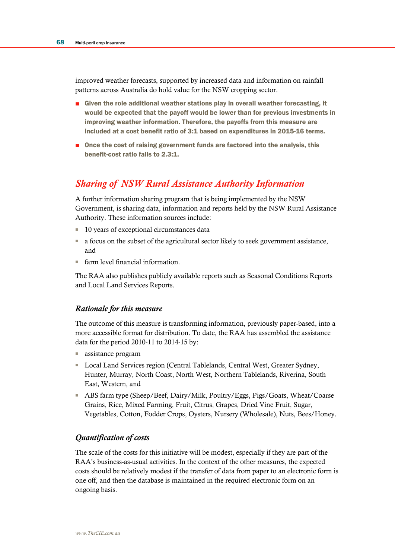improved weather forecasts, supported by increased data and information on rainfall patterns across Australia do hold value for the NSW cropping sector.

- Given the role additional weather stations play in overall weather forecasting, it would be expected that the payoff would be lower than for previous investments in improving weather information. Therefore, the payoffs from this measure are included at a cost benefit ratio of 3:1 based on expenditures in 2015-16 terms.
- Once the cost of raising government funds are factored into the analysis, this benefit-cost ratio falls to 2.3:1.

## *Sharing of NSW Rural Assistance Authority Information*

A further information sharing program that is being implemented by the NSW Government, is sharing data, information and reports held by the NSW Rural Assistance Authority. These information sources include:

- 10 years of exceptional circumstances data
- a focus on the subset of the agricultural sector likely to seek government assistance, and
- farm level financial information.

The RAA also publishes publicly available reports such as Seasonal Conditions Reports and Local Land Services Reports.

## *Rationale for this measure*

The outcome of this measure is transforming information, previously paper-based, into a more accessible format for distribution. To date, the RAA has assembled the assistance data for the period 2010-11 to 2014-15 by:

- assistance program
- Local Land Services region (Central Tablelands, Central West, Greater Sydney, Hunter, Murray, North Coast, North West, Northern Tablelands, Riverina, South East, Western, and
- ABS farm type (Sheep/Beef, Dairy/Milk, Poultry/Eggs, Pigs/Goats, Wheat/Coarse Grains, Rice, Mixed Farming, Fruit, Citrus, Grapes, Dried Vine Fruit, Sugar, Vegetables, Cotton, Fodder Crops, Oysters, Nursery (Wholesale), Nuts, Bees/Honey.

## *Quantification of costs*

The scale of the costs for this initiative will be modest, especially if they are part of the RAA's business-as-usual activities. In the context of the other measures, the expected costs should be relatively modest if the transfer of data from paper to an electronic form is one off, and then the database is maintained in the required electronic form on an ongoing basis.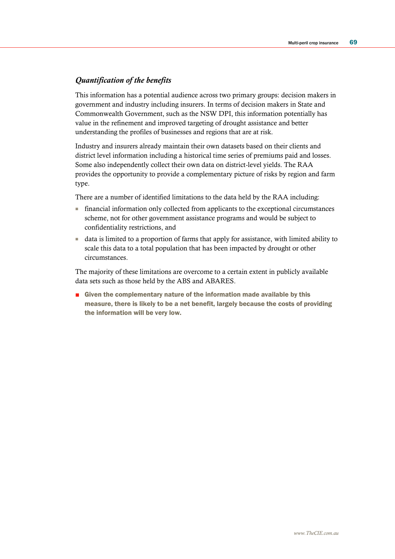## *Quantification of the benefits*

This information has a potential audience across two primary groups: decision makers in government and industry including insurers. In terms of decision makers in State and Commonwealth Government, such as the NSW DPI, this information potentially has value in the refinement and improved targeting of drought assistance and better understanding the profiles of businesses and regions that are at risk.

Industry and insurers already maintain their own datasets based on their clients and district level information including a historical time series of premiums paid and losses. Some also independently collect their own data on district-level yields. The RAA provides the opportunity to provide a complementary picture of risks by region and farm type.

There are a number of identified limitations to the data held by the RAA including:

- financial information only collected from applicants to the exceptional circumstances scheme, not for other government assistance programs and would be subject to confidentiality restrictions, and
- data is limited to a proportion of farms that apply for assistance, with limited ability to scale this data to a total population that has been impacted by drought or other circumstances.

The majority of these limitations are overcome to a certain extent in publicly available data sets such as those held by the ABS and ABARES.

■ Given the complementary nature of the information made available by this measure, there is likely to be a net benefit, largely because the costs of providing the information will be very low.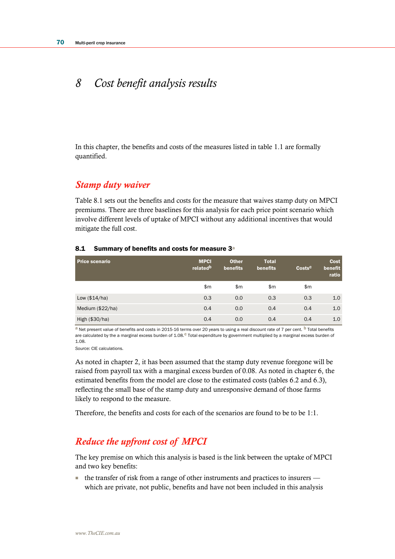# *8 Cost benefit analysis results*

In this chapter, the benefits and costs of the measures listed in table 1.1 are formally quantified.

## *Stamp duty waiver*

Table 8.1 sets out the benefits and costs for the measure that waives stamp duty on MPCI premiums. There are three baselines for this analysis for each price point scenario which involve different levels of uptake of MPCI without any additional incentives that would mitigate the full cost.

#### 8.1 Summary of benefits and costs for measure 3<sup>a</sup>

| <b>Price scenario</b> | <b>MPCI</b><br>related <sup>b</sup> | <b>Other</b><br>benefits | <b>Total</b><br>benefits | Costsc | Cost<br>benefit<br>ratio |
|-----------------------|-------------------------------------|--------------------------|--------------------------|--------|--------------------------|
|                       | \$m                                 | \$m                      | \$m                      | \$m    |                          |
| Low $($14/ha)$        | 0.3                                 | 0.0                      | 0.3                      | 0.3    | 1.0                      |
| Medium (\$22/ha)      | 0.4                                 | 0.0                      | 0.4                      | 0.4    | 1.0                      |
| High $(\$30/ha)$      | 0.4                                 | 0.0                      | 0.4                      | 0.4    | 1.0                      |

a Net present value of benefits and costs in 2015-16 terms over 20 years to using a real discount rate of 7 per cent. <sup>b</sup> Total benefits are calculated by the a marginal excess burden of  $1.08$ .<sup>c</sup> Total expenditure by government multiplied by a marginal excess burden of 1.08.

*Source:* CIE calculations.

As noted in chapter 2, it has been assumed that the stamp duty revenue foregone will be raised from payroll tax with a marginal excess burden of 0.08. As noted in chapter 6, the estimated benefits from the model are close to the estimated costs (tables 6.2 and 6.3), reflecting the small base of the stamp duty and unresponsive demand of those farms likely to respond to the measure.

Therefore, the benefits and costs for each of the scenarios are found to be to be 1:1.

## *Reduce the upfront cost of MPCI*

The key premise on which this analysis is based is the link between the uptake of MPCI and two key benefits:

■ the transfer of risk from a range of other instruments and practices to insurers which are private, not public, benefits and have not been included in this analysis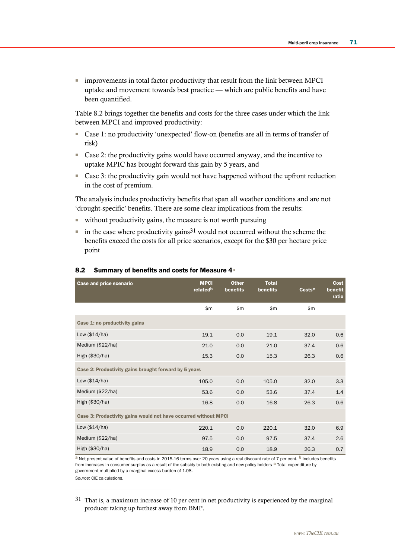■ improvements in total factor productivity that result from the link between MPCI uptake and movement towards best practice — which are public benefits and have been quantified.

Table 8.2 brings together the benefits and costs for the three cases under which the link between MPCI and improved productivity:

- Case 1: no productivity 'unexpected' flow-on (benefits are all in terms of transfer of risk)
- Case 2: the productivity gains would have occurred anyway, and the incentive to uptake MPIC has brought forward this gain by 5 years, and
- Case 3: the productivity gain would not have happened without the upfront reduction in the cost of premium.

The analysis includes productivity benefits that span all weather conditions and are not 'drought-specific' benefits. There are some clear implications from the results:

- without productivity gains, the measure is not worth pursuing
- in the case where productivity gains<sup>31</sup> would not occurred without the scheme the benefits exceed the costs for all price scenarios, except for the \$30 per hectare price point

| Case and price scenario                                         | <b>MPCI</b><br>related <sup>b</sup> | <b>Other</b><br>benefits | <b>Total</b><br>benefits | Costsc | <b>Cost</b><br>benefit<br>ratio |
|-----------------------------------------------------------------|-------------------------------------|--------------------------|--------------------------|--------|---------------------------------|
|                                                                 | \$m\$                               | \$m\$                    | \$m\$                    | \$m\$  |                                 |
| Case 1: no productivity gains                                   |                                     |                          |                          |        |                                 |
| Low $($14/ha)$                                                  | 19.1                                | 0.0                      | 19.1                     | 32.0   | 0.6                             |
| Medium (\$22/ha)                                                | 21.0                                | 0.0                      | 21.0                     | 37.4   | 0.6                             |
| High (\$30/ha)                                                  | 15.3                                | 0.0                      | 15.3                     | 26.3   | 0.6                             |
| Case 2: Productivity gains brought forward by 5 years           |                                     |                          |                          |        |                                 |
| Low $($14/ha)$                                                  | 105.0                               | 0.0                      | 105.0                    | 32.0   | 3.3                             |
| Medium (\$22/ha)                                                | 53.6                                | 0.0                      | 53.6                     | 37.4   | 1.4                             |
| High (\$30/ha)                                                  | 16.8                                | 0.0                      | 16.8                     | 26.3   | 0.6                             |
| Case 3: Productivity gains would not have occurred without MPCI |                                     |                          |                          |        |                                 |
| Low $($14/ha)$                                                  | 220.1                               | 0.0                      | 220.1                    | 32.0   | 6.9                             |
| Medium (\$22/ha)                                                | 97.5                                | 0.0                      | 97.5                     | 37.4   | 2.6                             |
| High (\$30/ha)                                                  | 18.9                                | 0.0                      | 18.9                     | 26.3   | 0.7                             |

### 8.2 Summary of benefits and costs for Measure 4<sup>a</sup>

a Net present value of benefits and costs in 2015-16 terms over 20 years using a real discount rate of 7 per cent. <sup>b</sup> Includes benefits from increases in consumer surplus as a result of the subsidy to both existing and new policy holders  $C$  Total expenditure by government multiplied by a marginal excess burden of 1.08.

*Source:* CIE calculations.

 $\overline{a}$ 

31 That is, a maximum increase of 10 per cent in net productivity is experienced by the marginal producer taking up furthest away from BMP.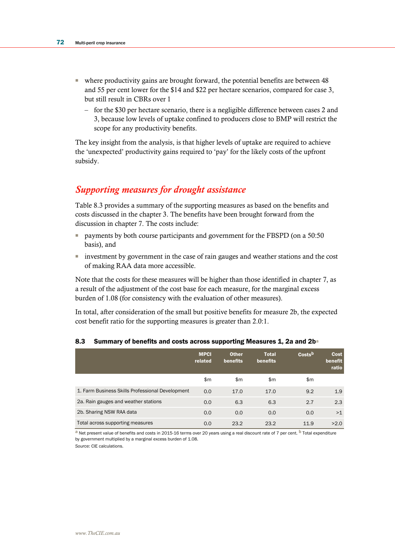- where productivity gains are brought forward, the potential benefits are between 48 and 55 per cent lower for the \$14 and \$22 per hectare scenarios, compared for case 3, but still result in CBRs over 1
	- for the \$30 per hectare scenario, there is a negligible difference between cases 2 and 3, because low levels of uptake confined to producers close to BMP will restrict the scope for any productivity benefits.

The key insight from the analysis, is that higher levels of uptake are required to achieve the 'unexpected' productivity gains required to 'pay' for the likely costs of the upfront subsidy.

# *Supporting measures for drought assistance*

Table 8.3 provides a summary of the supporting measures as based on the benefits and costs discussed in the chapter 3. The benefits have been brought forward from the discussion in chapter 7. The costs include:

- payments by both course participants and government for the FBSPD (on a 50:50 basis), and
- investment by government in the case of rain gauges and weather stations and the cost of making RAA data more accessible.

Note that the costs for these measures will be higher than those identified in chapter 7, as a result of the adjustment of the cost base for each measure, for the marginal excess burden of 1.08 (for consistency with the evaluation of other measures).

In total, after consideration of the small but positive benefits for measure 2b, the expected cost benefit ratio for the supporting measures is greater than 2.0:1.

|                                                  | <b>MPCI</b><br>related | <b>Other</b><br>benefits | <b>Total</b><br>benefits | Costsb | <b>Cost</b><br>benefit<br>ratio |
|--------------------------------------------------|------------------------|--------------------------|--------------------------|--------|---------------------------------|
|                                                  | \$m                    | \$m                      | \$m                      | \$m    |                                 |
| 1. Farm Business Skills Professional Development | 0.0                    | 17.0                     | 17.0                     | 9.2    | 1.9                             |
| 2a. Rain gauges and weather stations             | 0.0                    | 6.3                      | 6.3                      | 2.7    | 2.3                             |
| 2b. Sharing NSW RAA data                         | 0.0                    | 0.0                      | 0.0                      | 0.0    | >1                              |
| Total across supporting measures                 | 0.0                    | 23.2                     | 23.2                     | 11.9   | >2.0                            |

### 8.3 Summary of benefits and costs across supporting Measures 1, 2a and 2ba

a Net present value of benefits and costs in 2015-16 terms over 20 years using a real discount rate of 7 per cent. <sup>b</sup> Total expenditure by government multiplied by a marginal excess burden of 1.08.

*Source:* CIE calculations.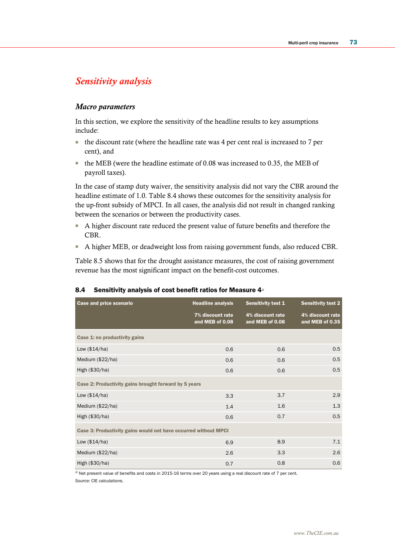# *Sensitivity analysis*

### *Macro parameters*

In this section, we explore the sensitivity of the headline results to key assumptions include:

- $\blacksquare$  the discount rate (where the headline rate was 4 per cent real is increased to 7 per cent), and
- the MEB (were the headline estimate of 0.08 was increased to 0.35, the MEB of payroll taxes).

In the case of stamp duty waiver, the sensitivity analysis did not vary the CBR around the headline estimate of 1.0. Table 8.4 shows these outcomes for the sensitivity analysis for the up-front subsidy of MPCI. In all cases, the analysis did not result in changed ranking between the scenarios or between the productivity cases.

- A higher discount rate reduced the present value of future benefits and therefore the CBR.
- A higher MEB, or deadweight loss from raising government funds, also reduced CBR.

Table 8.5 shows that for the drought assistance measures, the cost of raising government revenue has the most significant impact on the benefit-cost outcomes.

| Case and price scenario                                         | <b>Headline analysis</b>            | Sensitivity test 1                  | <b>Sensitivity test 2</b>           |
|-----------------------------------------------------------------|-------------------------------------|-------------------------------------|-------------------------------------|
|                                                                 | 7% discount rate<br>and MEB of 0.08 | 4% discount rate<br>and MEB of 0.08 | 4% discount rate<br>and MEB of 0.35 |
| Case 1: no productivity gains                                   |                                     |                                     |                                     |
| Low $($14/ha)$                                                  | 0.6                                 | 0.6                                 | 0.5                                 |
| Medium (\$22/ha)                                                | 0.6                                 | 0.6                                 | 0.5                                 |
| High (\$30/ha)                                                  | 0.6                                 | 0.6                                 | 0.5                                 |
| Case 2: Productivity gains brought forward by 5 years           |                                     |                                     |                                     |
| Low $($14/ha)$                                                  | 3.3                                 | 3.7                                 | 2.9                                 |
| Medium (\$22/ha)                                                | 1.4                                 | 1.6                                 | 1.3                                 |
| High (\$30/ha)                                                  | 0.6                                 | 0.7                                 | 0.5                                 |
| Case 3: Productivity gains would not have occurred without MPCI |                                     |                                     |                                     |
| Low $($14/ha)$                                                  | 6.9                                 | 8.9                                 | 7.1                                 |
| Medium (\$22/ha)                                                | 2.6                                 | 3.3                                 | 2.6                                 |
| High (\$30/ha)                                                  | 0.7                                 | 0.8                                 | 0.6                                 |

#### 8.4 Sensitivity analysis of cost benefit ratios for Measure 4<sup>a</sup>

a Net present value of benefits and costs in 2015-16 terms over 20 years using a real discount rate of 7 per cent. *Source:* CIE calculations.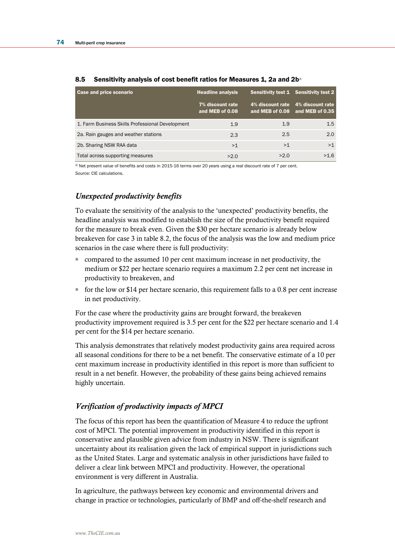| <b>Case and price scenario</b>                   | <b>Headline analysis</b>            |      | Sensitivity test 1 Sensitivity test 2                                |
|--------------------------------------------------|-------------------------------------|------|----------------------------------------------------------------------|
|                                                  | 7% discount rate<br>and MEB of 0.08 |      | 4% discount rate 4% discount rate<br>and MEB of 0.08 and MEB of 0.35 |
| 1. Farm Business Skills Professional Development | 1.9                                 | 1.9  | 1.5                                                                  |
| 2a. Rain gauges and weather stations             | 2.3                                 | 2.5  | 2.0                                                                  |
| 2b. Sharing NSW RAA data                         | >1                                  | >1   | >1                                                                   |
| Total across supporting measures                 | >2.0                                | >2.0 | >1.6                                                                 |

### 8.5 Sensitivity analysis of cost benefit ratios for Measures 1, 2a and 2ba

a Net present value of benefits and costs in 2015-16 terms over 20 years using a real discount rate of 7 per cent. *Source:* CIE calculations.

# *Unexpected productivity benefits*

To evaluate the sensitivity of the analysis to the 'unexpected' productivity benefits, the headline analysis was modified to establish the size of the productivity benefit required for the measure to break even. Given the \$30 per hectare scenario is already below breakeven for case 3 in table 8.2, the focus of the analysis was the low and medium price scenarios in the case where there is full productivity:

- compared to the assumed 10 per cent maximum increase in net productivity, the medium or \$22 per hectare scenario requires a maximum 2.2 per cent net increase in productivity to breakeven, and
- for the low or \$14 per hectare scenario, this requirement falls to a 0.8 per cent increase in net productivity.

For the case where the productivity gains are brought forward, the breakeven productivity improvement required is 3.5 per cent for the \$22 per hectare scenario and 1.4 per cent for the \$14 per hectare scenario.

This analysis demonstrates that relatively modest productivity gains area required across all seasonal conditions for there to be a net benefit. The conservative estimate of a 10 per cent maximum increase in productivity identified in this report is more than sufficient to result in a net benefit. However, the probability of these gains being achieved remains highly uncertain.

### *Verification of productivity impacts of MPCI*

The focus of this report has been the quantification of Measure 4 to reduce the upfront cost of MPCI. The potential improvement in productivity identified in this report is conservative and plausible given advice from industry in NSW. There is significant uncertainty about its realisation given the lack of empirical support in jurisdictions such as the United States. Large and systematic analysis in other jurisdictions have failed to deliver a clear link between MPCI and productivity. However, the operational environment is very different in Australia.

In agriculture, the pathways between key economic and environmental drivers and change in practice or technologies, particularly of BMP and off-the-shelf research and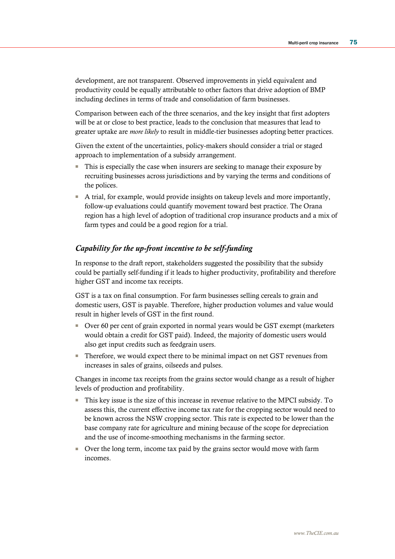development, are not transparent. Observed improvements in yield equivalent and productivity could be equally attributable to other factors that drive adoption of BMP including declines in terms of trade and consolidation of farm businesses.

Comparison between each of the three scenarios, and the key insight that first adopters will be at or close to best practice, leads to the conclusion that measures that lead to greater uptake are *more likely* to result in middle-tier businesses adopting better practices.

Given the extent of the uncertainties, policy-makers should consider a trial or staged approach to implementation of a subsidy arrangement.

- This is especially the case when insurers are seeking to manage their exposure by recruiting businesses across jurisdictions and by varying the terms and conditions of the polices.
- A trial, for example, would provide insights on takeup levels and more importantly, follow-up evaluations could quantify movement toward best practice. The Orana region has a high level of adoption of traditional crop insurance products and a mix of farm types and could be a good region for a trial.

## *Capability for the up-front incentive to be self-funding*

In response to the draft report, stakeholders suggested the possibility that the subsidy could be partially self-funding if it leads to higher productivity, profitability and therefore higher GST and income tax receipts.

GST is a tax on final consumption. For farm businesses selling cereals to grain and domestic users, GST is payable. Therefore, higher production volumes and value would result in higher levels of GST in the first round.

- Over 60 per cent of grain exported in normal years would be GST exempt (marketers would obtain a credit for GST paid). Indeed, the majority of domestic users would also get input credits such as feedgrain users.
- Therefore, we would expect there to be minimal impact on net GST revenues from increases in sales of grains, oilseeds and pulses.

Changes in income tax receipts from the grains sector would change as a result of higher levels of production and profitability.

- This key issue is the size of this increase in revenue relative to the MPCI subsidy. To assess this, the current effective income tax rate for the cropping sector would need to be known across the NSW cropping sector. This rate is expected to be lower than the base company rate for agriculture and mining because of the scope for depreciation and the use of income-smoothing mechanisms in the farming sector.
- Over the long term, income tax paid by the grains sector would move with farm incomes.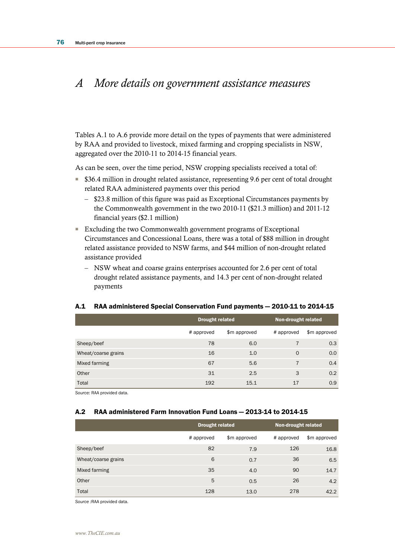# *A More details on government assistance measures*

Tables A.1 to A.6 provide more detail on the types of payments that were administered by RAA and provided to livestock, mixed farming and cropping specialists in NSW, aggregated over the 2010-11 to 2014-15 financial years.

As can be seen, over the time period, NSW cropping specialists received a total of:

- \$36.4 million in drought related assistance, representing 9.6 per cent of total drought related RAA administered payments over this period
	- \$23.8 million of this figure was paid as Exceptional Circumstances payments by the Commonwealth government in the two 2010-11 (\$21.3 million) and 2011-12 financial years (\$2.1 million)
- Excluding the two Commonwealth government programs of Exceptional Circumstances and Concessional Loans, there was a total of \$88 million in drought related assistance provided to NSW farms, and \$44 million of non-drought related assistance provided
	- NSW wheat and coarse grains enterprises accounted for 2.6 per cent of total drought related assistance payments, and 14.3 per cent of non-drought related payments

### A.1 RAA administered Special Conservation Fund payments — 2010-11 to 2014-15

|                     | Drought related |              | Non-drought related |              |
|---------------------|-----------------|--------------|---------------------|--------------|
|                     | # approved      | \$m approved | # approved          | \$m approved |
| Sheep/beef          | 78              | 6.0          |                     | 0.3          |
| Wheat/coarse grains | 16              | 1.0          | $\Omega$            | 0.0          |
| Mixed farming       | 67              | 5.6          |                     | 0.4          |
| Other               | 31              | 2.5          | 3                   | 0.2          |
| Total               | 192             | 15.1         | 17                  | 0.9          |

*Source:* RAA provided data.

### A.2 RAA administered Farm Innovation Fund Loans — 2013-14 to 2014-15

|                     | <b>Drought related</b> |              | Non-drought related |              |
|---------------------|------------------------|--------------|---------------------|--------------|
|                     | # approved             | \$m approved | # approved          | \$m approved |
| Sheep/beef          | 82                     | 7.9          | 126                 | 16.8         |
| Wheat/coarse grains | 6                      | 0.7          | 36                  | 6.5          |
| Mixed farming       | 35                     | 4.0          | 90                  | 14.7         |
| Other               | 5                      | 0.5          | 26                  | 4.2          |
| Total               | 128                    | 13.0         | 278                 | 42.2         |

*Source :*RAA provided data.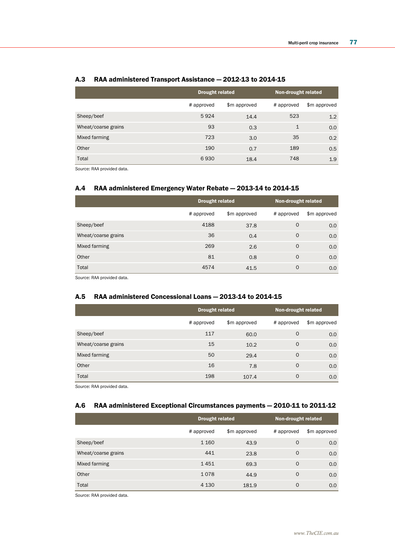|                     | <b>Drought related</b> |              | Non-drought related |              |
|---------------------|------------------------|--------------|---------------------|--------------|
|                     | # approved             | \$m approved | # approved          | \$m approved |
| Sheep/beef          | 5924                   | 14.4         | 523                 | 1.2          |
| Wheat/coarse grains | 93                     | 0.3          | 1                   | 0.0          |
| Mixed farming       | 723                    | 3.0          | 35                  | 0.2          |
| Other               | 190                    | 0.7          | 189                 | 0.5          |
| Total               | 6930                   | 18.4         | 748                 | 1.9          |

### A.3 RAA administered Transport Assistance — 2012-13 to 2014-15

*Source:* RAA provided data.

### A.4 RAA administered Emergency Water Rebate — 2013-14 to 2014-15

|                     | Drought related |              | Non-drought related |              |
|---------------------|-----------------|--------------|---------------------|--------------|
|                     | # approved      | \$m approved | # approved          | \$m approved |
| Sheep/beef          | 4188            | 37.8         | $\mathbf 0$         | 0.0          |
| Wheat/coarse grains | 36              | 0.4          | $\mathbf 0$         | 0.0          |
| Mixed farming       | 269             | 2.6          | $\Omega$            | 0.0          |
| Other               | 81              | 0.8          | $\circ$             | 0.0          |
| Total               | 4574            | 41.5         | $\Omega$            | 0.0          |

*Source:* RAA provided data.

### A.5 RAA administered Concessional Loans — 2013-14 to 2014-15

|                     | <b>Drought related</b> |              | Non-drought related |              |
|---------------------|------------------------|--------------|---------------------|--------------|
|                     | # approved             | \$m approved | # approved          | \$m approved |
| Sheep/beef          | 117                    | 60.0         | $\circ$             | 0.0          |
| Wheat/coarse grains | 15                     | 10.2         | $\circ$             | 0.0          |
| Mixed farming       | 50                     | 29.4         | $\circ$             | 0.0          |
| Other               | 16                     | 7.8          | $\Omega$            | 0.0          |
| Total               | 198                    | 107.4        | 0                   | 0.0          |

*Source:* RAA provided data.

## A.6 RAA administered Exceptional Circumstances payments — 2010-11 to 2011-12

|                     |            | Drought related |            | Non-drought related |
|---------------------|------------|-----------------|------------|---------------------|
|                     | # approved | \$m approved    | # approved | \$m approved        |
| Sheep/beef          | 1 1 6 0    | 43.9            | $\Omega$   | 0.0                 |
| Wheat/coarse grains | 441        | 23.8            | $\Omega$   | 0.0                 |
| Mixed farming       | 1451       | 69.3            | $\Omega$   | 0.0                 |
| Other               | 1078       | 44.9            | $\Omega$   | 0.0                 |
| Total               | 4 1 3 0    | 181.9           | 0          | 0.0                 |

*Source:* RAA provided data.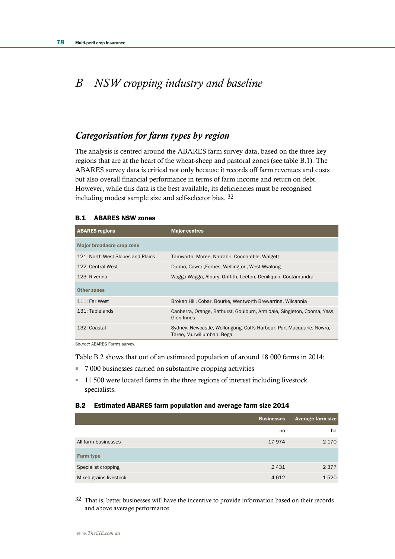# *B NSW cropping industry and baseline*

# *Categorisation for farm types by region*

The analysis is centred around the ABARES farm survey data, based on the three key regions that are at the heart of the wheat-sheep and pastoral zones (see table B.1). The ABARES survey data is critical not only because it records off farm revenues and costs but also overall financial performance in terms of farm income and return on debt. However, while this data is the best available, its deficiencies must be recognised including modest sample size and self-selector bias. 32

### B.1 ABARES NSW zones

| <b>ABARES</b> regions             | <b>Major centres</b>                                                                              |
|-----------------------------------|---------------------------------------------------------------------------------------------------|
| <b>Major broadacre crop zone</b>  |                                                                                                   |
| 121: North West Slopes and Plains | Tamworth, Moree, Narrabri, Coonamble, Walgett                                                     |
| 122: Central West                 | Dubbo, Cowra, Forbes, Wellington, West Wyalong                                                    |
| 123: Riverina                     | Wagga Wagga, Albury, Griffith, Leeton, Deniliquin, Cootamundra                                    |
| <b>Other zones</b>                |                                                                                                   |
| 111: Far West                     | Broken Hill, Cobar, Bourke, Wentworth Brewarrina, Wilcannia                                       |
| 131: Tablelands                   | Canberra, Orange, Bathurst, Goulburn, Armidale, Singleton, Cooma, Yass,<br>Glen Innes             |
| 132: Coastal                      | Sydney, Newcastle, Wollongong, Coffs Harbour, Port Macquarie, Nowra,<br>Taree, Murwillumbah, Bega |

*Source:* ABARES Farms survey.

Table B.2 shows that out of an estimated population of around 18 000 farms in 2014:

- 7 000 businesses carried on substantive cropping activities
- 11 500 were located farms in the three regions of interest including livestock specialists.

### B.2 Estimated ABARES farm population and average farm size 2014

|                        | <b>Businesses</b> | <b>Average farm size</b> |
|------------------------|-------------------|--------------------------|
|                        | no                | ha                       |
| All farm businesses    | 17974             | 2 1 7 0                  |
| <b>Farm type</b>       |                   |                          |
| Specialist cropping    | 2431              | 2 3 7 7                  |
| Mixed grains livestock | 4612              | 1520                     |

32 That is, better businesses will have the incentive to provide information based on their records and above average performance.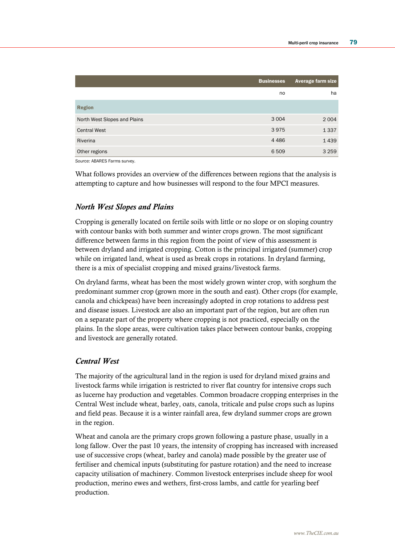|                              | <b>Businesses</b> | <b>Average farm size</b> |
|------------------------------|-------------------|--------------------------|
|                              | no                | ha                       |
| <b>Region</b>                |                   |                          |
| North West Slopes and Plains | 3 0 0 4           | 2 0 0 4                  |
| <b>Central West</b>          | 3975              | 1 3 3 7                  |
| Riverina                     | 4486              | 1439                     |
| Other regions                | 6509              | 3 2 5 9                  |

*Source:* ABARES Farms survey.

What follows provides an overview of the differences between regions that the analysis is attempting to capture and how businesses will respond to the four MPCI measures.

## *North West Slopes and Plains*

Cropping is generally located on fertile soils with little or no slope or on sloping country with contour banks with both summer and winter crops grown. The most significant difference between farms in this region from the point of view of this assessment is between dryland and irrigated cropping. Cotton is the principal irrigated (summer) crop while on irrigated land, wheat is used as break crops in rotations. In dryland farming, there is a mix of specialist cropping and mixed grains/livestock farms.

On dryland farms, wheat has been the most widely grown winter crop, with sorghum the predominant summer crop (grown more in the south and east). Other crops (for example, canola and chickpeas) have been increasingly adopted in crop rotations to address pest and disease issues. Livestock are also an important part of the region, but are often run on a separate part of the property where cropping is not practiced, especially on the plains. In the slope areas, were cultivation takes place between contour banks, cropping and livestock are generally rotated.

# *Central West*

The majority of the agricultural land in the region is used for dryland mixed grains and livestock farms while irrigation is restricted to river flat country for intensive crops such as lucerne hay production and vegetables. Common broadacre cropping enterprises in the Central West include wheat, barley, oats, canola, triticale and pulse crops such as lupins and field peas. Because it is a winter rainfall area, few dryland summer crops are grown in the region.

Wheat and canola are the primary crops grown following a pasture phase, usually in a long fallow. Over the past 10 years, the intensity of cropping has increased with increased use of successive crops (wheat, barley and canola) made possible by the greater use of fertiliser and chemical inputs (substituting for pasture rotation) and the need to increase capacity utilisation of machinery. Common livestock enterprises include sheep for wool production, merino ewes and wethers, first-cross lambs, and cattle for yearling beef production.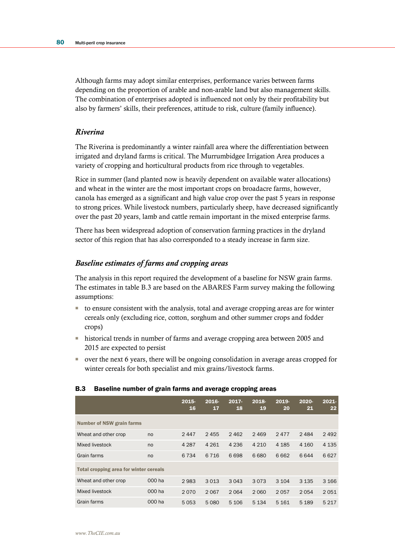Although farms may adopt similar enterprises, performance varies between farms depending on the proportion of arable and non-arable land but also management skills. The combination of enterprises adopted is influenced not only by their profitability but also by farmers' skills, their preferences, attitude to risk, culture (family influence).

### *Riverina*

The Riverina is predominantly a winter rainfall area where the differentiation between irrigated and dryland farms is critical. The Murrumbidgee Irrigation Area produces a variety of cropping and horticultural products from rice through to vegetables.

Rice in summer (land planted now is heavily dependent on available water allocations) and wheat in the winter are the most important crops on broadacre farms, however, canola has emerged as a significant and high value crop over the past 5 years in response to strong prices. While livestock numbers, particularly sheep, have decreased significantly over the past 20 years, lamb and cattle remain important in the mixed enterprise farms.

There has been widespread adoption of conservation farming practices in the dryland sector of this region that has also corresponded to a steady increase in farm size.

### *Baseline estimates of farms and cropping areas*

The analysis in this report required the development of a baseline for NSW grain farms. The estimates in table B.3 are based on the ABARES Farm survey making the following assumptions:

- to ensure consistent with the analysis, total and average cropping areas are for winter cereals only (excluding rice, cotton, sorghum and other summer crops and fodder crops)
- historical trends in number of farms and average cropping area between 2005 and 2015 are expected to persist
- over the next 6 years, there will be ongoing consolidation in average areas cropped for winter cereals for both specialist and mix grains/livestock farms.

|                                               |        | 2015-<br><b>16</b> | $2016 -$<br>17 | $2017 -$<br>18 | 2018-<br>19 | $2019 -$<br>20 | $2020 -$<br>21 | $2021 -$<br>22 |
|-----------------------------------------------|--------|--------------------|----------------|----------------|-------------|----------------|----------------|----------------|
| <b>Number of NSW grain farms</b>              |        |                    |                |                |             |                |                |                |
| Wheat and other crop                          | no     | 2447               | 2455           | 2462           | 2469        | 2477           | 2484           | 2492           |
| Mixed livestock                               | no     | 4 2 8 7            | 4 2 6 1        | 4 2 3 6        | 4 2 1 0     | 4 1 8 5        | 4 1 6 0        | 4 1 3 5        |
| Grain farms                                   | no     | 6734               | 6 7 1 6        | 6698           | 6680        | 6662           | 6644           | 6627           |
| <b>Total cropping area for winter cereals</b> |        |                    |                |                |             |                |                |                |
| Wheat and other crop                          | 000 ha | 2983               | 3013           | 3 0 4 3        | 3073        | 3 1 0 4        | 3 1 3 5        | 3 1 6 6        |
| Mixed livestock                               | 000 ha | 2070               | 2067           | 2064           | 2060        | 2057           | 2054           | 2051           |
| Grain farms                                   | 000 ha | 5053               | 5080           | 5 10 6         | 5 1 3 4     | 5 1 6 1        | 5 1 8 9        | 5 2 1 7        |

#### B.3 Baseline number of grain farms and average cropping areas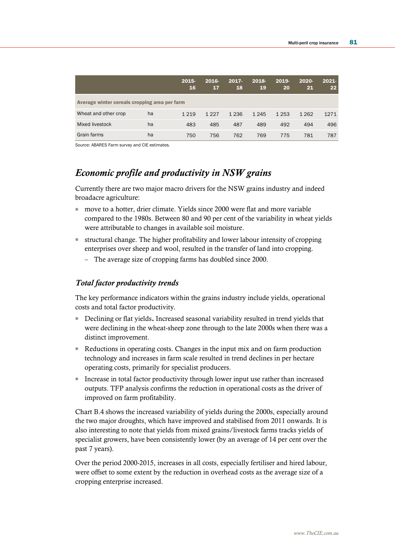|                                               |    | $2015 -$<br><b>16</b> | $2016 -$<br>17 | $2017 -$<br>18 | 2018-<br>19 | $2019 -$<br>20 | 2020-<br>21 | $2021 -$<br>22 |  |
|-----------------------------------------------|----|-----------------------|----------------|----------------|-------------|----------------|-------------|----------------|--|
| Average winter cereals cropping area per farm |    |                       |                |                |             |                |             |                |  |
| Wheat and other crop                          | ha | 1 2 1 9               | 1 2 2 7        | 1 2 3 6        | 1 2 4 5     | 1 2 5 3        | 1 2 6 2     | 1271           |  |
| Mixed livestock                               | ha | 483                   | 485            | 487            | 489         | 492            | 494         | 496            |  |
| Grain farms                                   | ha | 750                   | 756            | 762            | 769         | 775            | 781         | 787            |  |

*Source:* ABARES Farm survey and CIE estimates.

# *Economic profile and productivity in NSW grains*

Currently there are two major macro drivers for the NSW grains industry and indeed broadacre agriculture:

- move to a hotter, drier climate. Yields since 2000 were flat and more variable compared to the 1980s. Between 80 and 90 per cent of the variability in wheat yields were attributable to changes in available soil moisture.
- structural change. The higher profitability and lower labour intensity of cropping enterprises over sheep and wool, resulted in the transfer of land into cropping.
	- The average size of cropping farms has doubled since 2000.

# *Total factor productivity trends*

The key performance indicators within the grains industry include yields, operational costs and total factor productivity.

- Declining or flat yields. Increased seasonal variability resulted in trend yields that were declining in the wheat-sheep zone through to the late 2000s when there was a distinct improvement.
- Reductions in operating costs. Changes in the input mix and on farm production technology and increases in farm scale resulted in trend declines in per hectare operating costs, primarily for specialist producers.
- Increase in total factor productivity through lower input use rather than increased outputs. TFP analysis confirms the reduction in operational costs as the driver of improved on farm profitability.

Chart B.4 shows the increased variability of yields during the 2000s, especially around the two major droughts, which have improved and stabilised from 2011 onwards. It is also interesting to note that yields from mixed grains/livestock farms tracks yields of specialist growers, have been consistently lower (by an average of 14 per cent over the past 7 years).

Over the period 2000-2015, increases in all costs, especially fertiliser and hired labour, were offset to some extent by the reduction in overhead costs as the average size of a cropping enterprise increased.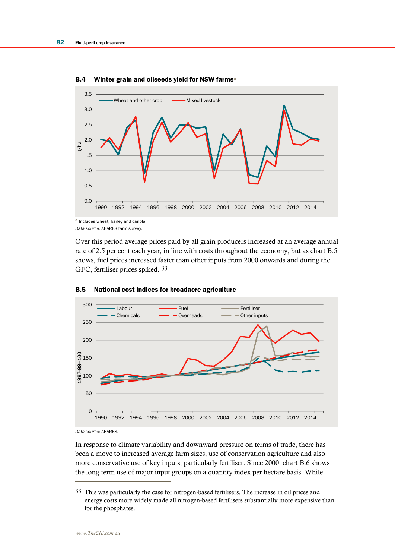

B.4 Winter grain and oilseeds yield for NSW farms<sup>a</sup>

*Data source:* ABARES farm survey.

Over this period average prices paid by all grain producers increased at an average annual rate of 2.5 per cent each year, in line with costs throughout the economy, but as chart B.5 shows, fuel prices increased faster than other inputs from 2000 onwards and during the GFC, fertiliser prices spiked. 33



#### B.5 National cost indices for broadacre agriculture

*Data source:* ABARES.

 $\overline{a}$ 

In response to climate variability and downward pressure on terms of trade, there has been a move to increased average farm sizes, use of conservation agriculture and also more conservative use of key inputs, particularly fertiliser. Since 2000, chart B.6 shows the long-term use of major input groups on a quantity index per hectare basis. While

<sup>33</sup> This was particularly the case for nitrogen-based fertilisers. The increase in oil prices and energy costs more widely made all nitrogen-based fertilisers substantially more expensive than for the phosphates.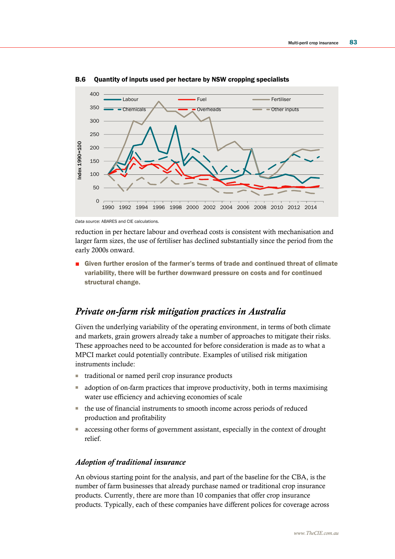

#### B.6 Quantity of inputs used per hectare by NSW cropping specialists

*Data source:* ABARES and CIE calculations.

reduction in per hectare labour and overhead costs is consistent with mechanisation and larger farm sizes, the use of fertiliser has declined substantially since the period from the early 2000s onward.

■ Given further erosion of the farmer's terms of trade and continued threat of climate variability, there will be further downward pressure on costs and for continued structural change.

# *Private on-farm risk mitigation practices in Australia*

Given the underlying variability of the operating environment, in terms of both climate and markets, grain growers already take a number of approaches to mitigate their risks. These approaches need to be accounted for before consideration is made as to what a MPCI market could potentially contribute. Examples of utilised risk mitigation instruments include:

- traditional or named peril crop insurance products
- adoption of on-farm practices that improve productivity, both in terms maximising water use efficiency and achieving economies of scale
- the use of financial instruments to smooth income across periods of reduced production and profitability
- accessing other forms of government assistant, especially in the context of drought relief.

### *Adoption of traditional insurance*

An obvious starting point for the analysis, and part of the baseline for the CBA, is the number of farm businesses that already purchase named or traditional crop insurance products. Currently, there are more than 10 companies that offer crop insurance products. Typically, each of these companies have different polices for coverage across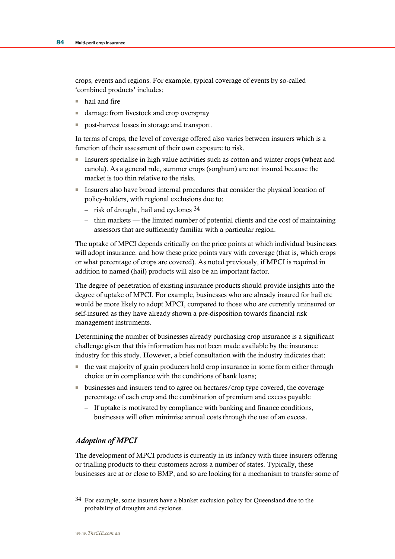crops, events and regions. For example, typical coverage of events by so-called 'combined products' includes:

- hail and fire
- damage from livestock and crop overspray
- post-harvest losses in storage and transport.

In terms of crops, the level of coverage offered also varies between insurers which is a function of their assessment of their own exposure to risk.

- Insurers specialise in high value activities such as cotton and winter crops (wheat and canola). As a general rule, summer crops (sorghum) are not insured because the market is too thin relative to the risks.
- Insurers also have broad internal procedures that consider the physical location of policy-holders, with regional exclusions due to:
	- risk of drought, hail and cyclones 34
	- thin markets the limited number of potential clients and the cost of maintaining assessors that are sufficiently familiar with a particular region.

The uptake of MPCI depends critically on the price points at which individual businesses will adopt insurance, and how these price points vary with coverage (that is, which crops or what percentage of crops are covered). As noted previously, if MPCI is required in addition to named (hail) products will also be an important factor.

The degree of penetration of existing insurance products should provide insights into the degree of uptake of MPCI. For example, businesses who are already insured for hail etc would be more likely to adopt MPCI, compared to those who are currently uninsured or self-insured as they have already shown a pre-disposition towards financial risk management instruments.

Determining the number of businesses already purchasing crop insurance is a significant challenge given that this information has not been made available by the insurance industry for this study. However, a brief consultation with the industry indicates that:

- the vast majority of grain producers hold crop insurance in some form either through choice or in compliance with the conditions of bank loans;
- businesses and insurers tend to agree on hectares/crop type covered, the coverage percentage of each crop and the combination of premium and excess payable
	- If uptake is motivated by compliance with banking and finance conditions, businesses will often minimise annual costs through the use of an excess.

# *Adoption of MPCI*

The development of MPCI products is currently in its infancy with three insurers offering or trialling products to their customers across a number of states. Typically, these businesses are at or close to BMP, and so are looking for a mechanism to transfer some of

<sup>34</sup> For example, some insurers have a blanket exclusion policy for Queensland due to the probability of droughts and cyclones.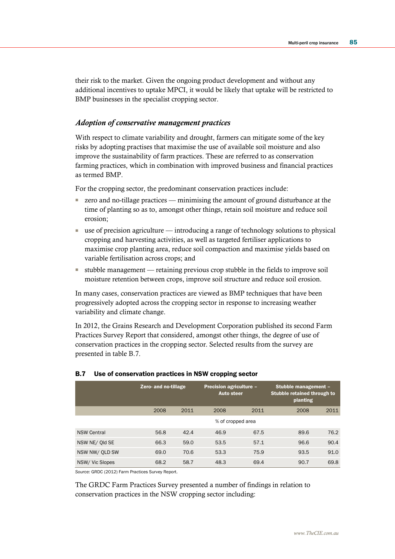their risk to the market. Given the ongoing product development and without any additional incentives to uptake MPCI, it would be likely that uptake will be restricted to BMP businesses in the specialist cropping sector.

### *Adoption of conservative management practices*

With respect to climate variability and drought, farmers can mitigate some of the key risks by adopting practises that maximise the use of available soil moisture and also improve the sustainability of farm practices. These are referred to as conservation farming practices, which in combination with improved business and financial practices as termed BMP.

For the cropping sector, the predominant conservation practices include:

- zero and no-tillage practices minimising the amount of ground disturbance at the time of planting so as to, amongst other things, retain soil moisture and reduce soil erosion;
- use of precision agriculture introducing a range of technology solutions to physical cropping and harvesting activities, as well as targeted fertiliser applications to maximise crop planting area, reduce soil compaction and maximise yields based on variable fertilisation across crops; and
- stubble management retaining previous crop stubble in the fields to improve soil moisture retention between crops, improve soil structure and reduce soil erosion.

In many cases, conservation practices are viewed as BMP techniques that have been progressively adopted across the cropping sector in response to increasing weather variability and climate change.

In 2012, the Grains Research and Development Corporation published its second Farm Practices Survey Report that considered, amongst other things, the degree of use of conservation practices in the cropping sector. Selected results from the survey are presented in table B.7.

|                    | Zero- and no-tillage |      | <b>Precision agriculture -</b><br><b>Auto steer</b> |      | Stubble management -<br><b>Stubble retained through to</b><br>planting |      |  |
|--------------------|----------------------|------|-----------------------------------------------------|------|------------------------------------------------------------------------|------|--|
|                    | 2008                 | 2011 | 2008                                                | 2011 | 2008                                                                   | 2011 |  |
|                    |                      |      | % of cropped area                                   |      |                                                                        |      |  |
| <b>NSW Central</b> | 56.8                 | 42.4 | 46.9                                                | 67.5 | 89.6                                                                   | 76.2 |  |
| NSW NE/ Old SE     | 66.3                 | 59.0 | 53.5                                                | 57.1 | 96.6                                                                   | 90.4 |  |
| NSW NW/ OLD SW     | 69.0                 | 70.6 | 53.3                                                | 75.9 | 93.5                                                                   | 91.0 |  |
| NSW/ Vic Slopes    | 68.2                 | 58.7 | 48.3                                                | 69.4 | 90.7                                                                   | 69.8 |  |

### B.7 Use of conservation practices in NSW cropping sector

*Source:* GRDC (2012) Farm Practices Survey Report.

The GRDC Farm Practices Survey presented a number of findings in relation to conservation practices in the NSW cropping sector including: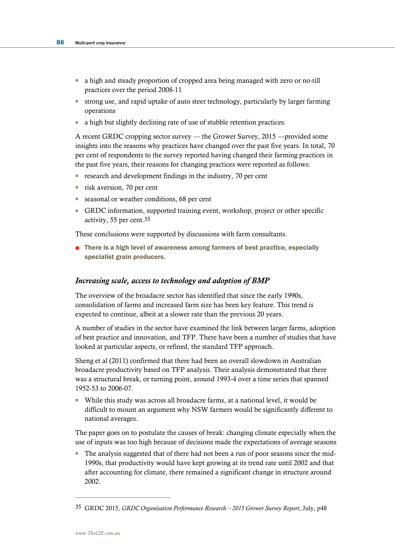- a high and steady proportion of cropped area being managed with zero or no-till practices over the period 2008-11
- strong use, and rapid uptake of auto steer technology, particularly by larger farming operations
- a high but slightly declining rate of use of stubble retention practices.

A recent GRDC cropping sector survey — the Grower Survey, 2015 —provided some insights into the reasons why practices have changed over the past five years. In total, 70 per cent of respondents to the survey reported having changed their farming practices in the past five years, their reasons for changing practices were reported as follows:

- research and development findings in the industry, 70 per cent
- risk aversion, 70 per cent
- seasonal or weather conditions, 68 per cent
- GRDC information, supported training event, workshop, project or other specific activity, 55 per cent.35

These conclusions were supported by discussions with farm consultants.

■ There is a high level of awareness among farmers of best practice, especially specialist grain producers.

### *Increasing scale, access to technology and adoption of BMP*

The overview of the broadacre sector has identified that since the early 1990s, consolidation of farms and increased farm size has been key feature. This trend is expected to continue, albeit at a slower rate than the previous 20 years.

A number of studies in the sector have examined the link between larger farms, adoption of best practice and innovation, and TFP. There have been a number of studies that have looked at particular aspects, or refined, the standard TFP approach.

Sheng et al (2011) confirmed that there had been an overall slowdown in Australian broadacre productivity based on TFP analysis. Their analysis demonstrated that there was a structural break, or turning point, around 1993-4 over a time series that spanned 1952-53 to 2006-07.

■ While this study was across all broadacre farms, at a national level, it would be difficult to mount an argument why NSW farmers would be significantly different to national averages.

The paper goes on to postulate the causes of break: changing climate especially when the use of inputs was too high because of decisions made the expectations of average seasons

■ The analysis suggested that of there had not been a run of poor seasons since the mid-1990s, that productivity would have kept growing at its trend rate until 2002 and that after accounting for climate, there remained a significant change in structure around 2002.

<sup>35</sup> GRDC 2015, *GRDC Organisation Performance Research – 2015 Grower Survey Report*, July, p48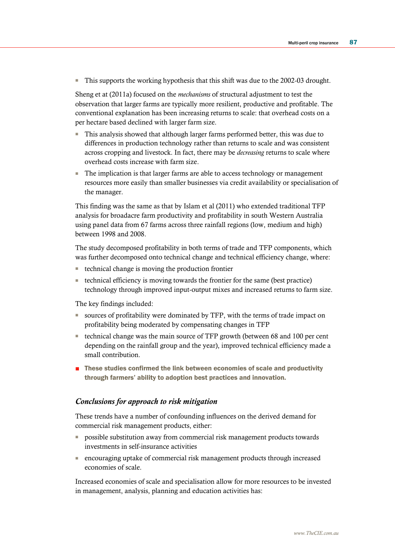■ This supports the working hypothesis that this shift was due to the 2002-03 drought.

Sheng et at (2011a) focused on the *mechanisms* of structural adjustment to test the observation that larger farms are typically more resilient, productive and profitable. The conventional explanation has been increasing returns to scale: that overhead costs on a per hectare based declined with larger farm size.

- This analysis showed that although larger farms performed better, this was due to differences in production technology rather than returns to scale and was consistent across cropping and livestock. In fact, there may be *decreasing* returns to scale where overhead costs increase with farm size.
- The implication is that larger farms are able to access technology or management resources more easily than smaller businesses via credit availability or specialisation of the manager.

This finding was the same as that by Islam et al (2011) who extended traditional TFP analysis for broadacre farm productivity and profitability in south Western Australia using panel data from 67 farms across three rainfall regions (low, medium and high) between 1998 and 2008.

The study decomposed profitability in both terms of trade and TFP components, which was further decomposed onto technical change and technical efficiency change, where:

- technical change is moving the production frontier
- technical efficiency is moving towards the frontier for the same (best practice) technology through improved input-output mixes and increased returns to farm size.

The key findings included:

- sources of profitability were dominated by TFP, with the terms of trade impact on profitability being moderated by compensating changes in TFP
- technical change was the main source of TFP growth (between 68 and 100 per cent depending on the rainfall group and the year), improved technical efficiency made a small contribution.
- These studies confirmed the link between economies of scale and productivity through farmers' ability to adoption best practices and innovation.

### *Conclusions for approach to risk mitigation*

These trends have a number of confounding influences on the derived demand for commercial risk management products, either:

- possible substitution away from commercial risk management products towards investments in self-insurance activities
- encouraging uptake of commercial risk management products through increased economies of scale.

Increased economies of scale and specialisation allow for more resources to be invested in management, analysis, planning and education activities has: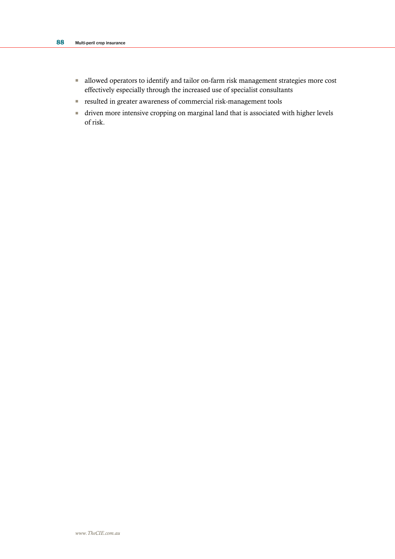- allowed operators to identify and tailor on-farm risk management strategies more cost effectively especially through the increased use of specialist consultants
- resulted in greater awareness of commercial risk-management tools
- driven more intensive cropping on marginal land that is associated with higher levels of risk.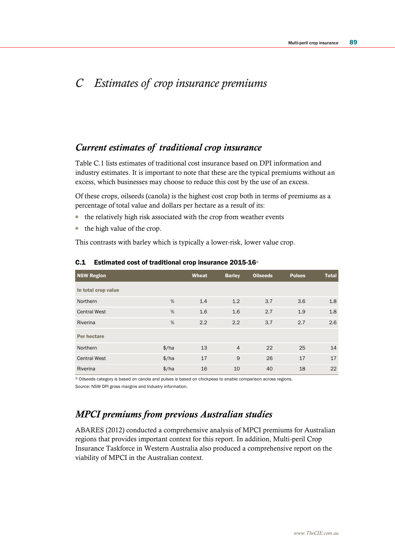# *C Estimates of crop insurance premiums*

# *Current estimates of traditional crop insurance*

Table C.1 lists estimates of traditional cost insurance based on DPI information and industry estimates. It is important to note that these are the typical premiums without an excess, which businesses may choose to reduce this cost by the use of an excess.

Of these crops, oilseeds (canola) is the highest cost crop both in terms of premiums as a percentage of total value and dollars per hectare as a result of its:

- the relatively high risk associated with the crop from weather events
- the high value of the crop.

This contrasts with barley which is typically a lower-risk, lower value crop.

| <b>NSW Region</b>   |                      | Wheat | <b>Barley</b>  | <b>Oilseeds</b> | <b>Pulses</b> | <b>Total</b> |
|---------------------|----------------------|-------|----------------|-----------------|---------------|--------------|
| In total crop value |                      |       |                |                 |               |              |
| Northern            | %                    | 1.4   | 1.2            | 3.7             | 3.6           | 1.8          |
| <b>Central West</b> | %                    | 1.6   | 1.6            | 2.7             | 1.9           | 1.8          |
| Riverina            | %                    | 2.2   | 2.2            | 3.7             | 2.7           | 2.6          |
| <b>Per hectare</b>  |                      |       |                |                 |               |              |
| Northern            | $\frac{\sqrt{2}}{2}$ | 13    | $\overline{4}$ | 22              | 25            | 14           |
| <b>Central West</b> | $\frac{\sqrt{2}}{2}$ | 17    | 9              | 26              | 17            | 17           |
| Riverina            | $\frac{\sqrt{2}}{2}$ | 16    | 10             | 40              | 18            | 22           |

### C.1 Estimated cost of traditional crop insurance 2015-16<sup>a</sup>

a Oilseeds category is based on canola and pulses is based on chickpeas to enable comparison across regions. *Source:* NSW DPI gross margins and Industry information.

# *MPCI premiums from previous Australian studies*

ABARES (2012) conducted a comprehensive analysis of MPCI premiums for Australian regions that provides important context for this report. In addition, Multi-peril Crop Insurance Taskforce in Western Australia also produced a comprehensive report on the viability of MPCI in the Australian context.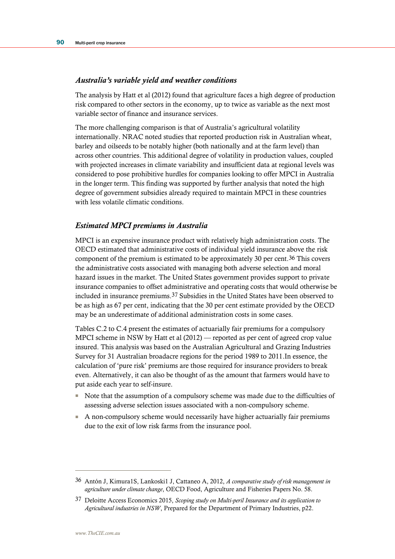### *Australia's variable yield and weather conditions*

The analysis by Hatt et al (2012) found that agriculture faces a high degree of production risk compared to other sectors in the economy, up to twice as variable as the next most variable sector of finance and insurance services.

The more challenging comparison is that of Australia's agricultural volatility internationally. NRAC noted studies that reported production risk in Australian wheat, barley and oilseeds to be notably higher (both nationally and at the farm level) than across other countries. This additional degree of volatility in production values, coupled with projected increases in climate variability and insufficient data at regional levels was considered to pose prohibitive hurdles for companies looking to offer MPCI in Australia in the longer term. This finding was supported by further analysis that noted the high degree of government subsidies already required to maintain MPCI in these countries with less volatile climatic conditions.

### *Estimated MPCI premiums in Australia*

MPCI is an expensive insurance product with relatively high administration costs. The OECD estimated that administrative costs of individual yield insurance above the risk component of the premium is estimated to be approximately 30 per cent.36 This covers the administrative costs associated with managing both adverse selection and moral hazard issues in the market. The United States government provides support to private insurance companies to offset administrative and operating costs that would otherwise be included in insurance premiums.37 Subsidies in the United States have been observed to be as high as 67 per cent, indicating that the 30 per cent estimate provided by the OECD may be an underestimate of additional administration costs in some cases.

Tables C.2 to C.4 present the estimates of actuarially fair premiums for a compulsory MPCI scheme in NSW by Hatt et al (2012) — reported as per cent of agreed crop value insured. This analysis was based on the Australian Agricultural and Grazing Industries Survey for 31 Australian broadacre regions for the period 1989 to 2011.In essence, the calculation of 'pure risk' premiums are those required for insurance providers to break even. Alternatively, it can also be thought of as the amount that farmers would have to put aside each year to self-insure.

- Note that the assumption of a compulsory scheme was made due to the difficulties of assessing adverse selection issues associated with a non-compulsory scheme.
- A non-compulsory scheme would necessarily have higher actuarially fair premiums due to the exit of low risk farms from the insurance pool.

<sup>36</sup> Antón J, Kimura1S, Lankoski1 J, Cattaneo A, 2012, *A comparative study of risk management in agriculture under climate change*, OECD Food, Agriculture and Fisheries Papers No. 58.

<sup>37</sup> Deloitte Access Economics 2015, *Scoping study on Multi-peril Insurance and its application to Agricultural industries in NSW*, Prepared for the Department of Primary Industries, p22.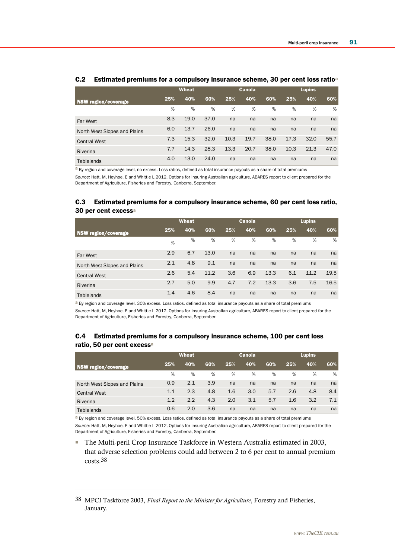|                              | Wheat |      |      | Canola |      |      | <b>Lupins</b> |      |      |
|------------------------------|-------|------|------|--------|------|------|---------------|------|------|
| NSW region/coverage          | 25%   | 40%  | 60%  | 25%    | 40%  | 60%  | 25%           | 40%  | 60%  |
|                              | %     | %    | %    | %      | %    | %    | %             | %    | %    |
| <b>Far West</b>              | 8.3   | 19.0 | 37.0 | na     | na   | na   | na            | na   | na   |
| North West Slopes and Plains | 6.0   | 13.7 | 26.0 | na     | na   | na   | na            | na   | na   |
| <b>Central West</b>          | 7.3   | 15.3 | 32.0 | 10.3   | 19.7 | 38.0 | 17.3          | 32.0 | 55.7 |
| Riverina                     | 7.7   | 14.3 | 28.3 | 13.3   | 20.7 | 38.0 | 10.3          | 21.3 | 47.0 |
| Tablelands                   | 4.0   | 13.0 | 24.0 | na     | na   | na   | na            | na   | na   |

### C.2 Estimated premiums for a compulsory insurance scheme, 30 per cent loss ratio<sup>a</sup>

a By region and coverage level, no excess. Loss ratios, defined as total insurance payouts as a share of total premiums

*Source:* Hatt, M, Heyhoe, E and Whittle L 2012, Options for insuring Australian agriculture, ABARES report to client prepared for the Department of Agriculture, Fisheries and Forestry, Canberra, September.

### C.3 Estimated premiums for a compulsory insurance scheme, 60 per cent loss ratio, 30 per cent excess<sup>a</sup>

|                              | Wheat |     |      | <b>Canola</b> |     |      | <b>Lupins</b> |      |      |
|------------------------------|-------|-----|------|---------------|-----|------|---------------|------|------|
| NSW region/coverage          | 25%   | 40% | 60%  | 25%           | 40% | 60%  | 25%           | 40%  | 60%  |
|                              | %     | %   | %    | %             | %   | %    | %             | %    | %    |
| Far West                     | 2.9   | 6.7 | 13.0 | na            | na  | na   | na            | na   | na   |
| North West Slopes and Plains | 2.1   | 4.8 | 9.1  | na            | na  | na   | na            | na   | na   |
| <b>Central West</b>          | 2.6   | 5.4 | 11.2 | 3.6           | 6.9 | 13.3 | 6.1           | 11.2 | 19.5 |
| Riverina                     | 2.7   | 5.0 | 9.9  | 4.7           | 7.2 | 13.3 | 3.6           | 7.5  | 16.5 |
| <b>Tablelands</b>            | 1.4   | 4.6 | 8.4  | na            | na  | na   | na            | na   | na   |

a By region and coverage level, 30% excess. Loss ratios, defined as total insurance payouts as a share of total premiums *Source:* Hatt, M, Heyhoe, E and Whittle L 2012, Options for insuring Australian agriculture, ABARES report to client prepared for the Department of Agriculture, Fisheries and Forestry, Canberra, September.

### C.4 Estimated premiums for a compulsory insurance scheme, 100 per cent loss ratio, 50 per cent excess<sup>a</sup>

|                              | <b>Wheat</b> |     |     | <b>Canola</b> |     |     | <b>Lupins</b> |     |     |
|------------------------------|--------------|-----|-----|---------------|-----|-----|---------------|-----|-----|
| NSW region/coverage          | 25%          | 40% | 60% | 25%           | 40% | 60% | 25%           | 40% | 60% |
|                              | %            | %   | %   | %             | %   | %   | %             | %   | %   |
| North West Slopes and Plains | 0.9          | 2.1 | 3.9 | na            | na  | na  | na            | na  | na  |
| <b>Central West</b>          | 1.1          | 2.3 | 4.8 | 1.6           | 3.0 | 5.7 | 2.6           | 4.8 | 8.4 |
| Riverina                     | 1.2          | 2.2 | 4.3 | 2.0           | 3.1 | 5.7 | 1.6           | 3.2 | 7.1 |
| <b>Tablelands</b>            | 0.6          | 2.0 | 3.6 | na            | na  | na  | na            | na  | na  |

a By region and coverage level, 50% excess. Loss ratios, defined as total insurance payouts as a share of total premiums *Source:* Hatt, M, Heyhoe, E and Whittle L 2012, Options for insuring Australian agriculture, ABARES report to client prepared for the Department of Agriculture, Fisheries and Forestry, Canberra, September.

■ The Multi-peril Crop Insurance Taskforce in Western Australia estimated in 2003, that adverse selection problems could add between 2 to 6 per cent to annual premium costs.38

<sup>38</sup> MPCI Taskforce 2003, *Final Report to the Minister for Agriculture*, Forestry and Fisheries, January.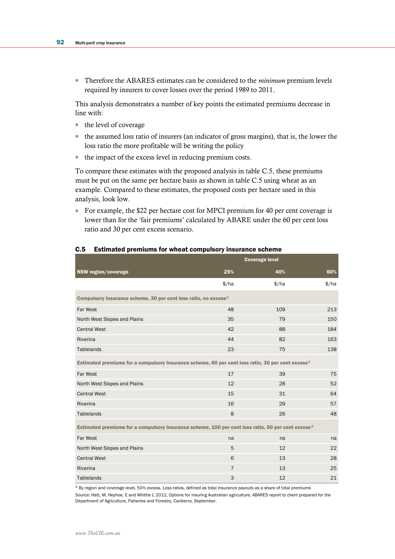■ Therefore the ABARES estimates can be considered to the *minimum* premium levels required by insurers to cover losses over the period 1989 to 2011.

This analysis demonstrates a number of key points the estimated premiums decrease in line with:

- the level of coverage
- the assumed loss ratio of insurers (an indicator of gross margins), that is, the lower the loss ratio the more profitable will be writing the policy
- the impact of the excess level in reducing premium costs.

To compare these estimates with the proposed analysis in table C.5, these premiums must be put on the same per hectare basis as shown in table C.5 using wheat as an example. Compared to these estimates, the proposed costs per hectare used in this analysis, look low.

■ For example, the \$22 per hectare cost for MPCI premium for 40 per cent coverage is lower than for the 'fair premiums' calculated by ABARE under the 60 per cent loss ratio and 30 per cent excess scenario.

|                                                                                                                | <b>Coverage level</b> |                  |                  |  |  |
|----------------------------------------------------------------------------------------------------------------|-----------------------|------------------|------------------|--|--|
| NSW region/coverage                                                                                            | 25%                   | 40%              | 60%              |  |  |
|                                                                                                                | $\frac{1}{2}$ ha      | $\frac{1}{2}$ ha | $\frac{1}{2}$ ha |  |  |
| Compulsory insurance scheme, 30 per cent loss ratio, no excess <sup>a</sup>                                    |                       |                  |                  |  |  |
| Far West                                                                                                       | 48                    | 109              | 213              |  |  |
| North West Slopes and Plains                                                                                   | 35                    | 79               | 150              |  |  |
| <b>Central West</b>                                                                                            | 42                    | 88               | 184              |  |  |
| Riverina                                                                                                       | 44                    | 82               | 163              |  |  |
| Tablelands                                                                                                     | 23                    | 75               | 138              |  |  |
| Estimated premiums for a compulsory insurance scheme, 60 per cent loss ratio, 30 per cent excess <sup>a</sup>  |                       |                  |                  |  |  |
| Far West                                                                                                       | 17                    | 39               | 75               |  |  |
| North West Slopes and Plains                                                                                   | 12                    | 28               | 52               |  |  |
| <b>Central West</b>                                                                                            | 15                    | 31               | 64               |  |  |
| Riverina                                                                                                       | 16                    | 29               | 57               |  |  |
| <b>Tablelands</b>                                                                                              | 8                     | 26               | 48               |  |  |
| Estimated premiums for a compulsory insurance scheme, 100 per cent loss ratio, 50 per cent excess <sup>a</sup> |                       |                  |                  |  |  |
| Far West                                                                                                       | na                    | na               | na               |  |  |
| North West Slopes and Plains                                                                                   | 5                     | 12               | 22               |  |  |
| <b>Central West</b>                                                                                            | 6                     | 13               | 28               |  |  |
| Riverina                                                                                                       | $\overline{7}$        | 13               | 25               |  |  |
| <b>Tablelands</b>                                                                                              | 3                     | 12               | 21               |  |  |

#### C.5 Estimated premiums for wheat compulsory insurance scheme

a By region and coverage level, 50% excess. Loss ratios, defined as total insurance payouts as a share of total premiums *Source:* Hatt, M, Heyhoe, E and Whittle L 2012, Options for insuring Australian agriculture, ABARES report to client prepared for the Department of Agriculture, Fisheries and Forestry, Canberra, September.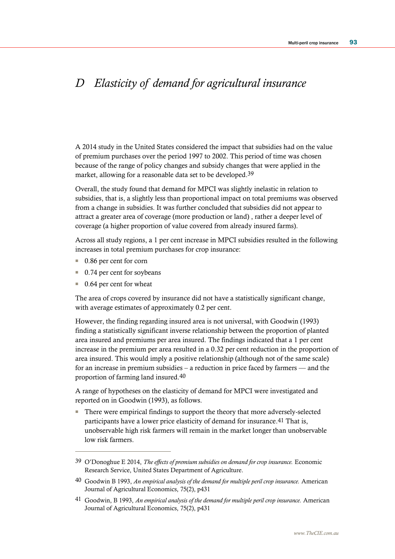# *D Elasticity of demand for agricultural insurance*

A 2014 study in the United States considered the impact that subsidies had on the value of premium purchases over the period 1997 to 2002. This period of time was chosen because of the range of policy changes and subsidy changes that were applied in the market, allowing for a reasonable data set to be developed.39

Overall, the study found that demand for MPCI was slightly inelastic in relation to subsidies, that is, a slightly less than proportional impact on total premiums was observed from a change in subsidies. It was further concluded that subsidies did not appear to attract a greater area of coverage (more production or land) , rather a deeper level of coverage (a higher proportion of value covered from already insured farms).

Across all study regions, a 1 per cent increase in MPCI subsidies resulted in the following increases in total premium purchases for crop insurance:

- 0.86 per cent for corn
- 0.74 per cent for soybeans
- 0.64 per cent for wheat

 $\overline{a}$ 

The area of crops covered by insurance did not have a statistically significant change, with average estimates of approximately 0.2 per cent.

However, the finding regarding insured area is not universal, with Goodwin (1993) finding a statistically significant inverse relationship between the proportion of planted area insured and premiums per area insured. The findings indicated that a 1 per cent increase in the premium per area resulted in a 0.32 per cent reduction in the proportion of area insured. This would imply a positive relationship (although not of the same scale) for an increase in premium subsidies – a reduction in price faced by farmers — and the proportion of farming land insured.40

A range of hypotheses on the elasticity of demand for MPCI were investigated and reported on in Goodwin (1993), as follows.

■ There were empirical findings to support the theory that more adversely-selected participants have a lower price elasticity of demand for insurance.41 That is, unobservable high risk farmers will remain in the market longer than unobservable low risk farmers.

<sup>39</sup> O'Donoghue E 2014, *The effects of premium subsidies on demand for crop insurance.* Economic Research Service, United States Department of Agriculture.

<sup>40</sup> Goodwin B 1993, *An empirical analysis of the demand for multiple peril crop insurance.* American Journal of Agricultural Economics, 75(2), p431

<sup>41</sup> Goodwin, B 1993, *An empirical analysis of the demand for multiple peril crop insurance.* American Journal of Agricultural Economics, 75(2), p431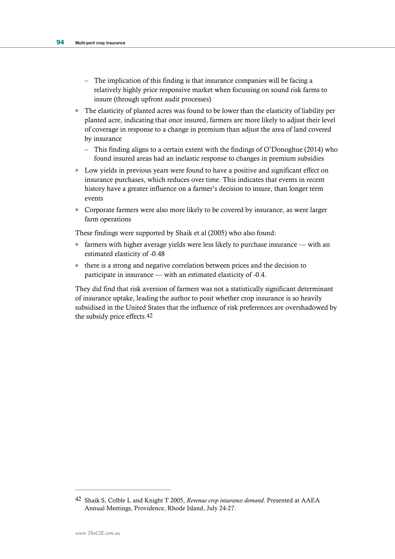- The implication of this finding is that insurance companies will be facing a relatively highly price responsive market when focussing on sound risk farms to insure (through upfront audit processes)
- The elasticity of planted acres was found to be lower than the elasticity of liability per planted acre, indicating that once insured, farmers are more likely to adjust their level of coverage in response to a change in premium than adjust the area of land covered by insurance
	- This finding aligns to a certain extent with the findings of O'Donoghue (2014) who found insured areas had an inelastic response to changes in premium subsidies
- Low yields in previous years were found to have a positive and significant effect on insurance purchases, which reduces over time. This indicates that events in recent history have a greater influence on a farmer's decision to insure, than longer term events
- Corporate farmers were also more likely to be covered by insurance, as were larger farm operations

These findings were supported by Shaik et al (2005) who also found:

- farmers with higher average yields were less likely to purchase insurance with an estimated elasticity of -0.48
- there is a strong and negative correlation between prices and the decision to participate in insurance — with an estimated elasticity of -0.4.

They did find that risk aversion of farmers was not a statistically significant determinant of insurance uptake, leading the author to posit whether crop insurance is so heavily subsidised in the United States that the influence of risk preferences are overshadowed by the subsidy price effects.42

<sup>42</sup> Shaik S, Colble L and Knight T 2005, *Revenue crop insurance demand*. Presented at AAEA Annual Meetings, Providence, Rhode Island, July 24-27.